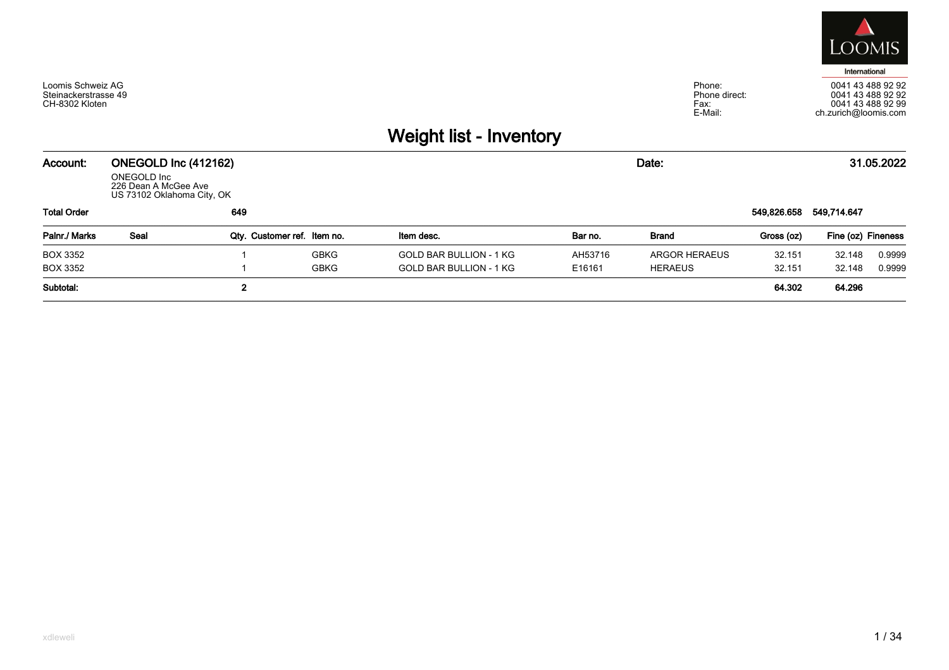

Phone:<br>Phone direct:  $Fax$ E-Mail:



## Weight list - Inventory

| Account:           | ONEGOLD Inc (412162)<br>ONEGOLD Inc<br>226 Dean A McGee Ave<br>US 73102 Oklahoma City, OK |             |                             |                                |         | Date:          |             |                    | 31.05.2022 |
|--------------------|-------------------------------------------------------------------------------------------|-------------|-----------------------------|--------------------------------|---------|----------------|-------------|--------------------|------------|
| <b>Total Order</b> |                                                                                           | 649         |                             |                                |         |                | 549,826.658 | 549,714.647        |            |
| Palnr./ Marks      | Seal                                                                                      |             | Qty. Customer ref. Item no. | Item desc.                     | Bar no. | Brand          | Gross (oz)  | Fine (oz) Fineness |            |
| <b>BOX 3352</b>    |                                                                                           |             | <b>GBKG</b>                 | GOLD BAR BULLION - 1 KG        | AH53716 | ARGOR HERAEUS  | 32.151      | 32.148             | 0.9999     |
| BOX 3352           |                                                                                           |             | GBKG                        | <b>GOLD BAR BULLION - 1 KG</b> | E16161  | <b>HERAEUS</b> | 32.151      | 32.148             | 0.9999     |
| Subtotal:          |                                                                                           | $\mathbf 2$ |                             |                                |         |                | 64.302      | 64.296             |            |

Loomis Schweiz AG<br>Steinackerstrasse 49

CH-8302 Kloten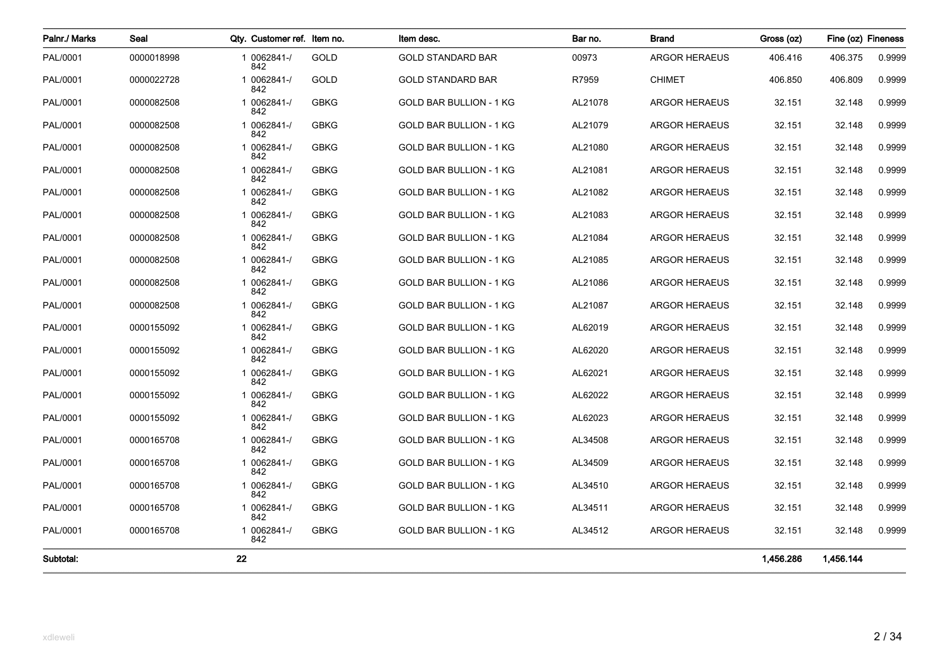| Palnr./ Marks | Seal       | Qty. Customer ref. Item no. |             | Item desc.                     | Bar no. | Brand                | Gross (oz) | Fine (oz) Fineness |        |
|---------------|------------|-----------------------------|-------------|--------------------------------|---------|----------------------|------------|--------------------|--------|
| PAL/0001      | 0000018998 | 1 0062841-/<br>842          | GOLD        | <b>GOLD STANDARD BAR</b>       | 00973   | <b>ARGOR HERAEUS</b> | 406.416    | 406.375            | 0.9999 |
| PAL/0001      | 0000022728 | 1 0062841-/<br>842          | GOLD        | <b>GOLD STANDARD BAR</b>       | R7959   | <b>CHIMET</b>        | 406.850    | 406.809            | 0.9999 |
| PAL/0001      | 0000082508 | 1 0062841-/<br>842          | <b>GBKG</b> | <b>GOLD BAR BULLION - 1 KG</b> | AL21078 | <b>ARGOR HERAEUS</b> | 32.151     | 32.148             | 0.9999 |
| PAL/0001      | 0000082508 | 1 0062841-/<br>842          | <b>GBKG</b> | GOLD BAR BULLION - 1 KG        | AL21079 | <b>ARGOR HERAEUS</b> | 32.151     | 32.148             | 0.9999 |
| PAL/0001      | 0000082508 | 1 0062841-/<br>842          | <b>GBKG</b> | <b>GOLD BAR BULLION - 1 KG</b> | AL21080 | <b>ARGOR HERAEUS</b> | 32.151     | 32.148             | 0.9999 |
| PAL/0001      | 0000082508 | 1 0062841-/<br>842          | <b>GBKG</b> | <b>GOLD BAR BULLION - 1 KG</b> | AL21081 | <b>ARGOR HERAEUS</b> | 32.151     | 32.148             | 0.9999 |
| PAL/0001      | 0000082508 | 1 0062841-/<br>842          | <b>GBKG</b> | GOLD BAR BULLION - 1 KG        | AL21082 | <b>ARGOR HERAEUS</b> | 32.151     | 32.148             | 0.9999 |
| PAL/0001      | 0000082508 | 1 0062841-/<br>842          | <b>GBKG</b> | GOLD BAR BULLION - 1 KG        | AL21083 | <b>ARGOR HERAEUS</b> | 32.151     | 32.148             | 0.9999 |
| PAL/0001      | 0000082508 | 1 0062841-/<br>842          | <b>GBKG</b> | <b>GOLD BAR BULLION - 1 KG</b> | AL21084 | <b>ARGOR HERAEUS</b> | 32.151     | 32.148             | 0.9999 |
| PAL/0001      | 0000082508 | 1 0062841-/<br>842          | <b>GBKG</b> | GOLD BAR BULLION - 1 KG        | AL21085 | <b>ARGOR HERAEUS</b> | 32.151     | 32.148             | 0.9999 |
| PAL/0001      | 0000082508 | 1 0062841-/<br>842          | <b>GBKG</b> | GOLD BAR BULLION - 1 KG        | AL21086 | <b>ARGOR HERAEUS</b> | 32.151     | 32.148             | 0.9999 |
| PAL/0001      | 0000082508 | 1 0062841-/<br>842          | <b>GBKG</b> | <b>GOLD BAR BULLION - 1 KG</b> | AL21087 | <b>ARGOR HERAEUS</b> | 32.151     | 32.148             | 0.9999 |
| PAL/0001      | 0000155092 | 1 0062841-/<br>842          | <b>GBKG</b> | GOLD BAR BULLION - 1 KG        | AL62019 | <b>ARGOR HERAEUS</b> | 32.151     | 32.148             | 0.9999 |
| PAL/0001      | 0000155092 | 1 0062841-/<br>842          | <b>GBKG</b> | GOLD BAR BULLION - 1 KG        | AL62020 | <b>ARGOR HERAEUS</b> | 32.151     | 32.148             | 0.9999 |
| PAL/0001      | 0000155092 | 1 0062841-/<br>842          | <b>GBKG</b> | <b>GOLD BAR BULLION - 1 KG</b> | AL62021 | <b>ARGOR HERAEUS</b> | 32.151     | 32.148             | 0.9999 |
| PAL/0001      | 0000155092 | 1 0062841-/<br>842          | <b>GBKG</b> | GOLD BAR BULLION - 1 KG        | AL62022 | <b>ARGOR HERAEUS</b> | 32.151     | 32.148             | 0.9999 |
| PAL/0001      | 0000155092 | 1 0062841-/<br>842          | <b>GBKG</b> | GOLD BAR BULLION - 1 KG        | AL62023 | <b>ARGOR HERAEUS</b> | 32.151     | 32.148             | 0.9999 |
| PAL/0001      | 0000165708 | 1 0062841-/<br>842          | <b>GBKG</b> | GOLD BAR BULLION - 1 KG        | AL34508 | <b>ARGOR HERAEUS</b> | 32.151     | 32.148             | 0.9999 |
| PAL/0001      | 0000165708 | 1 0062841-/<br>842          | <b>GBKG</b> | GOLD BAR BULLION - 1 KG        | AL34509 | <b>ARGOR HERAEUS</b> | 32.151     | 32.148             | 0.9999 |
| PAL/0001      | 0000165708 | 1 0062841-/<br>842          | <b>GBKG</b> | <b>GOLD BAR BULLION - 1 KG</b> | AL34510 | <b>ARGOR HERAEUS</b> | 32.151     | 32.148             | 0.9999 |
| PAL/0001      | 0000165708 | 1 0062841-/<br>842          | <b>GBKG</b> | <b>GOLD BAR BULLION - 1 KG</b> | AL34511 | <b>ARGOR HERAEUS</b> | 32.151     | 32.148             | 0.9999 |
| PAL/0001      | 0000165708 | 1 0062841-/<br>842          | <b>GBKG</b> | GOLD BAR BULLION - 1 KG        | AL34512 | <b>ARGOR HERAEUS</b> | 32.151     | 32.148             | 0.9999 |
| Subtotal:     |            | 22                          |             |                                |         |                      | 1,456.286  | 1,456.144          |        |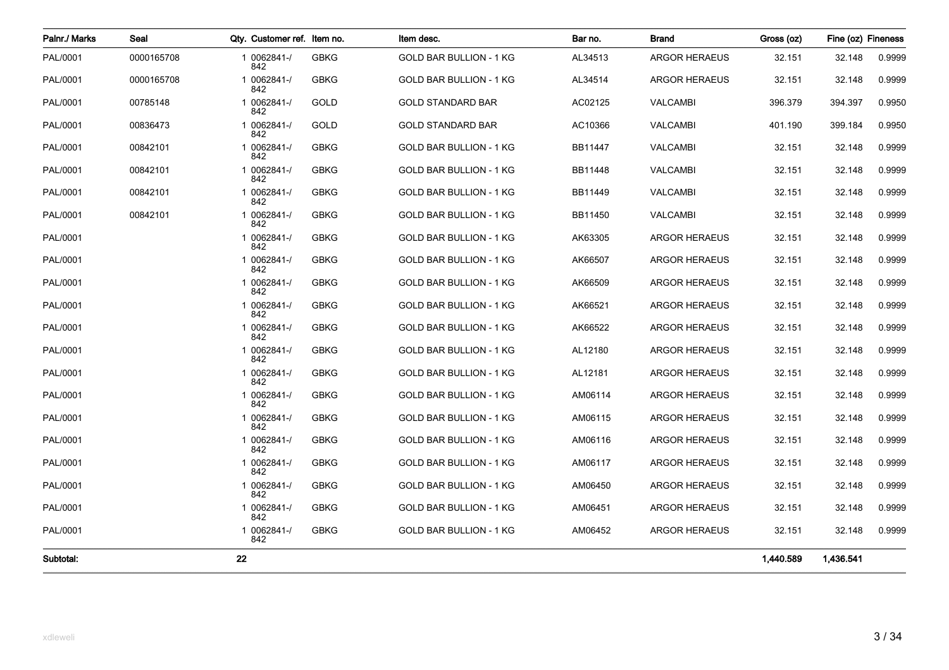| Palnr./ Marks | Seal       | Qty. Customer ref. Item no. |             | Item desc.                     | Bar no. | <b>Brand</b>         | Gross (oz)<br>Fine (oz) Fineness |           |        |
|---------------|------------|-----------------------------|-------------|--------------------------------|---------|----------------------|----------------------------------|-----------|--------|
| PAL/0001      | 0000165708 | 1 0062841-/<br>842          | <b>GBKG</b> | <b>GOLD BAR BULLION - 1 KG</b> | AL34513 | <b>ARGOR HERAEUS</b> | 32.151                           | 32.148    | 0.9999 |
| PAL/0001      | 0000165708 | 1 0062841-/<br>842          | <b>GBKG</b> | <b>GOLD BAR BULLION - 1 KG</b> | AL34514 | <b>ARGOR HERAEUS</b> | 32.151                           | 32.148    | 0.9999 |
| PAL/0001      | 00785148   | 1 0062841-/<br>842          | GOLD        | <b>GOLD STANDARD BAR</b>       | AC02125 | <b>VALCAMBI</b>      | 396.379                          | 394.397   | 0.9950 |
| PAL/0001      | 00836473   | 1 0062841-/<br>842          | <b>GOLD</b> | <b>GOLD STANDARD BAR</b>       | AC10366 | <b>VALCAMBI</b>      | 401.190                          | 399.184   | 0.9950 |
| PAL/0001      | 00842101   | 1 0062841-/<br>842          | <b>GBKG</b> | <b>GOLD BAR BULLION - 1 KG</b> | BB11447 | <b>VALCAMBI</b>      | 32.151                           | 32.148    | 0.9999 |
| PAL/0001      | 00842101   | 1 0062841-/<br>842          | <b>GBKG</b> | <b>GOLD BAR BULLION - 1 KG</b> | BB11448 | <b>VALCAMBI</b>      | 32.151                           | 32.148    | 0.9999 |
| PAL/0001      | 00842101   | 1 0062841-/<br>842          | <b>GBKG</b> | <b>GOLD BAR BULLION - 1 KG</b> | BB11449 | <b>VALCAMBI</b>      | 32.151                           | 32.148    | 0.9999 |
| PAL/0001      | 00842101   | 1 0062841-/<br>842          | <b>GBKG</b> | GOLD BAR BULLION - 1 KG        | BB11450 | <b>VALCAMBI</b>      | 32.151                           | 32.148    | 0.9999 |
| PAL/0001      |            | 1 0062841-/<br>842          | <b>GBKG</b> | GOLD BAR BULLION - 1 KG        | AK63305 | <b>ARGOR HERAEUS</b> | 32.151                           | 32.148    | 0.9999 |
| PAL/0001      |            | 1 0062841-/<br>842          | <b>GBKG</b> | <b>GOLD BAR BULLION - 1 KG</b> | AK66507 | <b>ARGOR HERAEUS</b> | 32.151                           | 32.148    | 0.9999 |
| PAL/0001      |            | 1 0062841-/<br>842          | <b>GBKG</b> | <b>GOLD BAR BULLION - 1 KG</b> | AK66509 | <b>ARGOR HERAEUS</b> | 32.151                           | 32.148    | 0.9999 |
| PAL/0001      |            | 1 0062841-/<br>842          | <b>GBKG</b> | GOLD BAR BULLION - 1 KG        | AK66521 | <b>ARGOR HERAEUS</b> | 32.151                           | 32.148    | 0.9999 |
| PAL/0001      |            | 1 0062841-/<br>842          | <b>GBKG</b> | GOLD BAR BULLION - 1 KG        | AK66522 | <b>ARGOR HERAEUS</b> | 32.151                           | 32.148    | 0.9999 |
| PAL/0001      |            | 1 0062841-/<br>842          | <b>GBKG</b> | <b>GOLD BAR BULLION - 1 KG</b> | AL12180 | <b>ARGOR HERAEUS</b> | 32.151                           | 32.148    | 0.9999 |
| PAL/0001      |            | 1 0062841-/<br>842          | <b>GBKG</b> | GOLD BAR BULLION - 1 KG        | AL12181 | ARGOR HERAEUS        | 32.151                           | 32.148    | 0.9999 |
| PAL/0001      |            | 1 0062841-/<br>842          | <b>GBKG</b> | GOLD BAR BULLION - 1 KG        | AM06114 | <b>ARGOR HERAEUS</b> | 32.151                           | 32.148    | 0.9999 |
| PAL/0001      |            | 1 0062841-/<br>842          | <b>GBKG</b> | GOLD BAR BULLION - 1 KG        | AM06115 | <b>ARGOR HERAEUS</b> | 32.151                           | 32.148    | 0.9999 |
| PAL/0001      |            | 1 0062841-/<br>842          | <b>GBKG</b> | <b>GOLD BAR BULLION - 1 KG</b> | AM06116 | <b>ARGOR HERAEUS</b> | 32.151                           | 32.148    | 0.9999 |
| PAL/0001      |            | 1 0062841-/<br>842          | <b>GBKG</b> | GOLD BAR BULLION - 1 KG        | AM06117 | <b>ARGOR HERAEUS</b> | 32.151                           | 32.148    | 0.9999 |
| PAL/0001      |            | 1 0062841-/<br>842          | <b>GBKG</b> | <b>GOLD BAR BULLION - 1 KG</b> | AM06450 | <b>ARGOR HERAEUS</b> | 32.151                           | 32.148    | 0.9999 |
| PAL/0001      |            | 1 0062841-/<br>842          | <b>GBKG</b> | <b>GOLD BAR BULLION - 1 KG</b> | AM06451 | <b>ARGOR HERAEUS</b> | 32.151                           | 32.148    | 0.9999 |
| PAL/0001      |            | 1 0062841-/<br>842          | <b>GBKG</b> | GOLD BAR BULLION - 1 KG        | AM06452 | <b>ARGOR HERAEUS</b> | 32.151                           | 32.148    | 0.9999 |
| Subtotal:     |            | 22                          |             |                                |         |                      | 1,440.589                        | 1,436.541 |        |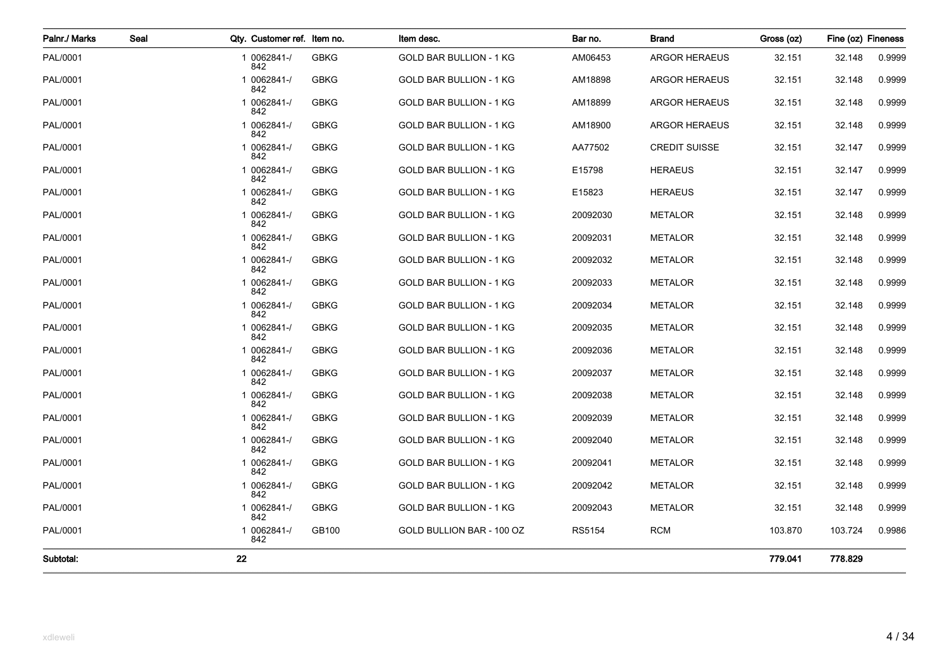| Palnr./ Marks | Seal | Qty. Customer ref. Item no. |             | Item desc.                     | Bar no.  | <b>Brand</b>         | Gross (oz) | Fine (oz) Fineness |        |
|---------------|------|-----------------------------|-------------|--------------------------------|----------|----------------------|------------|--------------------|--------|
| PAL/0001      |      | 1 0062841-/<br>842          | <b>GBKG</b> | <b>GOLD BAR BULLION - 1 KG</b> | AM06453  | <b>ARGOR HERAEUS</b> | 32.151     | 32.148             | 0.9999 |
| PAL/0001      |      | 1 0062841-/<br>842          | <b>GBKG</b> | <b>GOLD BAR BULLION - 1 KG</b> | AM18898  | <b>ARGOR HERAEUS</b> | 32.151     | 32.148             | 0.9999 |
| PAL/0001      |      | 1 0062841-/<br>842          | <b>GBKG</b> | GOLD BAR BULLION - 1 KG        | AM18899  | <b>ARGOR HERAEUS</b> | 32.151     | 32.148             | 0.9999 |
| PAL/0001      |      | 1 0062841-/<br>842          | <b>GBKG</b> | GOLD BAR BULLION - 1 KG        | AM18900  | <b>ARGOR HERAEUS</b> | 32.151     | 32.148             | 0.9999 |
| PAL/0001      |      | 1 0062841-/<br>842          | <b>GBKG</b> | <b>GOLD BAR BULLION - 1 KG</b> | AA77502  | <b>CREDIT SUISSE</b> | 32.151     | 32.147             | 0.9999 |
| PAL/0001      |      | 1 0062841-/<br>842          | <b>GBKG</b> | <b>GOLD BAR BULLION - 1 KG</b> | E15798   | <b>HERAEUS</b>       | 32.151     | 32.147             | 0.9999 |
| PAL/0001      |      | 1 0062841-/<br>842          | <b>GBKG</b> | GOLD BAR BULLION - 1 KG        | E15823   | <b>HERAEUS</b>       | 32.151     | 32.147             | 0.9999 |
| PAL/0001      |      | 1 0062841-/<br>842          | <b>GBKG</b> | GOLD BAR BULLION - 1 KG        | 20092030 | <b>METALOR</b>       | 32.151     | 32.148             | 0.9999 |
| PAL/0001      |      | 1 0062841-/<br>842          | <b>GBKG</b> | GOLD BAR BULLION - 1 KG        | 20092031 | <b>METALOR</b>       | 32.151     | 32.148             | 0.9999 |
| PAL/0001      |      | 1 0062841-/<br>842          | <b>GBKG</b> | <b>GOLD BAR BULLION - 1 KG</b> | 20092032 | <b>METALOR</b>       | 32.151     | 32.148             | 0.9999 |
| PAL/0001      |      | 1 0062841-/<br>842          | <b>GBKG</b> | <b>GOLD BAR BULLION - 1 KG</b> | 20092033 | <b>METALOR</b>       | 32.151     | 32.148             | 0.9999 |
| PAL/0001      |      | 1 0062841-/<br>842          | <b>GBKG</b> | GOLD BAR BULLION - 1 KG        | 20092034 | <b>METALOR</b>       | 32.151     | 32.148             | 0.9999 |
| PAL/0001      |      | 1 0062841-/<br>842          | <b>GBKG</b> | GOLD BAR BULLION - 1 KG        | 20092035 | <b>METALOR</b>       | 32.151     | 32.148             | 0.9999 |
| PAL/0001      |      | 1 0062841-/<br>842          | <b>GBKG</b> | <b>GOLD BAR BULLION - 1 KG</b> | 20092036 | <b>METALOR</b>       | 32.151     | 32.148             | 0.9999 |
| PAL/0001      |      | 1 0062841-/<br>842          | <b>GBKG</b> | <b>GOLD BAR BULLION - 1 KG</b> | 20092037 | <b>METALOR</b>       | 32.151     | 32.148             | 0.9999 |
| PAL/0001      |      | 1 0062841-/<br>842          | <b>GBKG</b> | GOLD BAR BULLION - 1 KG        | 20092038 | <b>METALOR</b>       | 32.151     | 32.148             | 0.9999 |
| PAL/0001      |      | 1 0062841-/<br>842          | <b>GBKG</b> | GOLD BAR BULLION - 1 KG        | 20092039 | <b>METALOR</b>       | 32.151     | 32.148             | 0.9999 |
| PAL/0001      |      | 1 0062841-/<br>842          | <b>GBKG</b> | GOLD BAR BULLION - 1 KG        | 20092040 | <b>METALOR</b>       | 32.151     | 32.148             | 0.9999 |
| PAL/0001      |      | 1 0062841-/<br>842          | <b>GBKG</b> | <b>GOLD BAR BULLION - 1 KG</b> | 20092041 | <b>METALOR</b>       | 32.151     | 32.148             | 0.9999 |
| PAL/0001      |      | 1 0062841-/<br>842          | <b>GBKG</b> | <b>GOLD BAR BULLION - 1 KG</b> | 20092042 | <b>METALOR</b>       | 32.151     | 32.148             | 0.9999 |
| PAL/0001      |      | 1 0062841-/<br>842          | <b>GBKG</b> | GOLD BAR BULLION - 1 KG        | 20092043 | <b>METALOR</b>       | 32.151     | 32.148             | 0.9999 |
| PAL/0001      |      | 1 0062841-/<br>842          | GB100       | GOLD BULLION BAR - 100 OZ      | RS5154   | <b>RCM</b>           | 103.870    | 103.724            | 0.9986 |
| Subtotal:     |      | 22                          |             |                                |          |                      | 779.041    | 778.829            |        |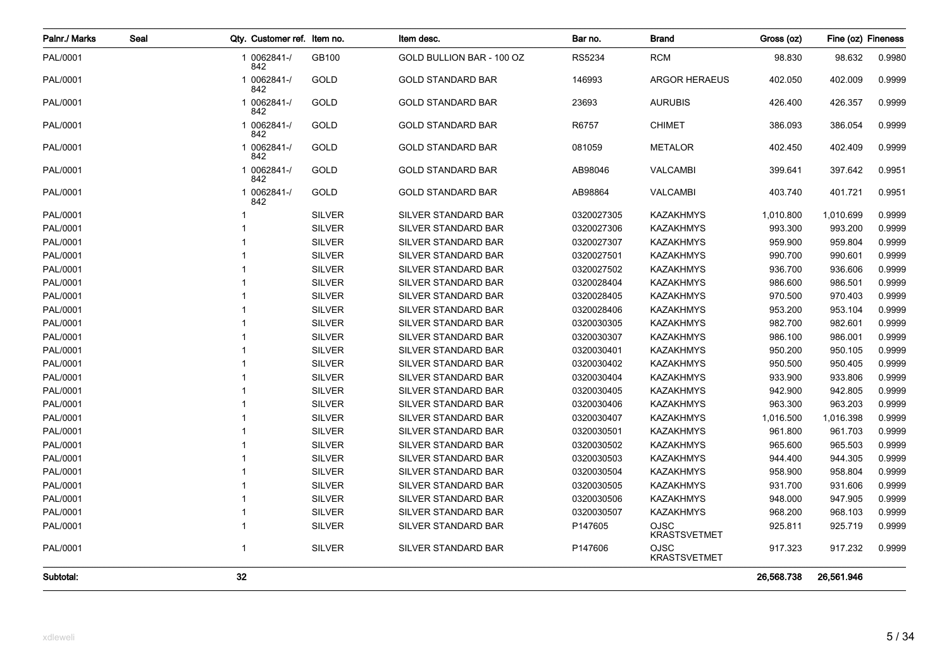| Palnr./ Marks | Seal |             | Qty. Customer ref. Item no. |               | Item desc.                 | Bar no.    | <b>Brand</b>                       | Gross (oz) | Fine (oz) Fineness |        |
|---------------|------|-------------|-----------------------------|---------------|----------------------------|------------|------------------------------------|------------|--------------------|--------|
| PAL/0001      |      | 842         | 1 0062841-/                 | GB100         | GOLD BULLION BAR - 100 OZ  | RS5234     | <b>RCM</b>                         | 98.830     | 98.632             | 0.9980 |
| PAL/0001      |      | 842         | 1 0062841-/                 | GOLD          | <b>GOLD STANDARD BAR</b>   | 146993     | <b>ARGOR HERAEUS</b>               | 402.050    | 402.009            | 0.9999 |
| PAL/0001      |      | 842         | 1 0062841-/                 | GOLD          | <b>GOLD STANDARD BAR</b>   | 23693      | <b>AURUBIS</b>                     | 426.400    | 426.357            | 0.9999 |
| PAL/0001      |      | 842         | 1 0062841-/                 | GOLD          | <b>GOLD STANDARD BAR</b>   | R6757      | <b>CHIMET</b>                      | 386.093    | 386.054            | 0.9999 |
| PAL/0001      |      | 842         | 1 0062841-/                 | GOLD          | <b>GOLD STANDARD BAR</b>   | 081059     | <b>METALOR</b>                     | 402.450    | 402.409            | 0.9999 |
| PAL/0001      |      | 842         | 1 0062841-/                 | GOLD          | <b>GOLD STANDARD BAR</b>   | AB98046    | <b>VALCAMBI</b>                    | 399.641    | 397.642            | 0.9951 |
| PAL/0001      |      | 842         | 1 0062841-/                 | GOLD          | <b>GOLD STANDARD BAR</b>   | AB98864    | <b>VALCAMBI</b>                    | 403.740    | 401.721            | 0.9951 |
| PAL/0001      |      |             |                             | <b>SILVER</b> | SILVER STANDARD BAR        | 0320027305 | <b>KAZAKHMYS</b>                   | 1,010.800  | 1,010.699          | 0.9999 |
| PAL/0001      |      |             |                             | <b>SILVER</b> | SILVER STANDARD BAR        | 0320027306 | <b>KAZAKHMYS</b>                   | 993.300    | 993.200            | 0.9999 |
| PAL/0001      |      |             |                             | <b>SILVER</b> | SILVER STANDARD BAR        | 0320027307 | <b>KAZAKHMYS</b>                   | 959.900    | 959.804            | 0.9999 |
| PAL/0001      |      |             |                             | <b>SILVER</b> | SILVER STANDARD BAR        | 0320027501 | <b>KAZAKHMYS</b>                   | 990.700    | 990.601            | 0.9999 |
| PAL/0001      |      |             |                             | <b>SILVER</b> | SILVER STANDARD BAR        | 0320027502 | <b>KAZAKHMYS</b>                   | 936.700    | 936.606            | 0.9999 |
| PAL/0001      |      |             |                             | <b>SILVER</b> | SILVER STANDARD BAR        | 0320028404 | <b>KAZAKHMYS</b>                   | 986.600    | 986.501            | 0.9999 |
| PAL/0001      |      |             |                             | <b>SILVER</b> | SILVER STANDARD BAR        | 0320028405 | <b>KAZAKHMYS</b>                   | 970.500    | 970.403            | 0.9999 |
| PAL/0001      |      |             |                             | <b>SILVER</b> | SILVER STANDARD BAR        | 0320028406 | <b>KAZAKHMYS</b>                   | 953.200    | 953.104            | 0.9999 |
| PAL/0001      |      |             |                             | <b>SILVER</b> | SILVER STANDARD BAR        | 0320030305 | <b>KAZAKHMYS</b>                   | 982.700    | 982.601            | 0.9999 |
| PAL/0001      |      |             |                             | <b>SILVER</b> | <b>SILVER STANDARD BAR</b> | 0320030307 | <b>KAZAKHMYS</b>                   | 986.100    | 986.001            | 0.9999 |
| PAL/0001      |      |             |                             | <b>SILVER</b> | SILVER STANDARD BAR        | 0320030401 | <b>KAZAKHMYS</b>                   | 950.200    | 950.105            | 0.9999 |
| PAL/0001      |      |             |                             | <b>SILVER</b> | SILVER STANDARD BAR        | 0320030402 | <b>KAZAKHMYS</b>                   | 950.500    | 950.405            | 0.9999 |
| PAL/0001      |      |             |                             | <b>SILVER</b> | SILVER STANDARD BAR        | 0320030404 | <b>KAZAKHMYS</b>                   | 933.900    | 933.806            | 0.9999 |
| PAL/0001      |      |             |                             | <b>SILVER</b> | SILVER STANDARD BAR        | 0320030405 | <b>KAZAKHMYS</b>                   | 942.900    | 942.805            | 0.9999 |
| PAL/0001      |      |             |                             | <b>SILVER</b> | SILVER STANDARD BAR        | 0320030406 | <b>KAZAKHMYS</b>                   | 963.300    | 963.203            | 0.9999 |
| PAL/0001      |      |             |                             | <b>SILVER</b> | SILVER STANDARD BAR        | 0320030407 | <b>KAZAKHMYS</b>                   | 1,016.500  | 1,016.398          | 0.9999 |
| PAL/0001      |      |             |                             | <b>SILVER</b> | SILVER STANDARD BAR        | 0320030501 | <b>KAZAKHMYS</b>                   | 961.800    | 961.703            | 0.9999 |
| PAL/0001      |      |             |                             | <b>SILVER</b> | SILVER STANDARD BAR        | 0320030502 | <b>KAZAKHMYS</b>                   | 965.600    | 965.503            | 0.9999 |
| PAL/0001      |      |             |                             | <b>SILVER</b> | <b>SILVER STANDARD BAR</b> | 0320030503 | <b>KAZAKHMYS</b>                   | 944.400    | 944.305            | 0.9999 |
| PAL/0001      |      |             |                             | <b>SILVER</b> | <b>SILVER STANDARD BAR</b> | 0320030504 | <b>KAZAKHMYS</b>                   | 958.900    | 958.804            | 0.9999 |
| PAL/0001      |      |             |                             | <b>SILVER</b> | SILVER STANDARD BAR        | 0320030505 | <b>KAZAKHMYS</b>                   | 931.700    | 931.606            | 0.9999 |
| PAL/0001      |      |             |                             | <b>SILVER</b> | SILVER STANDARD BAR        | 0320030506 | <b>KAZAKHMYS</b>                   | 948.000    | 947.905            | 0.9999 |
| PAL/0001      |      |             |                             | <b>SILVER</b> | SILVER STANDARD BAR        | 0320030507 | <b>KAZAKHMYS</b>                   | 968.200    | 968.103            | 0.9999 |
| PAL/0001      |      |             |                             | <b>SILVER</b> | SILVER STANDARD BAR        | P147605    | <b>OJSC</b><br><b>KRASTSVETMET</b> | 925.811    | 925.719            | 0.9999 |
| PAL/0001      |      | $\mathbf 1$ |                             | <b>SILVER</b> | SILVER STANDARD BAR        | P147606    | <b>OJSC</b><br><b>KRASTSVETMET</b> | 917.323    | 917.232            | 0.9999 |
| Subtotal:     |      | 32          |                             |               |                            |            |                                    | 26,568.738 | 26,561.946         |        |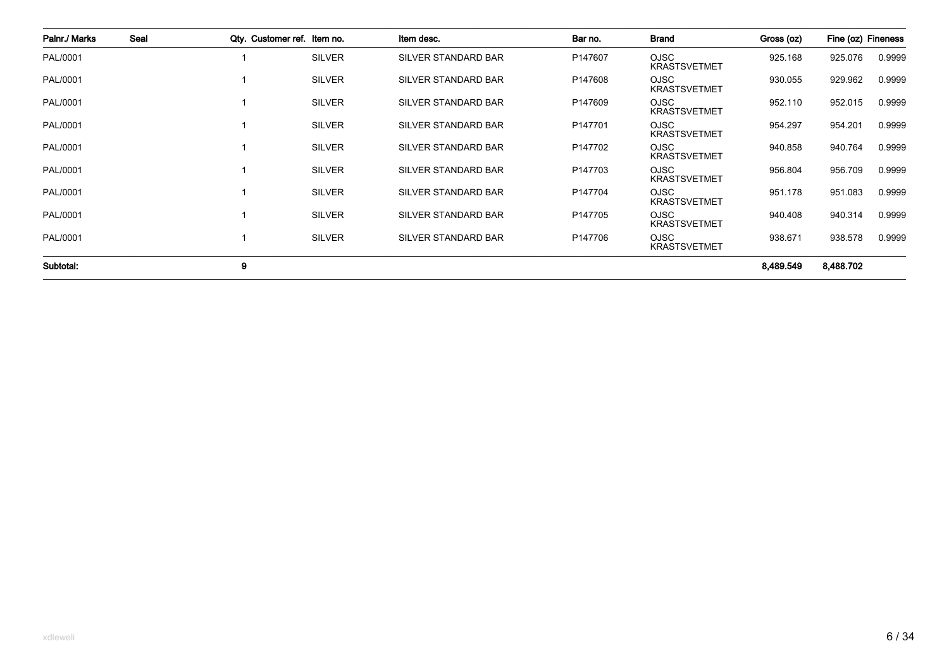| Palnr./ Marks | Seal | Qty. Customer ref. Item no. |               | Item desc.                 | Bar no.             | <b>Brand</b>                       | Gross (oz) | Fine (oz) Fineness |        |
|---------------|------|-----------------------------|---------------|----------------------------|---------------------|------------------------------------|------------|--------------------|--------|
| PAL/0001      |      |                             | <b>SILVER</b> | <b>SILVER STANDARD BAR</b> | P147607             | <b>OJSC</b><br><b>KRASTSVETMET</b> | 925.168    | 925.076            | 0.9999 |
| PAL/0001      |      |                             | <b>SILVER</b> | <b>SILVER STANDARD BAR</b> | P147608             | OJSC<br><b>KRASTSVETMET</b>        | 930.055    | 929.962            | 0.9999 |
| PAL/0001      |      |                             | <b>SILVER</b> | SILVER STANDARD BAR        | P147609             | <b>OJSC</b><br><b>KRASTSVETMET</b> | 952.110    | 952.015            | 0.9999 |
| PAL/0001      |      |                             | <b>SILVER</b> | <b>SILVER STANDARD BAR</b> | P147701             | <b>OJSC</b><br><b>KRASTSVETMET</b> | 954.297    | 954.201            | 0.9999 |
| PAL/0001      |      |                             | <b>SILVER</b> | SILVER STANDARD BAR        | P147702             | <b>OJSC</b><br><b>KRASTSVETMET</b> | 940.858    | 940.764            | 0.9999 |
| PAL/0001      |      |                             | <b>SILVER</b> | SILVER STANDARD BAR        | P147703             | <b>OJSC</b><br><b>KRASTSVETMET</b> | 956.804    | 956.709            | 0.9999 |
| PAL/0001      |      |                             | <b>SILVER</b> | <b>SILVER STANDARD BAR</b> | P147704             | <b>OJSC</b><br><b>KRASTSVETMET</b> | 951.178    | 951.083            | 0.9999 |
| PAL/0001      |      |                             | <b>SILVER</b> | SILVER STANDARD BAR        | P <sub>147705</sub> | <b>OJSC</b><br><b>KRASTSVETMET</b> | 940.408    | 940.314            | 0.9999 |
| PAL/0001      |      |                             | <b>SILVER</b> | <b>SILVER STANDARD BAR</b> | P147706             | OJSC<br><b>KRASTSVETMET</b>        | 938.671    | 938.578            | 0.9999 |
| Subtotal:     |      | 9                           |               |                            |                     |                                    | 8,489.549  | 8,488.702          |        |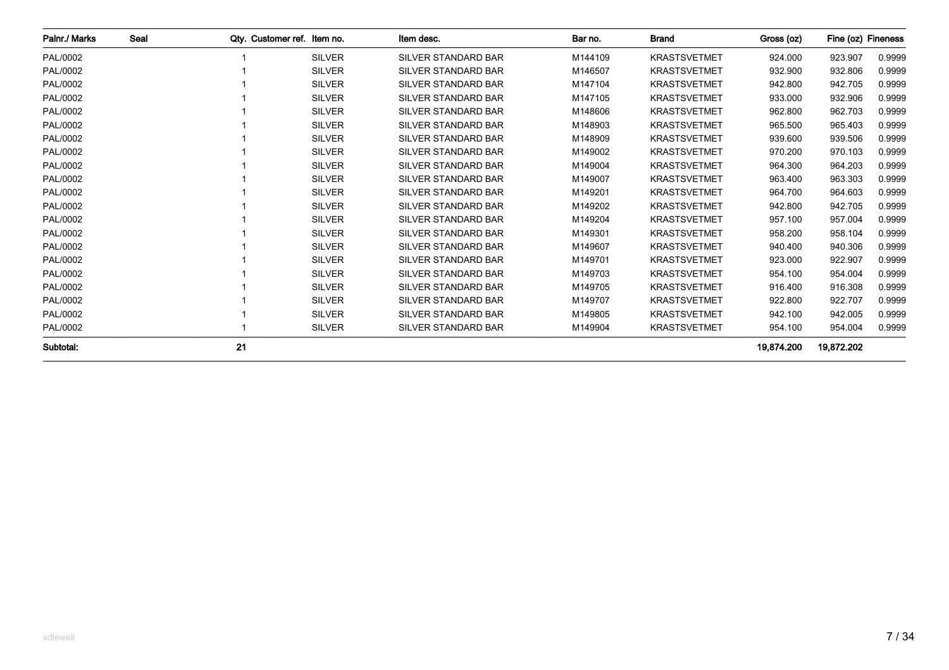| Palnr./ Marks | Seal | Qty. Customer ref. Item no. |               | Item desc.                 | Bar no. | <b>Brand</b>        | Gross (oz) | Fine (oz) Fineness |        |
|---------------|------|-----------------------------|---------------|----------------------------|---------|---------------------|------------|--------------------|--------|
| PAL/0002      |      |                             | <b>SILVER</b> | <b>SILVER STANDARD BAR</b> | M144109 | <b>KRASTSVETMET</b> | 924.000    | 923.907            | 0.9999 |
| PAL/0002      |      |                             | <b>SILVER</b> | <b>SILVER STANDARD BAR</b> | M146507 | <b>KRASTSVETMET</b> | 932.900    | 932.806            | 0.9999 |
| PAL/0002      |      |                             | <b>SILVER</b> | <b>SILVER STANDARD BAR</b> | M147104 | <b>KRASTSVETMET</b> | 942.800    | 942.705            | 0.9999 |
| PAL/0002      |      |                             | <b>SILVER</b> | <b>SILVER STANDARD BAR</b> | M147105 | <b>KRASTSVETMET</b> | 933.000    | 932.906            | 0.9999 |
| PAL/0002      |      |                             | <b>SILVER</b> | <b>SILVER STANDARD BAR</b> | M148606 | <b>KRASTSVETMET</b> | 962.800    | 962.703            | 0.9999 |
| PAL/0002      |      |                             | <b>SILVER</b> | <b>SILVER STANDARD BAR</b> | M148903 | <b>KRASTSVETMET</b> | 965.500    | 965.403            | 0.9999 |
| PAL/0002      |      |                             | <b>SILVER</b> | SILVER STANDARD BAR        | M148909 | <b>KRASTSVETMET</b> | 939.600    | 939.506            | 0.9999 |
| PAL/0002      |      |                             | <b>SILVER</b> | <b>SILVER STANDARD BAR</b> | M149002 | <b>KRASTSVETMET</b> | 970.200    | 970.103            | 0.9999 |
| PAL/0002      |      |                             | <b>SILVER</b> | <b>SILVER STANDARD BAR</b> | M149004 | <b>KRASTSVETMET</b> | 964.300    | 964.203            | 0.9999 |
| PAL/0002      |      |                             | <b>SILVER</b> | <b>SILVER STANDARD BAR</b> | M149007 | <b>KRASTSVETMET</b> | 963.400    | 963.303            | 0.9999 |
| PAL/0002      |      |                             | <b>SILVER</b> | <b>SILVER STANDARD BAR</b> | M149201 | <b>KRASTSVETMET</b> | 964.700    | 964.603            | 0.9999 |
| PAL/0002      |      |                             | <b>SILVER</b> | <b>SILVER STANDARD BAR</b> | M149202 | <b>KRASTSVETMET</b> | 942.800    | 942.705            | 0.9999 |
| PAL/0002      |      |                             | <b>SILVER</b> | <b>SILVER STANDARD BAR</b> | M149204 | <b>KRASTSVETMET</b> | 957.100    | 957.004            | 0.9999 |
| PAL/0002      |      |                             | <b>SILVER</b> | <b>SILVER STANDARD BAR</b> | M149301 | <b>KRASTSVETMET</b> | 958.200    | 958.104            | 0.9999 |
| PAL/0002      |      |                             | <b>SILVER</b> | <b>SILVER STANDARD BAR</b> | M149607 | <b>KRASTSVETMET</b> | 940.400    | 940.306            | 0.9999 |
| PAL/0002      |      |                             | <b>SILVER</b> | <b>SILVER STANDARD BAR</b> | M149701 | <b>KRASTSVETMET</b> | 923.000    | 922.907            | 0.9999 |
| PAL/0002      |      |                             | <b>SILVER</b> | <b>SILVER STANDARD BAR</b> | M149703 | <b>KRASTSVETMET</b> | 954.100    | 954.004            | 0.9999 |
| PAL/0002      |      |                             | <b>SILVER</b> | <b>SILVER STANDARD BAR</b> | M149705 | <b>KRASTSVETMET</b> | 916.400    | 916.308            | 0.9999 |
| PAL/0002      |      |                             | <b>SILVER</b> | <b>SILVER STANDARD BAR</b> | M149707 | <b>KRASTSVETMET</b> | 922.800    | 922.707            | 0.9999 |
| PAL/0002      |      |                             | <b>SILVER</b> | <b>SILVER STANDARD BAR</b> | M149805 | <b>KRASTSVETMET</b> | 942.100    | 942.005            | 0.9999 |
| PAL/0002      |      |                             | <b>SILVER</b> | SILVER STANDARD BAR        | M149904 | <b>KRASTSVETMET</b> | 954.100    | 954.004            | 0.9999 |
| Subtotal:     |      | 21                          |               |                            |         |                     | 19,874.200 | 19,872.202         |        |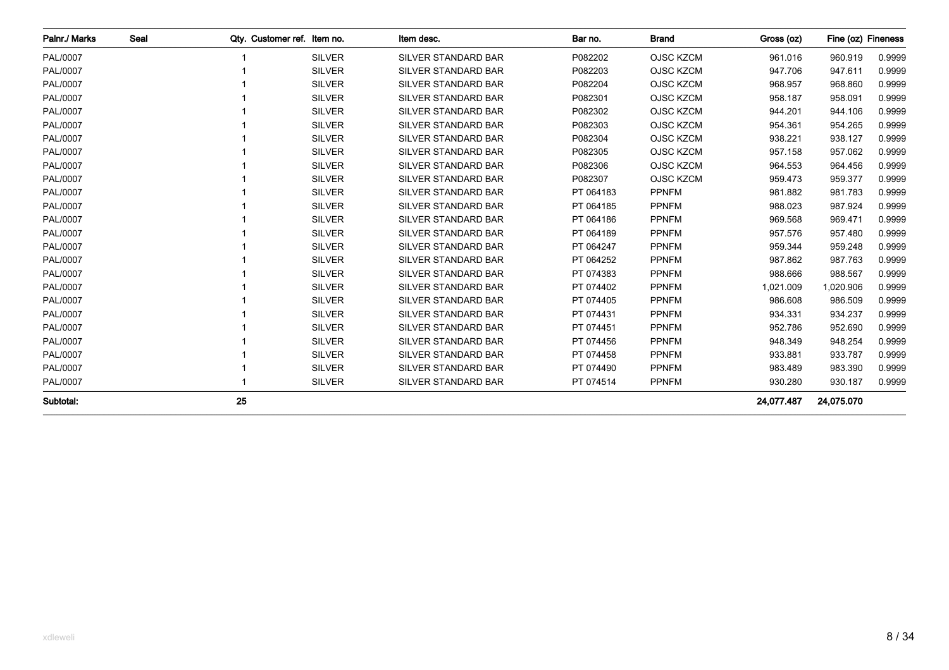| Palnr./ Marks | Seal | Qty. Customer ref. Item no. |               | Item desc.                 | Bar no.   | <b>Brand</b>     | Gross (oz) | Fine (oz) Fineness |        |
|---------------|------|-----------------------------|---------------|----------------------------|-----------|------------------|------------|--------------------|--------|
| PAL/0007      |      |                             | <b>SILVER</b> | SILVER STANDARD BAR        | P082202   | <b>OJSC KZCM</b> | 961.016    | 960.919            | 0.9999 |
| PAL/0007      |      |                             | <b>SILVER</b> | <b>SILVER STANDARD BAR</b> | P082203   | <b>OJSC KZCM</b> | 947.706    | 947.611            | 0.9999 |
| PAL/0007      |      |                             | <b>SILVER</b> | <b>SILVER STANDARD BAR</b> | P082204   | <b>OJSC KZCM</b> | 968.957    | 968.860            | 0.9999 |
| PAL/0007      |      |                             | <b>SILVER</b> | SILVER STANDARD BAR        | P082301   | <b>OJSC KZCM</b> | 958.187    | 958.091            | 0.9999 |
| PAL/0007      |      |                             | <b>SILVER</b> | <b>SILVER STANDARD BAR</b> | P082302   | <b>OJSC KZCM</b> | 944.201    | 944.106            | 0.9999 |
| PAL/0007      |      |                             | <b>SILVER</b> | <b>SILVER STANDARD BAR</b> | P082303   | <b>OJSC KZCM</b> | 954.361    | 954.265            | 0.9999 |
| PAL/0007      |      |                             | <b>SILVER</b> | <b>SILVER STANDARD BAR</b> | P082304   | <b>OJSC KZCM</b> | 938.221    | 938.127            | 0.9999 |
| PAL/0007      |      |                             | <b>SILVER</b> | <b>SILVER STANDARD BAR</b> | P082305   | <b>OJSC KZCM</b> | 957.158    | 957.062            | 0.9999 |
| PAL/0007      |      |                             | <b>SILVER</b> | <b>SILVER STANDARD BAR</b> | P082306   | <b>OJSC KZCM</b> | 964.553    | 964.456            | 0.9999 |
| PAL/0007      |      |                             | <b>SILVER</b> | <b>SILVER STANDARD BAR</b> | P082307   | <b>OJSC KZCM</b> | 959.473    | 959.377            | 0.9999 |
| PAL/0007      |      |                             | <b>SILVER</b> | <b>SILVER STANDARD BAR</b> | PT 064183 | <b>PPNFM</b>     | 981.882    | 981.783            | 0.9999 |
| PAL/0007      |      |                             | <b>SILVER</b> | <b>SILVER STANDARD BAR</b> | PT 064185 | <b>PPNFM</b>     | 988.023    | 987.924            | 0.9999 |
| PAL/0007      |      |                             | <b>SILVER</b> | <b>SILVER STANDARD BAR</b> | PT 064186 | <b>PPNFM</b>     | 969.568    | 969.471            | 0.9999 |
| PAL/0007      |      |                             | <b>SILVER</b> | <b>SILVER STANDARD BAR</b> | PT 064189 | <b>PPNFM</b>     | 957.576    | 957.480            | 0.9999 |
| PAL/0007      |      |                             | <b>SILVER</b> | <b>SILVER STANDARD BAR</b> | PT 064247 | <b>PPNFM</b>     | 959.344    | 959.248            | 0.9999 |
| PAL/0007      |      |                             | <b>SILVER</b> | <b>SILVER STANDARD BAR</b> | PT 064252 | <b>PPNFM</b>     | 987.862    | 987.763            | 0.9999 |
| PAL/0007      |      |                             | <b>SILVER</b> | <b>SILVER STANDARD BAR</b> | PT 074383 | <b>PPNFM</b>     | 988.666    | 988.567            | 0.9999 |
| PAL/0007      |      |                             | <b>SILVER</b> | <b>SILVER STANDARD BAR</b> | PT 074402 | <b>PPNFM</b>     | 1,021.009  | 1,020.906          | 0.9999 |
| PAL/0007      |      |                             | <b>SILVER</b> | SILVER STANDARD BAR        | PT 074405 | <b>PPNFM</b>     | 986.608    | 986.509            | 0.9999 |
| PAL/0007      |      |                             | <b>SILVER</b> | <b>SILVER STANDARD BAR</b> | PT 074431 | <b>PPNFM</b>     | 934.331    | 934.237            | 0.9999 |
| PAL/0007      |      |                             | <b>SILVER</b> | <b>SILVER STANDARD BAR</b> | PT 074451 | <b>PPNFM</b>     | 952.786    | 952.690            | 0.9999 |
| PAL/0007      |      |                             | <b>SILVER</b> | <b>SILVER STANDARD BAR</b> | PT 074456 | <b>PPNFM</b>     | 948.349    | 948.254            | 0.9999 |
| PAL/0007      |      |                             | <b>SILVER</b> | <b>SILVER STANDARD BAR</b> | PT 074458 | <b>PPNFM</b>     | 933.881    | 933.787            | 0.9999 |
| PAL/0007      |      |                             | <b>SILVER</b> | <b>SILVER STANDARD BAR</b> | PT 074490 | <b>PPNFM</b>     | 983.489    | 983.390            | 0.9999 |
| PAL/0007      |      |                             | <b>SILVER</b> | SILVER STANDARD BAR        | PT 074514 | <b>PPNFM</b>     | 930.280    | 930.187            | 0.9999 |
| Subtotal:     |      | 25                          |               |                            |           |                  | 24.077.487 | 24,075.070         |        |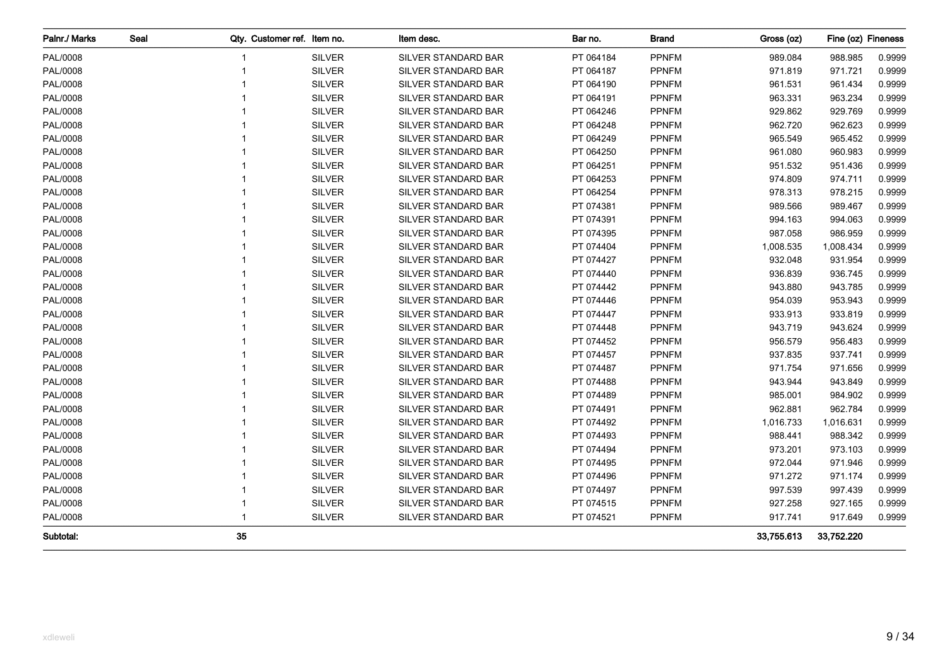| Palnr./ Marks | Seal | Qty. Customer ref. Item no. |               | Item desc.                 | Bar no.   | <b>Brand</b> | Gross (oz) | Fine (oz) Fineness |        |
|---------------|------|-----------------------------|---------------|----------------------------|-----------|--------------|------------|--------------------|--------|
| PAL/0008      |      |                             | <b>SILVER</b> | SILVER STANDARD BAR        | PT 064184 | <b>PPNFM</b> | 989.084    | 988.985            | 0.9999 |
| PAL/0008      |      |                             | <b>SILVER</b> | <b>SILVER STANDARD BAR</b> | PT 064187 | <b>PPNFM</b> | 971.819    | 971.721            | 0.9999 |
| PAL/0008      |      |                             | <b>SILVER</b> | SILVER STANDARD BAR        | PT 064190 | <b>PPNFM</b> | 961.531    | 961.434            | 0.9999 |
| PAL/0008      |      |                             | <b>SILVER</b> | SILVER STANDARD BAR        | PT 064191 | <b>PPNFM</b> | 963.331    | 963.234            | 0.9999 |
| PAL/0008      |      |                             | <b>SILVER</b> | SILVER STANDARD BAR        | PT 064246 | <b>PPNFM</b> | 929.862    | 929.769            | 0.9999 |
| PAL/0008      |      |                             | <b>SILVER</b> | SILVER STANDARD BAR        | PT 064248 | <b>PPNFM</b> | 962.720    | 962.623            | 0.9999 |
| PAL/0008      |      |                             | <b>SILVER</b> | SILVER STANDARD BAR        | PT 064249 | <b>PPNFM</b> | 965.549    | 965.452            | 0.9999 |
| PAL/0008      |      |                             | <b>SILVER</b> | SILVER STANDARD BAR        | PT 064250 | <b>PPNFM</b> | 961.080    | 960.983            | 0.9999 |
| PAL/0008      |      |                             | <b>SILVER</b> | SILVER STANDARD BAR        | PT 064251 | <b>PPNFM</b> | 951.532    | 951.436            | 0.9999 |
| PAL/0008      |      |                             | <b>SILVER</b> | SILVER STANDARD BAR        | PT 064253 | <b>PPNFM</b> | 974.809    | 974.711            | 0.9999 |
| PAL/0008      |      |                             | <b>SILVER</b> | SILVER STANDARD BAR        | PT 064254 | <b>PPNFM</b> | 978.313    | 978.215            | 0.9999 |
| PAL/0008      |      |                             | <b>SILVER</b> | SILVER STANDARD BAR        | PT 074381 | <b>PPNFM</b> | 989.566    | 989.467            | 0.9999 |
| PAL/0008      |      |                             | <b>SILVER</b> | <b>SILVER STANDARD BAR</b> | PT 074391 | <b>PPNFM</b> | 994.163    | 994.063            | 0.9999 |
| PAL/0008      |      |                             | <b>SILVER</b> | <b>SILVER STANDARD BAR</b> | PT 074395 | <b>PPNFM</b> | 987.058    | 986.959            | 0.9999 |
| PAL/0008      |      |                             | <b>SILVER</b> | <b>SILVER STANDARD BAR</b> | PT 074404 | <b>PPNFM</b> | 1,008.535  | 1,008.434          | 0.9999 |
| PAL/0008      |      |                             | <b>SILVER</b> | SILVER STANDARD BAR        | PT 074427 | <b>PPNFM</b> | 932.048    | 931.954            | 0.9999 |
| PAL/0008      |      |                             | <b>SILVER</b> | SILVER STANDARD BAR        | PT 074440 | <b>PPNFM</b> | 936.839    | 936.745            | 0.9999 |
| PAL/0008      |      |                             | <b>SILVER</b> | SILVER STANDARD BAR        | PT 074442 | <b>PPNFM</b> | 943.880    | 943.785            | 0.9999 |
| PAL/0008      |      |                             | <b>SILVER</b> | SILVER STANDARD BAR        | PT 074446 | <b>PPNFM</b> | 954.039    | 953.943            | 0.9999 |
| PAL/0008      |      |                             | <b>SILVER</b> | SILVER STANDARD BAR        | PT 074447 | <b>PPNFM</b> | 933.913    | 933.819            | 0.9999 |
| PAL/0008      |      |                             | <b>SILVER</b> | SILVER STANDARD BAR        | PT 074448 | <b>PPNFM</b> | 943.719    | 943.624            | 0.9999 |
| PAL/0008      |      |                             | <b>SILVER</b> | SILVER STANDARD BAR        | PT 074452 | <b>PPNFM</b> | 956.579    | 956.483            | 0.9999 |
| PAL/0008      |      |                             | <b>SILVER</b> | SILVER STANDARD BAR        | PT 074457 | <b>PPNFM</b> | 937.835    | 937.741            | 0.9999 |
| PAL/0008      |      |                             | <b>SILVER</b> | SILVER STANDARD BAR        | PT 074487 | <b>PPNFM</b> | 971.754    | 971.656            | 0.9999 |
| PAL/0008      |      |                             | <b>SILVER</b> | SILVER STANDARD BAR        | PT 074488 | <b>PPNFM</b> | 943.944    | 943.849            | 0.9999 |
| PAL/0008      |      |                             | <b>SILVER</b> | SILVER STANDARD BAR        | PT 074489 | <b>PPNFM</b> | 985.001    | 984.902            | 0.9999 |
| PAL/0008      |      |                             | <b>SILVER</b> | SILVER STANDARD BAR        | PT 074491 | <b>PPNFM</b> | 962.881    | 962.784            | 0.9999 |
| PAL/0008      |      |                             | <b>SILVER</b> | SILVER STANDARD BAR        | PT 074492 | <b>PPNFM</b> | 1,016.733  | 1,016.631          | 0.9999 |
| PAL/0008      |      |                             | <b>SILVER</b> | SILVER STANDARD BAR        | PT 074493 | <b>PPNFM</b> | 988.441    | 988.342            | 0.9999 |
| PAL/0008      |      |                             | <b>SILVER</b> | SILVER STANDARD BAR        | PT 074494 | <b>PPNFM</b> | 973.201    | 973.103            | 0.9999 |
| PAL/0008      |      |                             | <b>SILVER</b> | SILVER STANDARD BAR        | PT 074495 | <b>PPNFM</b> | 972.044    | 971.946            | 0.9999 |
| PAL/0008      |      |                             | <b>SILVER</b> | SILVER STANDARD BAR        | PT 074496 | <b>PPNFM</b> | 971.272    | 971.174            | 0.9999 |
| PAL/0008      |      |                             | <b>SILVER</b> | SILVER STANDARD BAR        | PT 074497 | <b>PPNFM</b> | 997.539    | 997.439            | 0.9999 |
| PAL/0008      |      |                             | <b>SILVER</b> | SILVER STANDARD BAR        | PT 074515 | <b>PPNFM</b> | 927.258    | 927.165            | 0.9999 |
| PAL/0008      |      |                             | <b>SILVER</b> | SILVER STANDARD BAR        | PT 074521 | <b>PPNFM</b> | 917.741    | 917.649            | 0.9999 |
| Subtotal:     |      | 35                          |               |                            |           |              | 33,755.613 | 33,752.220         |        |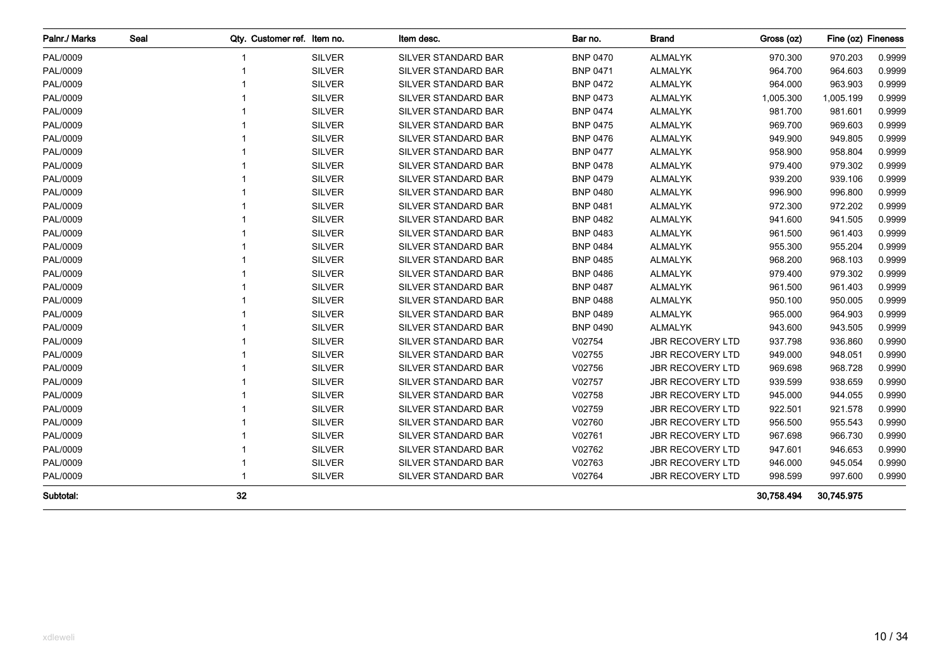| Palnr./ Marks | Seal |    | Qty. Customer ref. Item no. | Item desc.                 | Bar no.         | <b>Brand</b>            | Gross (oz) | Fine (oz) Fineness |        |
|---------------|------|----|-----------------------------|----------------------------|-----------------|-------------------------|------------|--------------------|--------|
| PAL/0009      |      |    | <b>SILVER</b>               | SILVER STANDARD BAR        | <b>BNP 0470</b> | <b>ALMALYK</b>          | 970.300    | 970.203            | 0.9999 |
| PAL/0009      |      |    | <b>SILVER</b>               | SILVER STANDARD BAR        | <b>BNP 0471</b> | <b>ALMALYK</b>          | 964.700    | 964.603            | 0.9999 |
| PAL/0009      |      |    | <b>SILVER</b>               | SILVER STANDARD BAR        | <b>BNP 0472</b> | <b>ALMALYK</b>          | 964.000    | 963.903            | 0.9999 |
| PAL/0009      |      |    | <b>SILVER</b>               | SILVER STANDARD BAR        | <b>BNP 0473</b> | <b>ALMALYK</b>          | 1,005.300  | 1,005.199          | 0.9999 |
| PAL/0009      |      |    | <b>SILVER</b>               | SILVER STANDARD BAR        | <b>BNP 0474</b> | <b>ALMALYK</b>          | 981.700    | 981.601            | 0.9999 |
| PAL/0009      |      |    | <b>SILVER</b>               | SILVER STANDARD BAR        | <b>BNP 0475</b> | <b>ALMALYK</b>          | 969.700    | 969.603            | 0.9999 |
| PAL/0009      |      |    | <b>SILVER</b>               | SILVER STANDARD BAR        | <b>BNP 0476</b> | <b>ALMALYK</b>          | 949.900    | 949.805            | 0.9999 |
| PAL/0009      |      |    | <b>SILVER</b>               | SILVER STANDARD BAR        | <b>BNP 0477</b> | <b>ALMALYK</b>          | 958.900    | 958.804            | 0.9999 |
| PAL/0009      |      |    | <b>SILVER</b>               | SILVER STANDARD BAR        | <b>BNP 0478</b> | <b>ALMALYK</b>          | 979.400    | 979.302            | 0.9999 |
| PAL/0009      |      |    | <b>SILVER</b>               | SILVER STANDARD BAR        | <b>BNP 0479</b> | ALMALYK                 | 939.200    | 939.106            | 0.9999 |
| PAL/0009      |      |    | <b>SILVER</b>               | SILVER STANDARD BAR        | <b>BNP 0480</b> | ALMALYK                 | 996.900    | 996.800            | 0.9999 |
| PAL/0009      |      |    | <b>SILVER</b>               | SILVER STANDARD BAR        | <b>BNP 0481</b> | <b>ALMALYK</b>          | 972.300    | 972.202            | 0.9999 |
| PAL/0009      |      |    | <b>SILVER</b>               | SILVER STANDARD BAR        | <b>BNP 0482</b> | <b>ALMALYK</b>          | 941.600    | 941.505            | 0.9999 |
| PAL/0009      |      |    | <b>SILVER</b>               | SILVER STANDARD BAR        | <b>BNP 0483</b> | <b>ALMALYK</b>          | 961.500    | 961.403            | 0.9999 |
| PAL/0009      |      |    | <b>SILVER</b>               | SILVER STANDARD BAR        | <b>BNP 0484</b> | <b>ALMALYK</b>          | 955.300    | 955.204            | 0.9999 |
| PAL/0009      |      |    | <b>SILVER</b>               | SILVER STANDARD BAR        | <b>BNP 0485</b> | <b>ALMALYK</b>          | 968.200    | 968.103            | 0.9999 |
| PAL/0009      |      |    | <b>SILVER</b>               | <b>SILVER STANDARD BAR</b> | <b>BNP 0486</b> | <b>ALMALYK</b>          | 979.400    | 979.302            | 0.9999 |
| PAL/0009      |      |    | <b>SILVER</b>               | <b>SILVER STANDARD BAR</b> | <b>BNP 0487</b> | <b>ALMALYK</b>          | 961.500    | 961.403            | 0.9999 |
| PAL/0009      |      |    | <b>SILVER</b>               | SILVER STANDARD BAR        | <b>BNP 0488</b> | <b>ALMALYK</b>          | 950.100    | 950.005            | 0.9999 |
| PAL/0009      |      |    | <b>SILVER</b>               | SILVER STANDARD BAR        | <b>BNP 0489</b> | <b>ALMALYK</b>          | 965.000    | 964.903            | 0.9999 |
| PAL/0009      |      |    | <b>SILVER</b>               | SILVER STANDARD BAR        | <b>BNP 0490</b> | <b>ALMALYK</b>          | 943.600    | 943.505            | 0.9999 |
| PAL/0009      |      |    | <b>SILVER</b>               | SILVER STANDARD BAR        | V02754          | <b>JBR RECOVERY LTD</b> | 937.798    | 936.860            | 0.9990 |
| PAL/0009      |      |    | <b>SILVER</b>               | SILVER STANDARD BAR        | V02755          | <b>JBR RECOVERY LTD</b> | 949.000    | 948.051            | 0.9990 |
| PAL/0009      |      |    | <b>SILVER</b>               | SILVER STANDARD BAR        | V02756          | <b>JBR RECOVERY LTD</b> | 969.698    | 968.728            | 0.9990 |
| PAL/0009      |      |    | <b>SILVER</b>               | SILVER STANDARD BAR        | V02757          | <b>JBR RECOVERY LTD</b> | 939.599    | 938.659            | 0.9990 |
| PAL/0009      |      |    | <b>SILVER</b>               | <b>SILVER STANDARD BAR</b> | V02758          | <b>JBR RECOVERY LTD</b> | 945.000    | 944.055            | 0.9990 |
| PAL/0009      |      |    | <b>SILVER</b>               | SILVER STANDARD BAR        | V02759          | <b>JBR RECOVERY LTD</b> | 922.501    | 921.578            | 0.9990 |
| PAL/0009      |      |    | <b>SILVER</b>               | SILVER STANDARD BAR        | V02760          | <b>JBR RECOVERY LTD</b> | 956.500    | 955.543            | 0.9990 |
| PAL/0009      |      |    | <b>SILVER</b>               | SILVER STANDARD BAR        | V02761          | <b>JBR RECOVERY LTD</b> | 967.698    | 966.730            | 0.9990 |
| PAL/0009      |      |    | <b>SILVER</b>               | SILVER STANDARD BAR        | V02762          | <b>JBR RECOVERY LTD</b> | 947.601    | 946.653            | 0.9990 |
| PAL/0009      |      |    | <b>SILVER</b>               | SILVER STANDARD BAR        | V02763          | <b>JBR RECOVERY LTD</b> | 946.000    | 945.054            | 0.9990 |
| PAL/0009      |      |    | <b>SILVER</b>               | SILVER STANDARD BAR        | V02764          | <b>JBR RECOVERY LTD</b> | 998.599    | 997.600            | 0.9990 |
| Subtotal:     |      | 32 |                             |                            |                 |                         | 30,758.494 | 30,745.975         |        |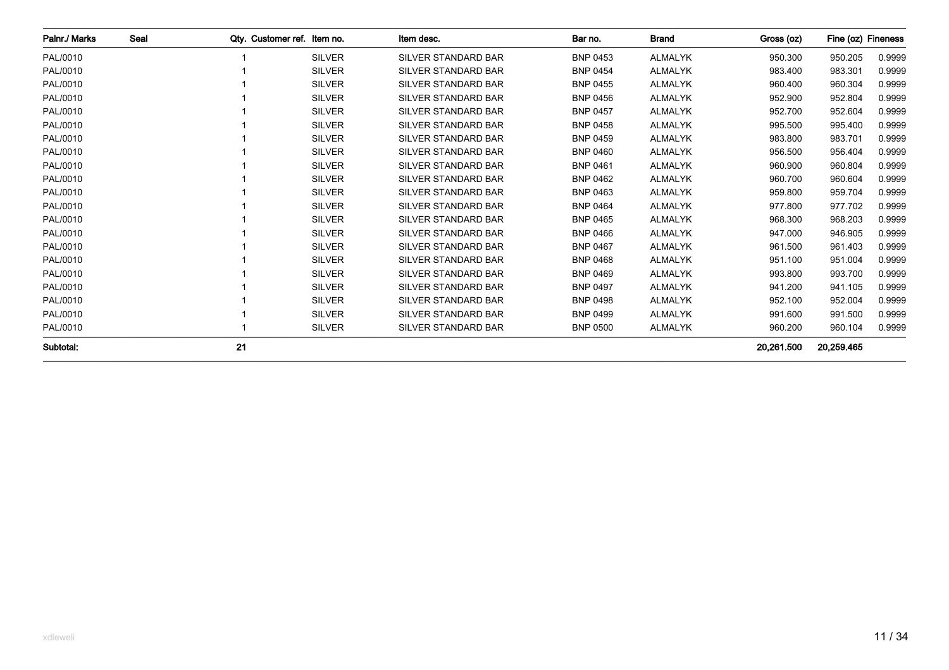| Palnr./ Marks | Seal | Qty. Customer ref. Item no. |               | Item desc.                 | Bar no.         | <b>Brand</b>   | Gross (oz) | Fine (oz) Fineness |        |
|---------------|------|-----------------------------|---------------|----------------------------|-----------------|----------------|------------|--------------------|--------|
| PAL/0010      |      |                             | <b>SILVER</b> | <b>SILVER STANDARD BAR</b> | <b>BNP 0453</b> | <b>ALMALYK</b> | 950.300    | 950.205            | 0.9999 |
| PAL/0010      |      |                             | <b>SILVER</b> | <b>SILVER STANDARD BAR</b> | <b>BNP 0454</b> | <b>ALMALYK</b> | 983.400    | 983.301            | 0.9999 |
| PAL/0010      |      |                             | <b>SILVER</b> | <b>SILVER STANDARD BAR</b> | <b>BNP 0455</b> | <b>ALMALYK</b> | 960.400    | 960.304            | 0.9999 |
| PAL/0010      |      |                             | <b>SILVER</b> | <b>SILVER STANDARD BAR</b> | <b>BNP 0456</b> | <b>ALMALYK</b> | 952.900    | 952.804            | 0.9999 |
| PAL/0010      |      |                             | <b>SILVER</b> | <b>SILVER STANDARD BAR</b> | <b>BNP 0457</b> | <b>ALMALYK</b> | 952.700    | 952.604            | 0.9999 |
| PAL/0010      |      |                             | <b>SILVER</b> | <b>SILVER STANDARD BAR</b> | <b>BNP 0458</b> | <b>ALMALYK</b> | 995.500    | 995.400            | 0.9999 |
| PAL/0010      |      |                             | <b>SILVER</b> | SILVER STANDARD BAR        | <b>BNP 0459</b> | <b>ALMALYK</b> | 983.800    | 983.701            | 0.9999 |
| PAL/0010      |      |                             | <b>SILVER</b> | <b>SILVER STANDARD BAR</b> | <b>BNP 0460</b> | <b>ALMALYK</b> | 956.500    | 956.404            | 0.9999 |
| PAL/0010      |      |                             | <b>SILVER</b> | SILVER STANDARD BAR        | <b>BNP 0461</b> | <b>ALMALYK</b> | 960.900    | 960.804            | 0.9999 |
| PAL/0010      |      |                             | <b>SILVER</b> | <b>SILVER STANDARD BAR</b> | <b>BNP 0462</b> | <b>ALMALYK</b> | 960.700    | 960.604            | 0.9999 |
| PAL/0010      |      |                             | <b>SILVER</b> | <b>SILVER STANDARD BAR</b> | <b>BNP 0463</b> | <b>ALMALYK</b> | 959.800    | 959.704            | 0.9999 |
| PAL/0010      |      |                             | <b>SILVER</b> | <b>SILVER STANDARD BAR</b> | <b>BNP 0464</b> | <b>ALMALYK</b> | 977.800    | 977.702            | 0.9999 |
| PAL/0010      |      |                             | <b>SILVER</b> | <b>SILVER STANDARD BAR</b> | <b>BNP 0465</b> | <b>ALMALYK</b> | 968.300    | 968.203            | 0.9999 |
| PAL/0010      |      |                             | <b>SILVER</b> | <b>SILVER STANDARD BAR</b> | <b>BNP 0466</b> | <b>ALMALYK</b> | 947.000    | 946.905            | 0.9999 |
| PAL/0010      |      |                             | <b>SILVER</b> | <b>SILVER STANDARD BAR</b> | <b>BNP 0467</b> | ALMALYK        | 961.500    | 961.403            | 0.9999 |
| PAL/0010      |      |                             | <b>SILVER</b> | <b>SILVER STANDARD BAR</b> | <b>BNP 0468</b> | <b>ALMALYK</b> | 951.100    | 951.004            | 0.9999 |
| PAL/0010      |      |                             | <b>SILVER</b> | <b>SILVER STANDARD BAR</b> | <b>BNP 0469</b> | <b>ALMALYK</b> | 993.800    | 993.700            | 0.9999 |
| PAL/0010      |      |                             | <b>SILVER</b> | <b>SILVER STANDARD BAR</b> | <b>BNP 0497</b> | <b>ALMALYK</b> | 941.200    | 941.105            | 0.9999 |
| PAL/0010      |      |                             | <b>SILVER</b> | <b>SILVER STANDARD BAR</b> | <b>BNP 0498</b> | <b>ALMALYK</b> | 952.100    | 952.004            | 0.9999 |
| PAL/0010      |      |                             | <b>SILVER</b> | <b>SILVER STANDARD BAR</b> | <b>BNP 0499</b> | <b>ALMALYK</b> | 991.600    | 991.500            | 0.9999 |
| PAL/0010      |      |                             | <b>SILVER</b> | SILVER STANDARD BAR        | <b>BNP 0500</b> | <b>ALMALYK</b> | 960.200    | 960.104            | 0.9999 |
| Subtotal:     |      | 21                          |               |                            |                 |                | 20.261.500 | 20,259.465         |        |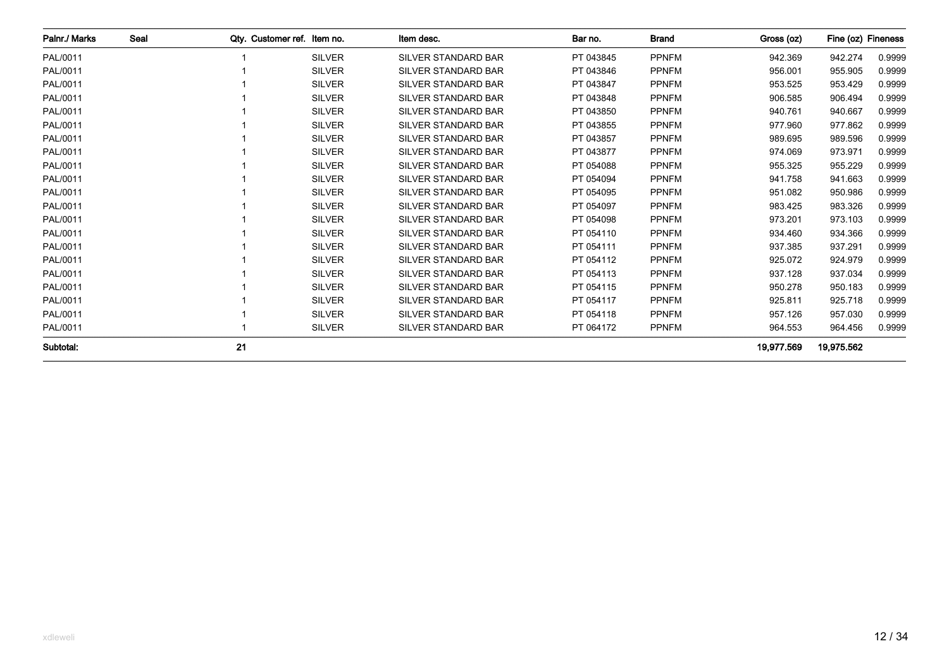| Palnr./ Marks | Seal | Qty. Customer ref. Item no. |               | Item desc.                 | Bar no.   | <b>Brand</b> | Gross (oz) | Fine (oz) Fineness |        |
|---------------|------|-----------------------------|---------------|----------------------------|-----------|--------------|------------|--------------------|--------|
| PAL/0011      |      |                             | <b>SILVER</b> | <b>SILVER STANDARD BAR</b> | PT 043845 | <b>PPNFM</b> | 942.369    | 942.274            | 0.9999 |
| PAL/0011      |      |                             | <b>SILVER</b> | <b>SILVER STANDARD BAR</b> | PT 043846 | <b>PPNFM</b> | 956.001    | 955.905            | 0.9999 |
| PAL/0011      |      |                             | <b>SILVER</b> | <b>SILVER STANDARD BAR</b> | PT 043847 | <b>PPNFM</b> | 953.525    | 953.429            | 0.9999 |
| PAL/0011      |      |                             | <b>SILVER</b> | <b>SILVER STANDARD BAR</b> | PT 043848 | <b>PPNFM</b> | 906.585    | 906.494            | 0.9999 |
| PAL/0011      |      |                             | <b>SILVER</b> | <b>SILVER STANDARD BAR</b> | PT 043850 | <b>PPNFM</b> | 940.761    | 940.667            | 0.9999 |
| PAL/0011      |      |                             | <b>SILVER</b> | <b>SILVER STANDARD BAR</b> | PT 043855 | <b>PPNFM</b> | 977.960    | 977.862            | 0.9999 |
| PAL/0011      |      |                             | <b>SILVER</b> | SILVER STANDARD BAR        | PT 043857 | <b>PPNFM</b> | 989.695    | 989.596            | 0.9999 |
| PAL/0011      |      |                             | <b>SILVER</b> | <b>SILVER STANDARD BAR</b> | PT 043877 | <b>PPNFM</b> | 974.069    | 973.971            | 0.9999 |
| PAL/0011      |      |                             | <b>SILVER</b> | SILVER STANDARD BAR        | PT 054088 | <b>PPNFM</b> | 955.325    | 955.229            | 0.9999 |
| PAL/0011      |      |                             | <b>SILVER</b> | <b>SILVER STANDARD BAR</b> | PT 054094 | <b>PPNFM</b> | 941.758    | 941.663            | 0.9999 |
| PAL/0011      |      |                             | <b>SILVER</b> | <b>SILVER STANDARD BAR</b> | PT 054095 | <b>PPNFM</b> | 951.082    | 950.986            | 0.9999 |
| PAL/0011      |      |                             | <b>SILVER</b> | <b>SILVER STANDARD BAR</b> | PT 054097 | <b>PPNFM</b> | 983.425    | 983.326            | 0.9999 |
| PAL/0011      |      |                             | <b>SILVER</b> | <b>SILVER STANDARD BAR</b> | PT 054098 | <b>PPNFM</b> | 973.201    | 973.103            | 0.9999 |
| PAL/0011      |      |                             | <b>SILVER</b> | <b>SILVER STANDARD BAR</b> | PT 054110 | <b>PPNFM</b> | 934.460    | 934.366            | 0.9999 |
| PAL/0011      |      |                             | <b>SILVER</b> | <b>SILVER STANDARD BAR</b> | PT 054111 | <b>PPNFM</b> | 937.385    | 937.291            | 0.9999 |
| PAL/0011      |      |                             | <b>SILVER</b> | <b>SILVER STANDARD BAR</b> | PT 054112 | <b>PPNFM</b> | 925.072    | 924.979            | 0.9999 |
| PAL/0011      |      |                             | <b>SILVER</b> | <b>SILVER STANDARD BAR</b> | PT 054113 | <b>PPNFM</b> | 937.128    | 937.034            | 0.9999 |
| PAL/0011      |      |                             | <b>SILVER</b> | <b>SILVER STANDARD BAR</b> | PT 054115 | <b>PPNFM</b> | 950.278    | 950.183            | 0.9999 |
| PAL/0011      |      |                             | <b>SILVER</b> | <b>SILVER STANDARD BAR</b> | PT 054117 | <b>PPNFM</b> | 925.811    | 925.718            | 0.9999 |
| PAL/0011      |      |                             | <b>SILVER</b> | <b>SILVER STANDARD BAR</b> | PT 054118 | <b>PPNFM</b> | 957.126    | 957.030            | 0.9999 |
| PAL/0011      |      |                             | <b>SILVER</b> | SILVER STANDARD BAR        | PT 064172 | <b>PPNFM</b> | 964.553    | 964.456            | 0.9999 |
| Subtotal.     |      | 21                          |               |                            |           |              | 19.977.569 | 19,975.562         |        |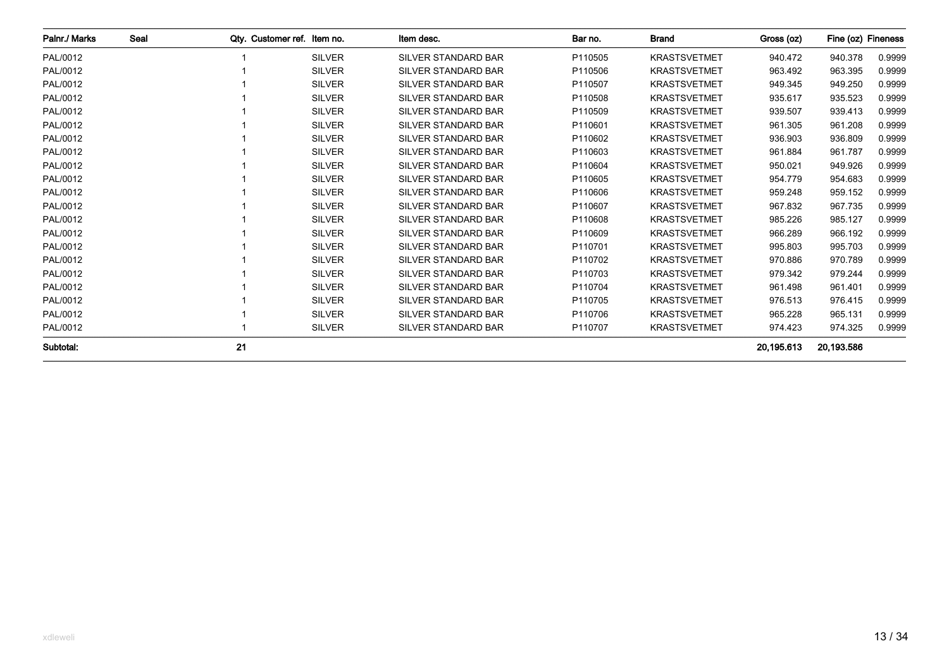| Palnr./ Marks | Seal | Qty. Customer ref. Item no. |               | Item desc.                 | Bar no. | <b>Brand</b>        | Gross (oz) | Fine (oz) Fineness |        |
|---------------|------|-----------------------------|---------------|----------------------------|---------|---------------------|------------|--------------------|--------|
| PAL/0012      |      |                             | <b>SILVER</b> | <b>SILVER STANDARD BAR</b> | P110505 | <b>KRASTSVETMET</b> | 940.472    | 940.378            | 0.9999 |
| PAL/0012      |      |                             | <b>SILVER</b> | <b>SILVER STANDARD BAR</b> | P110506 | <b>KRASTSVETMET</b> | 963.492    | 963.395            | 0.9999 |
| PAL/0012      |      |                             | <b>SILVER</b> | <b>SILVER STANDARD BAR</b> | P110507 | <b>KRASTSVETMET</b> | 949.345    | 949.250            | 0.9999 |
| PAL/0012      |      |                             | <b>SILVER</b> | <b>SILVER STANDARD BAR</b> | P110508 | <b>KRASTSVETMET</b> | 935.617    | 935.523            | 0.9999 |
| PAL/0012      |      |                             | <b>SILVER</b> | <b>SILVER STANDARD BAR</b> | P110509 | <b>KRASTSVETMET</b> | 939.507    | 939.413            | 0.9999 |
| PAL/0012      |      |                             | <b>SILVER</b> | <b>SILVER STANDARD BAR</b> | P110601 | <b>KRASTSVETMET</b> | 961.305    | 961.208            | 0.9999 |
| PAL/0012      |      |                             | <b>SILVER</b> | <b>SILVER STANDARD BAR</b> | P110602 | <b>KRASTSVETMET</b> | 936.903    | 936.809            | 0.9999 |
| PAL/0012      |      |                             | <b>SILVER</b> | <b>SILVER STANDARD BAR</b> | P110603 | <b>KRASTSVETMET</b> | 961.884    | 961.787            | 0.9999 |
| PAL/0012      |      |                             | <b>SILVER</b> | <b>SILVER STANDARD BAR</b> | P110604 | <b>KRASTSVETMET</b> | 950.021    | 949.926            | 0.9999 |
| PAL/0012      |      |                             | <b>SILVER</b> | <b>SILVER STANDARD BAR</b> | P110605 | <b>KRASTSVETMET</b> | 954.779    | 954.683            | 0.9999 |
| PAL/0012      |      |                             | <b>SILVER</b> | <b>SILVER STANDARD BAR</b> | P110606 | <b>KRASTSVETMET</b> | 959.248    | 959.152            | 0.9999 |
| PAL/0012      |      |                             | <b>SILVER</b> | <b>SILVER STANDARD BAR</b> | P110607 | <b>KRASTSVETMET</b> | 967.832    | 967.735            | 0.9999 |
| PAL/0012      |      |                             | <b>SILVER</b> | <b>SILVER STANDARD BAR</b> | P110608 | <b>KRASTSVETMET</b> | 985.226    | 985.127            | 0.9999 |
| PAL/0012      |      |                             | <b>SILVER</b> | <b>SILVER STANDARD BAR</b> | P110609 | <b>KRASTSVETMET</b> | 966.289    | 966.192            | 0.9999 |
| PAL/0012      |      |                             | <b>SILVER</b> | <b>SILVER STANDARD BAR</b> | P110701 | <b>KRASTSVETMET</b> | 995.803    | 995.703            | 0.9999 |
| PAL/0012      |      |                             | <b>SILVER</b> | <b>SILVER STANDARD BAR</b> | P110702 | <b>KRASTSVETMET</b> | 970.886    | 970.789            | 0.9999 |
| PAL/0012      |      |                             | <b>SILVER</b> | <b>SILVER STANDARD BAR</b> | P110703 | <b>KRASTSVETMET</b> | 979.342    | 979.244            | 0.9999 |
| PAL/0012      |      |                             | <b>SILVER</b> | <b>SILVER STANDARD BAR</b> | P110704 | <b>KRASTSVETMET</b> | 961.498    | 961.401            | 0.9999 |
| PAL/0012      |      |                             | <b>SILVER</b> | <b>SILVER STANDARD BAR</b> | P110705 | <b>KRASTSVETMET</b> | 976.513    | 976.415            | 0.9999 |
| PAL/0012      |      |                             | <b>SILVER</b> | <b>SILVER STANDARD BAR</b> | P110706 | <b>KRASTSVETMET</b> | 965.228    | 965.131            | 0.9999 |
| PAL/0012      |      |                             | <b>SILVER</b> | SILVER STANDARD BAR        | P110707 | <b>KRASTSVETMET</b> | 974.423    | 974.325            | 0.9999 |
| Subtotal:     |      | 21                          |               |                            |         |                     | 20.195.613 | 20,193.586         |        |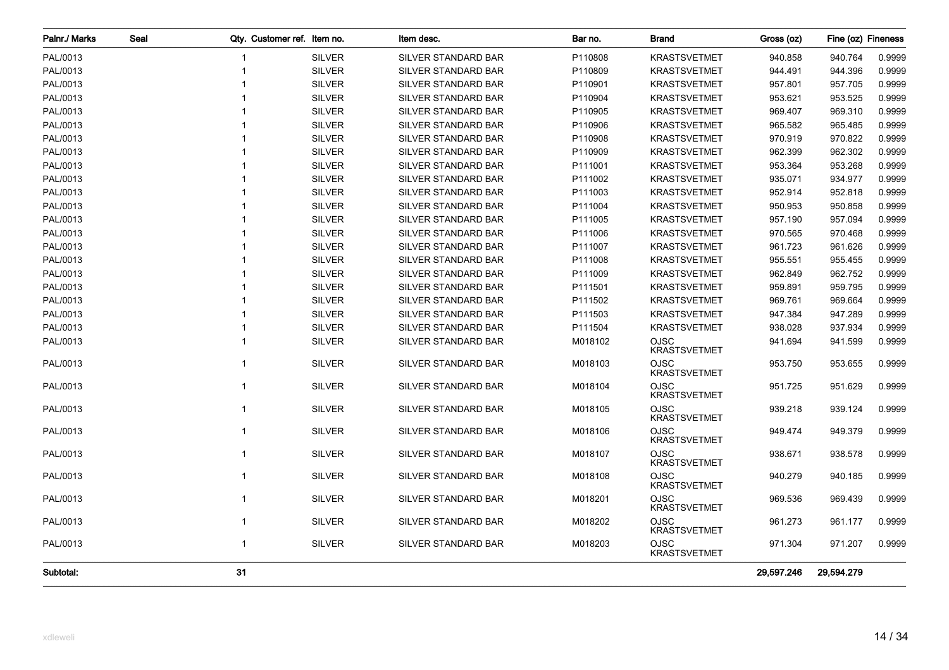| Palnr./ Marks | Seal |              | Qty. Customer ref. Item no. | Item desc.          | Bar no. | <b>Brand</b>                       | Gross (oz) | Fine (oz) Fineness |        |
|---------------|------|--------------|-----------------------------|---------------------|---------|------------------------------------|------------|--------------------|--------|
| PAL/0013      |      |              | <b>SILVER</b>               | SILVER STANDARD BAR | P110808 | <b>KRASTSVETMET</b>                | 940.858    | 940.764            | 0.9999 |
| PAL/0013      |      |              | <b>SILVER</b>               | SILVER STANDARD BAR | P110809 | <b>KRASTSVETMET</b>                | 944.491    | 944.396            | 0.9999 |
| PAL/0013      |      |              | <b>SILVER</b>               | SILVER STANDARD BAR | P110901 | <b>KRASTSVETMET</b>                | 957.801    | 957.705            | 0.9999 |
| PAL/0013      |      |              | <b>SILVER</b>               | SILVER STANDARD BAR | P110904 | <b>KRASTSVETMET</b>                | 953.621    | 953.525            | 0.9999 |
| PAL/0013      |      |              | <b>SILVER</b>               | SILVER STANDARD BAR | P110905 | <b>KRASTSVETMET</b>                | 969.407    | 969.310            | 0.9999 |
| PAL/0013      |      |              | <b>SILVER</b>               | SILVER STANDARD BAR | P110906 | <b>KRASTSVETMET</b>                | 965.582    | 965.485            | 0.9999 |
| PAL/0013      |      |              | <b>SILVER</b>               | SILVER STANDARD BAR | P110908 | <b>KRASTSVETMET</b>                | 970.919    | 970.822            | 0.9999 |
| PAL/0013      |      |              | <b>SILVER</b>               | SILVER STANDARD BAR | P110909 | <b>KRASTSVETMET</b>                | 962.399    | 962.302            | 0.9999 |
| PAL/0013      |      |              | <b>SILVER</b>               | SILVER STANDARD BAR | P111001 | <b>KRASTSVETMET</b>                | 953.364    | 953.268            | 0.9999 |
| PAL/0013      |      |              | <b>SILVER</b>               | SILVER STANDARD BAR | P111002 | <b>KRASTSVETMET</b>                | 935.071    | 934.977            | 0.9999 |
| PAL/0013      |      |              | <b>SILVER</b>               | SILVER STANDARD BAR | P111003 | <b>KRASTSVETMET</b>                | 952.914    | 952.818            | 0.9999 |
| PAL/0013      |      |              | <b>SILVER</b>               | SILVER STANDARD BAR | P111004 | <b>KRASTSVETMET</b>                | 950.953    | 950.858            | 0.9999 |
| PAL/0013      |      |              | <b>SILVER</b>               | SILVER STANDARD BAR | P111005 | <b>KRASTSVETMET</b>                | 957.190    | 957.094            | 0.9999 |
| PAL/0013      |      |              | <b>SILVER</b>               | SILVER STANDARD BAR | P111006 | <b>KRASTSVETMET</b>                | 970.565    | 970.468            | 0.9999 |
| PAL/0013      |      |              | <b>SILVER</b>               | SILVER STANDARD BAR | P111007 | <b>KRASTSVETMET</b>                | 961.723    | 961.626            | 0.9999 |
| PAL/0013      |      |              | <b>SILVER</b>               | SILVER STANDARD BAR | P111008 | <b>KRASTSVETMET</b>                | 955.551    | 955.455            | 0.9999 |
| PAL/0013      |      |              | <b>SILVER</b>               | SILVER STANDARD BAR | P111009 | <b>KRASTSVETMET</b>                | 962.849    | 962.752            | 0.9999 |
| PAL/0013      |      |              | <b>SILVER</b>               | SILVER STANDARD BAR | P111501 | <b>KRASTSVETMET</b>                | 959.891    | 959.795            | 0.9999 |
| PAL/0013      |      |              | <b>SILVER</b>               | SILVER STANDARD BAR | P111502 | <b>KRASTSVETMET</b>                | 969.761    | 969.664            | 0.9999 |
| PAL/0013      |      |              | <b>SILVER</b>               | SILVER STANDARD BAR | P111503 | <b>KRASTSVETMET</b>                | 947.384    | 947.289            | 0.9999 |
| PAL/0013      |      |              | <b>SILVER</b>               | SILVER STANDARD BAR | P111504 | <b>KRASTSVETMET</b>                | 938.028    | 937.934            | 0.9999 |
| PAL/0013      |      |              | <b>SILVER</b>               | SILVER STANDARD BAR | M018102 | <b>OJSC</b><br><b>KRASTSVETMET</b> | 941.694    | 941.599            | 0.9999 |
| PAL/0013      |      | 1            | <b>SILVER</b>               | SILVER STANDARD BAR | M018103 | <b>OJSC</b><br><b>KRASTSVETMET</b> | 953.750    | 953.655            | 0.9999 |
| PAL/0013      |      | $\mathbf{1}$ | <b>SILVER</b>               | SILVER STANDARD BAR | M018104 | <b>OJSC</b><br><b>KRASTSVETMET</b> | 951.725    | 951.629            | 0.9999 |
| PAL/0013      |      | $\mathbf{1}$ | <b>SILVER</b>               | SILVER STANDARD BAR | M018105 | <b>OJSC</b><br><b>KRASTSVETMET</b> | 939.218    | 939.124            | 0.9999 |
| PAL/0013      |      | $\mathbf{1}$ | <b>SILVER</b>               | SILVER STANDARD BAR | M018106 | <b>OJSC</b><br><b>KRASTSVETMET</b> | 949.474    | 949.379            | 0.9999 |
| PAL/0013      |      | $\mathbf{1}$ | <b>SILVER</b>               | SILVER STANDARD BAR | M018107 | OJSC<br><b>KRASTSVETMET</b>        | 938.671    | 938.578            | 0.9999 |
| PAL/0013      |      | $\mathbf{1}$ | <b>SILVER</b>               | SILVER STANDARD BAR | M018108 | <b>OJSC</b><br><b>KRASTSVETMET</b> | 940.279    | 940.185            | 0.9999 |
| PAL/0013      |      | $\mathbf{1}$ | <b>SILVER</b>               | SILVER STANDARD BAR | M018201 | <b>OJSC</b><br><b>KRASTSVETMET</b> | 969.536    | 969.439            | 0.9999 |
| PAL/0013      |      | $\mathbf{1}$ | <b>SILVER</b>               | SILVER STANDARD BAR | M018202 | <b>OJSC</b><br><b>KRASTSVETMET</b> | 961.273    | 961.177            | 0.9999 |
| PAL/0013      |      | $\mathbf{1}$ | <b>SILVER</b>               | SILVER STANDARD BAR | M018203 | OJSC<br><b>KRASTSVETMET</b>        | 971.304    | 971.207            | 0.9999 |
| Subtotal:     |      | 31           |                             |                     |         |                                    | 29,597.246 | 29,594.279         |        |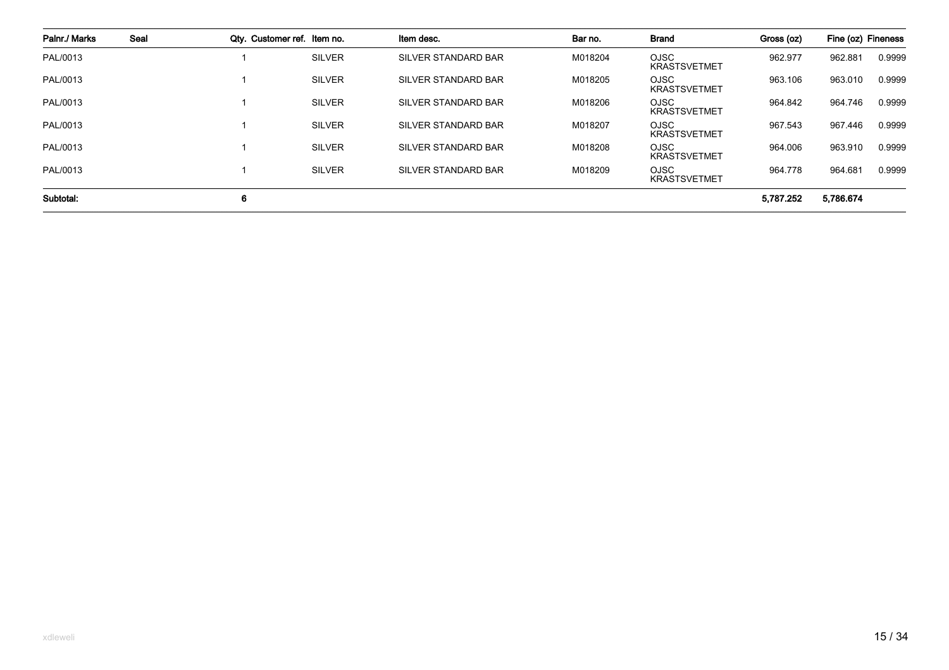| Palnr./ Marks | Seal | Qty. Customer ref. Item no. |               | Item desc.                 | Bar no. | <b>Brand</b>                       | Gross (oz) | Fine (oz) Fineness |        |
|---------------|------|-----------------------------|---------------|----------------------------|---------|------------------------------------|------------|--------------------|--------|
| PAL/0013      |      |                             | <b>SILVER</b> | <b>SILVER STANDARD BAR</b> | M018204 | <b>OJSC</b><br><b>KRASTSVETMET</b> | 962.977    | 962.881            | 0.9999 |
| PAL/0013      |      |                             | <b>SILVER</b> | SILVER STANDARD BAR        | M018205 | <b>OJSC</b><br><b>KRASTSVETMET</b> | 963.106    | 963.010            | 0.9999 |
| PAL/0013      |      |                             | <b>SILVER</b> | SILVER STANDARD BAR        | M018206 | <b>OJSC</b><br><b>KRASTSVETMET</b> | 964.842    | 964.746            | 0.9999 |
| PAL/0013      |      |                             | <b>SILVER</b> | <b>SILVER STANDARD BAR</b> | M018207 | <b>OJSC</b><br><b>KRASTSVETMET</b> | 967.543    | 967.446            | 0.9999 |
| PAL/0013      |      |                             | <b>SILVER</b> | SILVER STANDARD BAR        | M018208 | <b>OJSC</b><br><b>KRASTSVETMET</b> | 964.006    | 963.910            | 0.9999 |
| PAL/0013      |      |                             | <b>SILVER</b> | SILVER STANDARD BAR        | M018209 | <b>OJSC</b><br><b>KRASTSVETMET</b> | 964.778    | 964.681            | 0.9999 |
| Subtotal:     |      | 6                           |               |                            |         |                                    | 5,787.252  | 5,786.674          |        |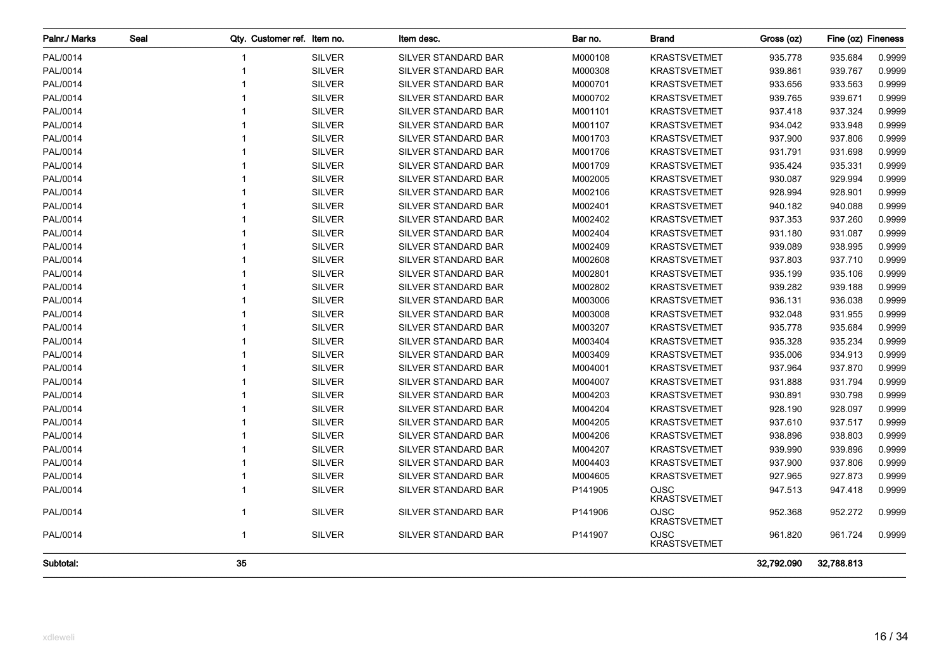| Palnr./ Marks | Seal |              | Qty. Customer ref. Item no. |               | Item desc.                 | Bar no. | <b>Brand</b>                       | Gross (oz) | Fine (oz) Fineness |        |
|---------------|------|--------------|-----------------------------|---------------|----------------------------|---------|------------------------------------|------------|--------------------|--------|
| PAL/0014      |      |              |                             | <b>SILVER</b> | SILVER STANDARD BAR        | M000108 | <b>KRASTSVETMET</b>                | 935.778    | 935.684            | 0.9999 |
| PAL/0014      |      |              |                             | <b>SILVER</b> | SILVER STANDARD BAR        | M000308 | <b>KRASTSVETMET</b>                | 939.861    | 939.767            | 0.9999 |
| PAL/0014      |      |              |                             | <b>SILVER</b> | SILVER STANDARD BAR        | M000701 | <b>KRASTSVETMET</b>                | 933.656    | 933.563            | 0.9999 |
| PAL/0014      |      |              |                             | <b>SILVER</b> | SILVER STANDARD BAR        | M000702 | <b>KRASTSVETMET</b>                | 939.765    | 939.671            | 0.9999 |
| PAL/0014      |      |              |                             | <b>SILVER</b> | SILVER STANDARD BAR        | M001101 | <b>KRASTSVETMET</b>                | 937.418    | 937.324            | 0.9999 |
| PAL/0014      |      |              |                             | <b>SILVER</b> | SILVER STANDARD BAR        | M001107 | <b>KRASTSVETMET</b>                | 934.042    | 933.948            | 0.9999 |
| PAL/0014      |      |              |                             | <b>SILVER</b> | SILVER STANDARD BAR        | M001703 | <b>KRASTSVETMET</b>                | 937.900    | 937.806            | 0.9999 |
| PAL/0014      |      |              |                             | <b>SILVER</b> | SILVER STANDARD BAR        | M001706 | <b>KRASTSVETMET</b>                | 931.791    | 931.698            | 0.9999 |
| PAL/0014      |      |              |                             | <b>SILVER</b> | SILVER STANDARD BAR        | M001709 | <b>KRASTSVETMET</b>                | 935.424    | 935.331            | 0.9999 |
| PAL/0014      |      |              |                             | <b>SILVER</b> | SILVER STANDARD BAR        | M002005 | <b>KRASTSVETMET</b>                | 930.087    | 929.994            | 0.9999 |
| PAL/0014      |      |              |                             | <b>SILVER</b> | SILVER STANDARD BAR        | M002106 | <b>KRASTSVETMET</b>                | 928.994    | 928.901            | 0.9999 |
| PAL/0014      |      |              |                             | <b>SILVER</b> | SILVER STANDARD BAR        | M002401 | <b>KRASTSVETMET</b>                | 940.182    | 940.088            | 0.9999 |
| PAL/0014      |      |              |                             | <b>SILVER</b> | SILVER STANDARD BAR        | M002402 | <b>KRASTSVETMET</b>                | 937.353    | 937.260            | 0.9999 |
| PAL/0014      |      |              |                             | <b>SILVER</b> | SILVER STANDARD BAR        | M002404 | <b>KRASTSVETMET</b>                | 931.180    | 931.087            | 0.9999 |
| PAL/0014      |      |              |                             | <b>SILVER</b> | SILVER STANDARD BAR        | M002409 | <b>KRASTSVETMET</b>                | 939.089    | 938.995            | 0.9999 |
| PAL/0014      |      |              |                             | <b>SILVER</b> | SILVER STANDARD BAR        | M002608 | <b>KRASTSVETMET</b>                | 937.803    | 937.710            | 0.9999 |
| PAL/0014      |      |              |                             | <b>SILVER</b> | SILVER STANDARD BAR        | M002801 | <b>KRASTSVETMET</b>                | 935.199    | 935.106            | 0.9999 |
| PAL/0014      |      |              |                             | <b>SILVER</b> | SILVER STANDARD BAR        | M002802 | <b>KRASTSVETMET</b>                | 939.282    | 939.188            | 0.9999 |
| PAL/0014      |      |              |                             | <b>SILVER</b> | SILVER STANDARD BAR        | M003006 | <b>KRASTSVETMET</b>                | 936.131    | 936.038            | 0.9999 |
| PAL/0014      |      |              |                             | <b>SILVER</b> | SILVER STANDARD BAR        | M003008 | <b>KRASTSVETMET</b>                | 932.048    | 931.955            | 0.9999 |
| PAL/0014      |      |              |                             | <b>SILVER</b> | <b>SILVER STANDARD BAR</b> | M003207 | <b>KRASTSVETMET</b>                | 935.778    | 935.684            | 0.9999 |
| PAL/0014      |      |              |                             | <b>SILVER</b> | SILVER STANDARD BAR        | M003404 | <b>KRASTSVETMET</b>                | 935.328    | 935.234            | 0.9999 |
| PAL/0014      |      |              |                             | <b>SILVER</b> | SILVER STANDARD BAR        | M003409 | <b>KRASTSVETMET</b>                | 935.006    | 934.913            | 0.9999 |
| PAL/0014      |      |              |                             | <b>SILVER</b> | SILVER STANDARD BAR        | M004001 | <b>KRASTSVETMET</b>                | 937.964    | 937.870            | 0.9999 |
| PAL/0014      |      |              |                             | <b>SILVER</b> | SILVER STANDARD BAR        | M004007 | <b>KRASTSVETMET</b>                | 931.888    | 931.794            | 0.9999 |
| PAL/0014      |      |              |                             | <b>SILVER</b> | SILVER STANDARD BAR        | M004203 | <b>KRASTSVETMET</b>                | 930.891    | 930.798            | 0.9999 |
| PAL/0014      |      |              |                             | <b>SILVER</b> | SILVER STANDARD BAR        | M004204 | <b>KRASTSVETMET</b>                | 928.190    | 928.097            | 0.9999 |
| PAL/0014      |      |              |                             | <b>SILVER</b> | SILVER STANDARD BAR        | M004205 | <b>KRASTSVETMET</b>                | 937.610    | 937.517            | 0.9999 |
| PAL/0014      |      |              |                             | <b>SILVER</b> | SILVER STANDARD BAR        | M004206 | <b>KRASTSVETMET</b>                | 938.896    | 938.803            | 0.9999 |
| PAL/0014      |      |              |                             | <b>SILVER</b> | SILVER STANDARD BAR        | M004207 | <b>KRASTSVETMET</b>                | 939.990    | 939.896            | 0.9999 |
| PAL/0014      |      |              |                             | <b>SILVER</b> | SILVER STANDARD BAR        | M004403 | <b>KRASTSVETMET</b>                | 937.900    | 937.806            | 0.9999 |
| PAL/0014      |      |              |                             | <b>SILVER</b> | SILVER STANDARD BAR        | M004605 | <b>KRASTSVETMET</b>                | 927.965    | 927.873            | 0.9999 |
| PAL/0014      |      |              |                             | <b>SILVER</b> | SILVER STANDARD BAR        | P141905 | OJSC<br><b>KRASTSVETMET</b>        | 947.513    | 947.418            | 0.9999 |
| PAL/0014      |      | $\mathbf{1}$ |                             | <b>SILVER</b> | SILVER STANDARD BAR        | P141906 | <b>OJSC</b><br><b>KRASTSVETMET</b> | 952.368    | 952.272            | 0.9999 |
| PAL/0014      |      | $\mathbf{1}$ |                             | <b>SILVER</b> | SILVER STANDARD BAR        | P141907 | OJSC<br><b>KRASTSVETMET</b>        | 961.820    | 961.724            | 0.9999 |
| Subtotal:     |      | 35           |                             |               |                            |         |                                    | 32,792.090 | 32,788.813         |        |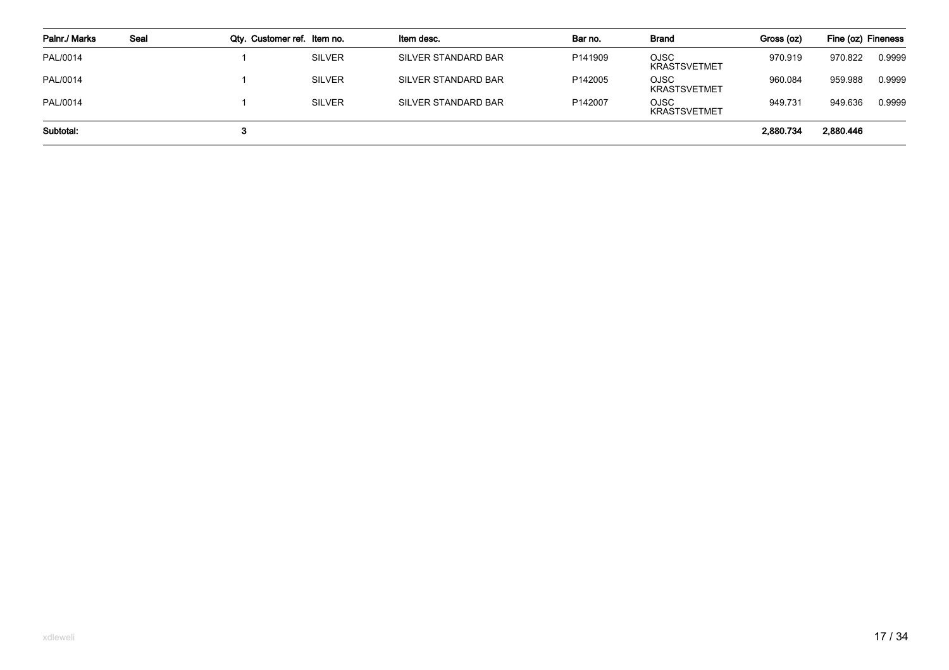| Palnr./ Marks | Seal | Qty. Customer ref. Item no. |               | Item desc.          | Bar no. | Brand                              | Gross (oz) | Fine (oz) Fineness |        |
|---------------|------|-----------------------------|---------------|---------------------|---------|------------------------------------|------------|--------------------|--------|
| PAL/0014      |      |                             | <b>SILVER</b> | SILVER STANDARD BAR | P141909 | <b>OJSC</b><br><b>KRASTSVETMET</b> | 970.919    | 970.822            | 0.9999 |
| PAL/0014      |      |                             | <b>SILVER</b> | SILVER STANDARD BAR | P142005 | OJSC<br><b>KRASTSVETMET</b>        | 960.084    | 959.988            | 0.9999 |
| PAL/0014      |      |                             | <b>SILVER</b> | SILVER STANDARD BAR | P142007 | <b>OJSC</b><br><b>KRASTSVETMET</b> | 949.731    | 949.636            | 0.9999 |
| Subtotal:     |      |                             |               |                     |         |                                    | 2,880.734  | 2,880.446          |        |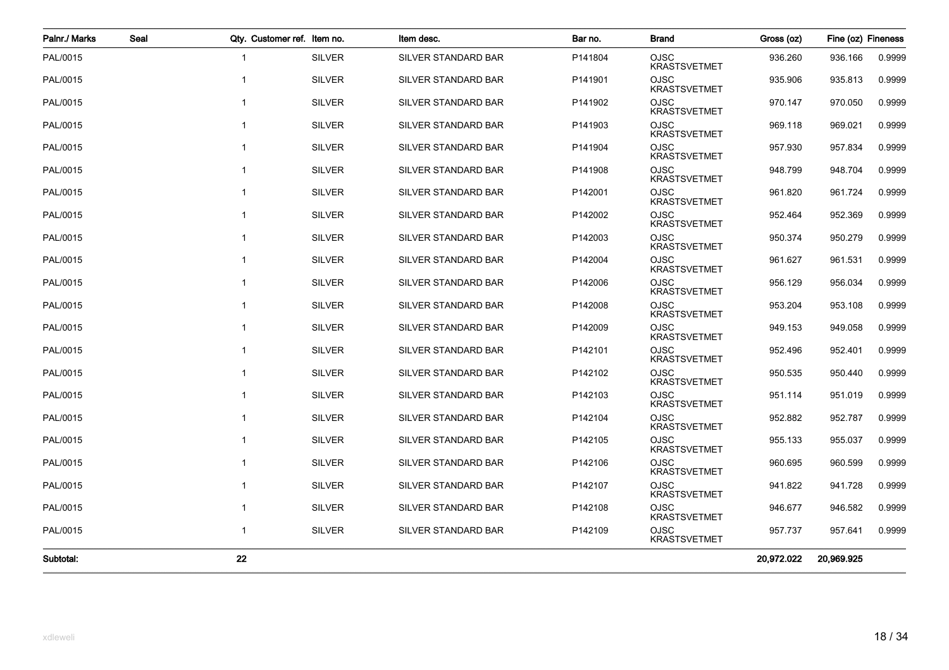| Palnr./ Marks | Seal | Qty. Customer ref. Item no. |               | Item desc.          | Bar no. | <b>Brand</b>                       | Gross (oz) | Fine (oz) Fineness |        |
|---------------|------|-----------------------------|---------------|---------------------|---------|------------------------------------|------------|--------------------|--------|
| PAL/0015      |      | -1                          | <b>SILVER</b> | SILVER STANDARD BAR | P141804 | OJSC<br><b>KRASTSVETMET</b>        | 936.260    | 936.166            | 0.9999 |
| PAL/0015      |      |                             | <b>SILVER</b> | SILVER STANDARD BAR | P141901 | <b>OJSC</b><br><b>KRASTSVETMET</b> | 935.906    | 935.813            | 0.9999 |
| PAL/0015      |      | $\mathbf{1}$                | <b>SILVER</b> | SILVER STANDARD BAR | P141902 | <b>OJSC</b><br><b>KRASTSVETMET</b> | 970.147    | 970.050            | 0.9999 |
| PAL/0015      |      | 1                           | <b>SILVER</b> | SILVER STANDARD BAR | P141903 | <b>OJSC</b><br><b>KRASTSVETMET</b> | 969.118    | 969.021            | 0.9999 |
| PAL/0015      |      |                             | <b>SILVER</b> | SILVER STANDARD BAR | P141904 | <b>OJSC</b><br><b>KRASTSVETMET</b> | 957.930    | 957.834            | 0.9999 |
| PAL/0015      |      |                             | <b>SILVER</b> | SILVER STANDARD BAR | P141908 | <b>OJSC</b><br><b>KRASTSVETMET</b> | 948.799    | 948.704            | 0.9999 |
| PAL/0015      |      |                             | <b>SILVER</b> | SILVER STANDARD BAR | P142001 | <b>OJSC</b><br><b>KRASTSVETMET</b> | 961.820    | 961.724            | 0.9999 |
| PAL/0015      |      |                             | <b>SILVER</b> | SILVER STANDARD BAR | P142002 | <b>OJSC</b><br><b>KRASTSVETMET</b> | 952.464    | 952.369            | 0.9999 |
| PAL/0015      |      |                             | <b>SILVER</b> | SILVER STANDARD BAR | P142003 | <b>OJSC</b><br><b>KRASTSVETMET</b> | 950.374    | 950.279            | 0.9999 |
| PAL/0015      |      | $\mathbf{1}$                | <b>SILVER</b> | SILVER STANDARD BAR | P142004 | <b>OJSC</b><br><b>KRASTSVETMET</b> | 961.627    | 961.531            | 0.9999 |
| PAL/0015      |      |                             | <b>SILVER</b> | SILVER STANDARD BAR | P142006 | <b>OJSC</b><br><b>KRASTSVETMET</b> | 956.129    | 956.034            | 0.9999 |
| PAL/0015      |      | $\mathbf{1}$                | <b>SILVER</b> | SILVER STANDARD BAR | P142008 | <b>OJSC</b><br><b>KRASTSVETMET</b> | 953.204    | 953.108            | 0.9999 |
| PAL/0015      |      | 1                           | <b>SILVER</b> | SILVER STANDARD BAR | P142009 | <b>OJSC</b><br><b>KRASTSVETMET</b> | 949.153    | 949.058            | 0.9999 |
| PAL/0015      |      |                             | <b>SILVER</b> | SILVER STANDARD BAR | P142101 | OJSC<br><b>KRASTSVETMET</b>        | 952.496    | 952.401            | 0.9999 |
| PAL/0015      |      |                             | <b>SILVER</b> | SILVER STANDARD BAR | P142102 | <b>OJSC</b><br><b>KRASTSVETMET</b> | 950.535    | 950.440            | 0.9999 |
| PAL/0015      |      |                             | <b>SILVER</b> | SILVER STANDARD BAR | P142103 | <b>OJSC</b><br><b>KRASTSVETMET</b> | 951.114    | 951.019            | 0.9999 |
| PAL/0015      |      | 1                           | <b>SILVER</b> | SILVER STANDARD BAR | P142104 | <b>OJSC</b><br><b>KRASTSVETMET</b> | 952.882    | 952.787            | 0.9999 |
| PAL/0015      |      |                             | <b>SILVER</b> | SILVER STANDARD BAR | P142105 | <b>OJSC</b><br><b>KRASTSVETMET</b> | 955.133    | 955.037            | 0.9999 |
| PAL/0015      |      | $\mathbf 1$                 | <b>SILVER</b> | SILVER STANDARD BAR | P142106 | <b>OJSC</b><br><b>KRASTSVETMET</b> | 960.695    | 960.599            | 0.9999 |
| PAL/0015      |      |                             | <b>SILVER</b> | SILVER STANDARD BAR | P142107 | <b>OJSC</b><br><b>KRASTSVETMET</b> | 941.822    | 941.728            | 0.9999 |
| PAL/0015      |      |                             | <b>SILVER</b> | SILVER STANDARD BAR | P142108 | <b>OJSC</b><br><b>KRASTSVETMET</b> | 946.677    | 946.582            | 0.9999 |
| PAL/0015      |      | $\mathbf{1}$                | <b>SILVER</b> | SILVER STANDARD BAR | P142109 | OJSC<br><b>KRASTSVETMET</b>        | 957.737    | 957.641            | 0.9999 |
| Subtotal:     |      | 22                          |               |                     |         |                                    | 20,972.022 | 20,969.925         |        |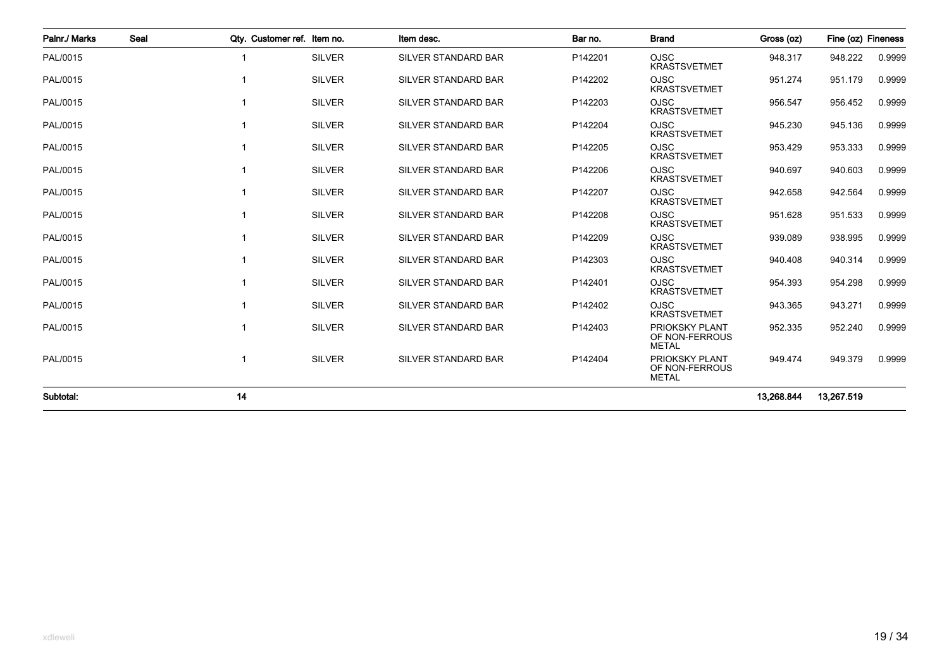| Palnr./ Marks | Seal | Qtv. Customer ref. Item no. |               | Item desc.                 | Bar no. | <b>Brand</b>                                            | Gross (oz) | Fine (oz) Fineness |        |
|---------------|------|-----------------------------|---------------|----------------------------|---------|---------------------------------------------------------|------------|--------------------|--------|
| PAL/0015      |      | $\mathbf 1$                 | <b>SILVER</b> | <b>SILVER STANDARD BAR</b> | P142201 | <b>OJSC</b><br><b>KRASTSVETMET</b>                      | 948.317    | 948.222            | 0.9999 |
| PAL/0015      |      | 1                           | <b>SILVER</b> | SILVER STANDARD BAR        | P142202 | <b>OJSC</b><br><b>KRASTSVETMET</b>                      | 951.274    | 951.179            | 0.9999 |
| PAL/0015      |      | $\mathbf 1$                 | <b>SILVER</b> | SILVER STANDARD BAR        | P142203 | <b>OJSC</b><br><b>KRASTSVETMET</b>                      | 956.547    | 956.452            | 0.9999 |
| PAL/0015      |      | 1                           | <b>SILVER</b> | SILVER STANDARD BAR        | P142204 | <b>OJSC</b><br><b>KRASTSVETMET</b>                      | 945.230    | 945.136            | 0.9999 |
| PAL/0015      |      | $\mathbf 1$                 | <b>SILVER</b> | <b>SILVER STANDARD BAR</b> | P142205 | <b>OJSC</b><br><b>KRASTSVETMET</b>                      | 953.429    | 953.333            | 0.9999 |
| PAL/0015      |      | $\mathbf 1$                 | <b>SILVER</b> | <b>SILVER STANDARD BAR</b> | P142206 | <b>OJSC</b><br><b>KRASTSVETMET</b>                      | 940.697    | 940.603            | 0.9999 |
| PAL/0015      |      | 1                           | <b>SILVER</b> | SILVER STANDARD BAR        | P142207 | <b>OJSC</b><br><b>KRASTSVETMET</b>                      | 942.658    | 942.564            | 0.9999 |
| PAL/0015      |      | 1                           | <b>SILVER</b> | <b>SILVER STANDARD BAR</b> | P142208 | <b>OJSC</b><br><b>KRASTSVETMET</b>                      | 951.628    | 951.533            | 0.9999 |
| PAL/0015      |      | 1                           | <b>SILVER</b> | <b>SILVER STANDARD BAR</b> | P142209 | <b>OJSC</b><br><b>KRASTSVETMET</b>                      | 939.089    | 938.995            | 0.9999 |
| PAL/0015      |      | $\mathbf 1$                 | <b>SILVER</b> | <b>SILVER STANDARD BAR</b> | P142303 | <b>OJSC</b><br><b>KRASTSVETMET</b>                      | 940.408    | 940.314            | 0.9999 |
| PAL/0015      |      | 1                           | <b>SILVER</b> | <b>SILVER STANDARD BAR</b> | P142401 | <b>OJSC</b><br><b>KRASTSVETMET</b>                      | 954.393    | 954.298            | 0.9999 |
| PAL/0015      |      | $\mathbf 1$                 | <b>SILVER</b> | <b>SILVER STANDARD BAR</b> | P142402 | <b>OJSC</b><br><b>KRASTSVETMET</b>                      | 943.365    | 943.271            | 0.9999 |
| PAL/0015      |      | 1                           | <b>SILVER</b> | SILVER STANDARD BAR        | P142403 | <b>PRIOKSKY PLANT</b><br>OF NON-FERROUS<br><b>METAL</b> | 952.335    | 952.240            | 0.9999 |
| PAL/0015      |      | $\mathbf 1$                 | <b>SILVER</b> | <b>SILVER STANDARD BAR</b> | P142404 | PRIOKSKY PLANT<br>OF NON-FERROUS<br><b>METAL</b>        | 949.474    | 949.379            | 0.9999 |
| Subtotal:     | 14   |                             |               |                            |         |                                                         | 13,268.844 | 13,267.519         |        |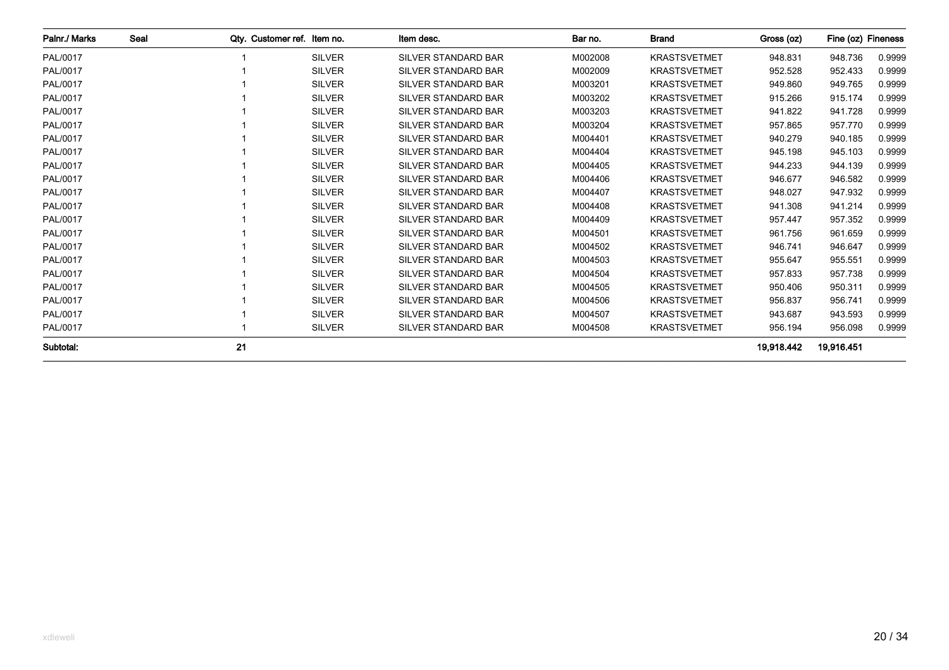| Palnr./ Marks | Seal | Qty. Customer ref. Item no. |               | Item desc.                 | Bar no. | <b>Brand</b>        | Gross (oz) | Fine (oz) Fineness |        |
|---------------|------|-----------------------------|---------------|----------------------------|---------|---------------------|------------|--------------------|--------|
| PAL/0017      |      |                             | <b>SILVER</b> | <b>SILVER STANDARD BAR</b> | M002008 | <b>KRASTSVETMET</b> | 948.831    | 948.736            | 0.9999 |
| PAL/0017      |      |                             | <b>SILVER</b> | <b>SILVER STANDARD BAR</b> | M002009 | <b>KRASTSVETMET</b> | 952.528    | 952.433            | 0.9999 |
| PAL/0017      |      |                             | <b>SILVER</b> | <b>SILVER STANDARD BAR</b> | M003201 | <b>KRASTSVETMET</b> | 949.860    | 949.765            | 0.9999 |
| PAL/0017      |      |                             | <b>SILVER</b> | <b>SILVER STANDARD BAR</b> | M003202 | <b>KRASTSVETMET</b> | 915.266    | 915.174            | 0.9999 |
| PAL/0017      |      |                             | <b>SILVER</b> | <b>SILVER STANDARD BAR</b> | M003203 | <b>KRASTSVETMET</b> | 941.822    | 941.728            | 0.9999 |
| PAL/0017      |      |                             | <b>SILVER</b> | <b>SILVER STANDARD BAR</b> | M003204 | <b>KRASTSVETMET</b> | 957.865    | 957.770            | 0.9999 |
| PAL/0017      |      |                             | <b>SILVER</b> | <b>SILVER STANDARD BAR</b> | M004401 | <b>KRASTSVETMET</b> | 940.279    | 940.185            | 0.9999 |
| PAL/0017      |      |                             | <b>SILVER</b> | <b>SILVER STANDARD BAR</b> | M004404 | <b>KRASTSVETMET</b> | 945.198    | 945.103            | 0.9999 |
| PAL/0017      |      |                             | <b>SILVER</b> | <b>SILVER STANDARD BAR</b> | M004405 | <b>KRASTSVETMET</b> | 944.233    | 944.139            | 0.9999 |
| PAL/0017      |      |                             | <b>SILVER</b> | <b>SILVER STANDARD BAR</b> | M004406 | <b>KRASTSVETMET</b> | 946.677    | 946.582            | 0.9999 |
| PAL/0017      |      |                             | <b>SILVER</b> | <b>SILVER STANDARD BAR</b> | M004407 | <b>KRASTSVETMET</b> | 948.027    | 947.932            | 0.9999 |
| PAL/0017      |      |                             | <b>SILVER</b> | <b>SILVER STANDARD BAR</b> | M004408 | <b>KRASTSVETMET</b> | 941.308    | 941.214            | 0.9999 |
| PAL/0017      |      |                             | <b>SILVER</b> | <b>SILVER STANDARD BAR</b> | M004409 | <b>KRASTSVETMET</b> | 957.447    | 957.352            | 0.9999 |
| PAL/0017      |      |                             | <b>SILVER</b> | <b>SILVER STANDARD BAR</b> | M004501 | <b>KRASTSVETMET</b> | 961.756    | 961.659            | 0.9999 |
| PAL/0017      |      |                             | <b>SILVER</b> | <b>SILVER STANDARD BAR</b> | M004502 | <b>KRASTSVETMET</b> | 946.741    | 946.647            | 0.9999 |
| PAL/0017      |      |                             | <b>SILVER</b> | <b>SILVER STANDARD BAR</b> | M004503 | <b>KRASTSVETMET</b> | 955.647    | 955.551            | 0.9999 |
| PAL/0017      |      |                             | <b>SILVER</b> | <b>SILVER STANDARD BAR</b> | M004504 | <b>KRASTSVETMET</b> | 957.833    | 957.738            | 0.9999 |
| PAL/0017      |      |                             | <b>SILVER</b> | <b>SILVER STANDARD BAR</b> | M004505 | <b>KRASTSVETMET</b> | 950.406    | 950.311            | 0.9999 |
| PAL/0017      |      |                             | <b>SILVER</b> | <b>SILVER STANDARD BAR</b> | M004506 | <b>KRASTSVETMET</b> | 956.837    | 956.741            | 0.9999 |
| PAL/0017      |      |                             | <b>SILVER</b> | <b>SILVER STANDARD BAR</b> | M004507 | <b>KRASTSVETMET</b> | 943.687    | 943.593            | 0.9999 |
| PAL/0017      |      |                             | <b>SILVER</b> | SILVER STANDARD BAR        | M004508 | <b>KRASTSVETMET</b> | 956.194    | 956.098            | 0.9999 |
| Subtotal:     |      | 21                          |               |                            |         |                     | 19.918.442 | 19,916.451         |        |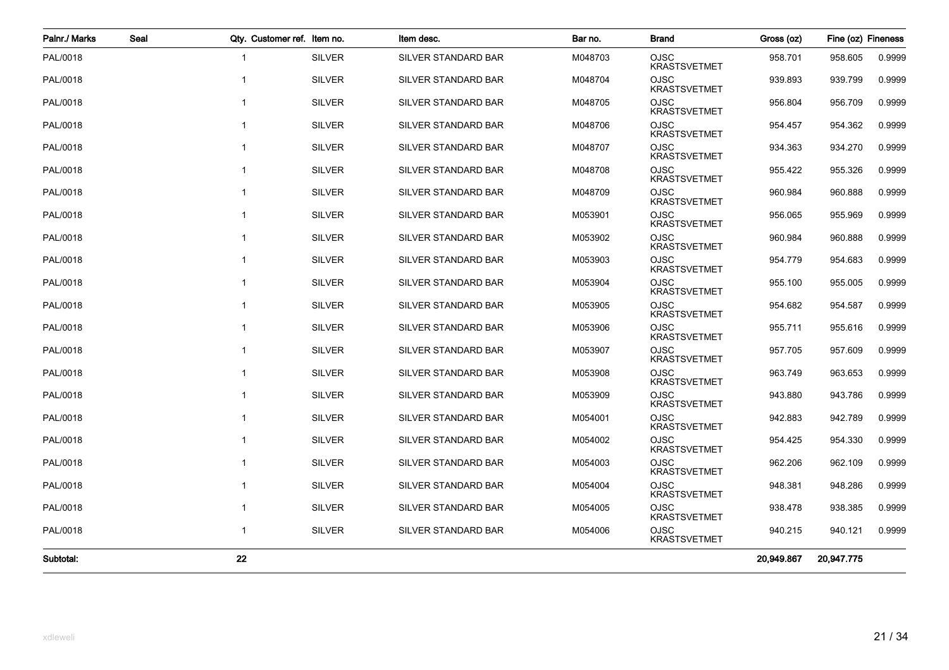| Palnr./ Marks | Seal           | Qty. Customer ref. Item no. | Item desc.                 | Bar no. | <b>Brand</b>                       | Gross (oz) | Fine (oz) Fineness |        |
|---------------|----------------|-----------------------------|----------------------------|---------|------------------------------------|------------|--------------------|--------|
| PAL/0018      | $\mathbf 1$    | <b>SILVER</b>               | SILVER STANDARD BAR        | M048703 | <b>OJSC</b><br><b>KRASTSVETMET</b> | 958.701    | 958.605            | 0.9999 |
| PAL/0018      | -1             | <b>SILVER</b>               | SILVER STANDARD BAR        | M048704 | <b>OJSC</b><br><b>KRASTSVETMET</b> | 939.893    | 939.799            | 0.9999 |
| PAL/0018      | $\mathbf 1$    | <b>SILVER</b>               | SILVER STANDARD BAR        | M048705 | <b>OJSC</b><br><b>KRASTSVETMET</b> | 956.804    | 956.709            | 0.9999 |
| PAL/0018      | $\mathbf{1}$   | <b>SILVER</b>               | SILVER STANDARD BAR        | M048706 | <b>OJSC</b><br><b>KRASTSVETMET</b> | 954.457    | 954.362            | 0.9999 |
| PAL/0018      | $\mathbf{1}$   | <b>SILVER</b>               | SILVER STANDARD BAR        | M048707 | <b>OJSC</b><br><b>KRASTSVETMET</b> | 934.363    | 934.270            | 0.9999 |
| PAL/0018      | $\mathbf{1}$   | <b>SILVER</b>               | SILVER STANDARD BAR        | M048708 | <b>OJSC</b><br><b>KRASTSVETMET</b> | 955.422    | 955.326            | 0.9999 |
| PAL/0018      | $\overline{1}$ | <b>SILVER</b>               | SILVER STANDARD BAR        | M048709 | <b>OJSC</b><br><b>KRASTSVETMET</b> | 960.984    | 960.888            | 0.9999 |
| PAL/0018      | $\overline{1}$ | <b>SILVER</b>               | <b>SILVER STANDARD BAR</b> | M053901 | <b>OJSC</b><br><b>KRASTSVETMET</b> | 956.065    | 955.969            | 0.9999 |
| PAL/0018      |                | <b>SILVER</b>               | SILVER STANDARD BAR        | M053902 | <b>OJSC</b><br><b>KRASTSVETMET</b> | 960.984    | 960.888            | 0.9999 |
| PAL/0018      | $\overline{1}$ | <b>SILVER</b>               | SILVER STANDARD BAR        | M053903 | <b>OJSC</b><br><b>KRASTSVETMET</b> | 954.779    | 954.683            | 0.9999 |
| PAL/0018      | $\overline{1}$ | <b>SILVER</b>               | SILVER STANDARD BAR        | M053904 | <b>OJSC</b><br><b>KRASTSVETMET</b> | 955.100    | 955.005            | 0.9999 |
| PAL/0018      | $\overline{1}$ | <b>SILVER</b>               | SILVER STANDARD BAR        | M053905 | <b>OJSC</b><br><b>KRASTSVETMET</b> | 954.682    | 954.587            | 0.9999 |
| PAL/0018      | $\mathbf 1$    | <b>SILVER</b>               | SILVER STANDARD BAR        | M053906 | <b>OJSC</b><br><b>KRASTSVETMET</b> | 955.711    | 955.616            | 0.9999 |
| PAL/0018      | $\mathbf{1}$   | <b>SILVER</b>               | SILVER STANDARD BAR        | M053907 | OJSC<br><b>KRASTSVETMET</b>        | 957.705    | 957.609            | 0.9999 |
| PAL/0018      | $\mathbf 1$    | <b>SILVER</b>               | SILVER STANDARD BAR        | M053908 | <b>OJSC</b><br><b>KRASTSVETMET</b> | 963.749    | 963.653            | 0.9999 |
| PAL/0018      | $\mathbf 1$    | <b>SILVER</b>               | SILVER STANDARD BAR        | M053909 | <b>OJSC</b><br><b>KRASTSVETMET</b> | 943.880    | 943.786            | 0.9999 |
| PAL/0018      | $\mathbf{1}$   | <b>SILVER</b>               | SILVER STANDARD BAR        | M054001 | <b>OJSC</b><br><b>KRASTSVETMET</b> | 942.883    | 942.789            | 0.9999 |
| PAL/0018      | $\mathbf{1}$   | <b>SILVER</b>               | SILVER STANDARD BAR        | M054002 | <b>OJSC</b><br><b>KRASTSVETMET</b> | 954.425    | 954.330            | 0.9999 |
| PAL/0018      | $\mathbf{1}$   | <b>SILVER</b>               | SILVER STANDARD BAR        | M054003 | <b>OJSC</b><br><b>KRASTSVETMET</b> | 962.206    | 962.109            | 0.9999 |
| PAL/0018      | $\overline{1}$ | <b>SILVER</b>               | SILVER STANDARD BAR        | M054004 | OJSC<br><b>KRASTSVETMET</b>        | 948.381    | 948.286            | 0.9999 |
| PAL/0018      | $\overline{1}$ | <b>SILVER</b>               | SILVER STANDARD BAR        | M054005 | OJSC<br><b>KRASTSVETMET</b>        | 938.478    | 938.385            | 0.9999 |
| PAL/0018      | $\overline{1}$ | <b>SILVER</b>               | SILVER STANDARD BAR        | M054006 | <b>OJSC</b><br><b>KRASTSVETMET</b> | 940.215    | 940.121            | 0.9999 |
| Subtotal:     | 22             |                             |                            |         |                                    | 20.949.867 | 20,947.775         |        |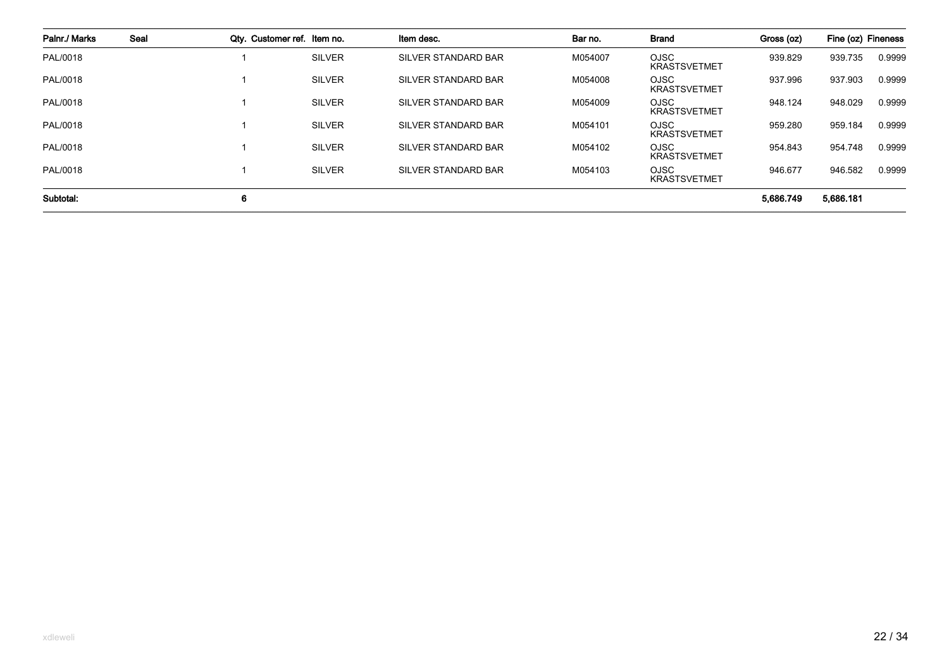| Palnr./ Marks | Seal | Qty. Customer ref. Item no. |               | Item desc.                 | Bar no. | <b>Brand</b>                       | Gross (oz) | Fine (oz) Fineness |        |
|---------------|------|-----------------------------|---------------|----------------------------|---------|------------------------------------|------------|--------------------|--------|
| PAL/0018      |      |                             | <b>SILVER</b> | <b>SILVER STANDARD BAR</b> | M054007 | <b>OJSC</b><br><b>KRASTSVETMET</b> | 939.829    | 939.735            | 0.9999 |
| PAL/0018      |      |                             | <b>SILVER</b> | <b>SILVER STANDARD BAR</b> | M054008 | <b>OJSC</b><br><b>KRASTSVETMET</b> | 937.996    | 937.903            | 0.9999 |
| PAL/0018      |      |                             | <b>SILVER</b> | <b>SILVER STANDARD BAR</b> | M054009 | <b>OJSC</b><br><b>KRASTSVETMET</b> | 948.124    | 948.029            | 0.9999 |
| PAL/0018      |      |                             | <b>SILVER</b> | <b>SILVER STANDARD BAR</b> | M054101 | <b>OJSC</b><br><b>KRASTSVETMET</b> | 959.280    | 959.184            | 0.9999 |
| PAL/0018      |      |                             | <b>SILVER</b> | SILVER STANDARD BAR        | M054102 | <b>OJSC</b><br><b>KRASTSVETMET</b> | 954.843    | 954.748            | 0.9999 |
| PAL/0018      |      |                             | <b>SILVER</b> | <b>SILVER STANDARD BAR</b> | M054103 | <b>OJSC</b><br><b>KRASTSVETMET</b> | 946.677    | 946.582            | 0.9999 |
| Subtotal:     |      | 6                           |               |                            |         |                                    | 5,686.749  | 5,686.181          |        |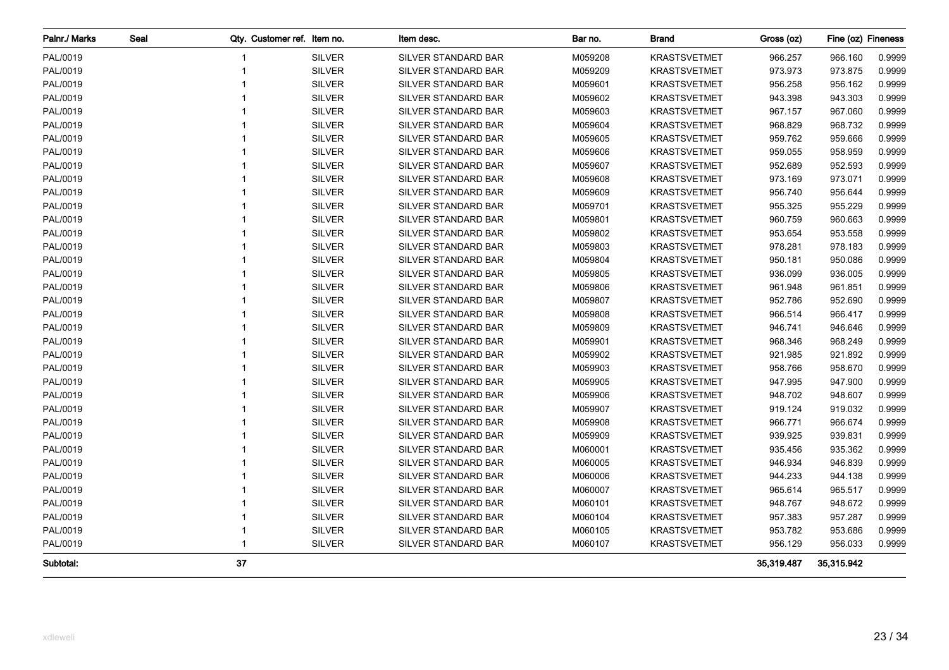| Palnr./ Marks | Seal | Qty. Customer ref. Item no. |               | Item desc.                 | Bar no. | <b>Brand</b>        | Gross (oz) | Fine (oz) Fineness |        |
|---------------|------|-----------------------------|---------------|----------------------------|---------|---------------------|------------|--------------------|--------|
| PAL/0019      |      | -1                          | <b>SILVER</b> | SILVER STANDARD BAR        | M059208 | <b>KRASTSVETMET</b> | 966.257    | 966.160            | 0.9999 |
| PAL/0019      |      | $\mathbf{1}$                | <b>SILVER</b> | <b>SILVER STANDARD BAR</b> | M059209 | <b>KRASTSVETMET</b> | 973.973    | 973.875            | 0.9999 |
| PAL/0019      |      | $\mathbf 1$                 | <b>SILVER</b> | SILVER STANDARD BAR        | M059601 | <b>KRASTSVETMET</b> | 956.258    | 956.162            | 0.9999 |
| PAL/0019      |      | $\overline{1}$              | <b>SILVER</b> | <b>SILVER STANDARD BAR</b> | M059602 | <b>KRASTSVETMET</b> | 943.398    | 943.303            | 0.9999 |
| PAL/0019      |      |                             | <b>SILVER</b> | SILVER STANDARD BAR        | M059603 | <b>KRASTSVETMET</b> | 967.157    | 967.060            | 0.9999 |
| PAL/0019      |      |                             | <b>SILVER</b> | <b>SILVER STANDARD BAR</b> | M059604 | <b>KRASTSVETMET</b> | 968.829    | 968.732            | 0.9999 |
| PAL/0019      |      |                             | <b>SILVER</b> | SILVER STANDARD BAR        | M059605 | <b>KRASTSVETMET</b> | 959.762    | 959.666            | 0.9999 |
| PAL/0019      |      |                             | <b>SILVER</b> | <b>SILVER STANDARD BAR</b> | M059606 | <b>KRASTSVETMET</b> | 959.055    | 958.959            | 0.9999 |
| PAL/0019      |      |                             | <b>SILVER</b> | SILVER STANDARD BAR        | M059607 | <b>KRASTSVETMET</b> | 952.689    | 952.593            | 0.9999 |
| PAL/0019      |      |                             | <b>SILVER</b> | SILVER STANDARD BAR        | M059608 | <b>KRASTSVETMET</b> | 973.169    | 973.071            | 0.9999 |
| PAL/0019      |      | 1                           | <b>SILVER</b> | SILVER STANDARD BAR        | M059609 | <b>KRASTSVETMET</b> | 956.740    | 956.644            | 0.9999 |
| PAL/0019      |      | 1                           | <b>SILVER</b> | SILVER STANDARD BAR        | M059701 | <b>KRASTSVETMET</b> | 955.325    | 955.229            | 0.9999 |
| PAL/0019      |      | 1                           | <b>SILVER</b> | SILVER STANDARD BAR        | M059801 | <b>KRASTSVETMET</b> | 960.759    | 960.663            | 0.9999 |
| PAL/0019      |      | $\mathbf 1$                 | <b>SILVER</b> | SILVER STANDARD BAR        | M059802 | <b>KRASTSVETMET</b> | 953.654    | 953.558            | 0.9999 |
| PAL/0019      |      | 1                           | <b>SILVER</b> | SILVER STANDARD BAR        | M059803 | <b>KRASTSVETMET</b> | 978.281    | 978.183            | 0.9999 |
| PAL/0019      |      | $\mathbf 1$                 | <b>SILVER</b> | SILVER STANDARD BAR        | M059804 | <b>KRASTSVETMET</b> | 950.181    | 950.086            | 0.9999 |
| PAL/0019      |      |                             | <b>SILVER</b> | SILVER STANDARD BAR        | M059805 | <b>KRASTSVETMET</b> | 936.099    | 936.005            | 0.9999 |
| PAL/0019      |      |                             | <b>SILVER</b> | SILVER STANDARD BAR        | M059806 | <b>KRASTSVETMET</b> | 961.948    | 961.851            | 0.9999 |
| PAL/0019      |      |                             | <b>SILVER</b> | <b>SILVER STANDARD BAR</b> | M059807 | <b>KRASTSVETMET</b> | 952.786    | 952.690            | 0.9999 |
| PAL/0019      |      |                             | <b>SILVER</b> | SILVER STANDARD BAR        | M059808 | <b>KRASTSVETMET</b> | 966.514    | 966.417            | 0.9999 |
| PAL/0019      |      |                             | <b>SILVER</b> | SILVER STANDARD BAR        | M059809 | <b>KRASTSVETMET</b> | 946.741    | 946.646            | 0.9999 |
| PAL/0019      |      |                             | <b>SILVER</b> | SILVER STANDARD BAR        | M059901 | <b>KRASTSVETMET</b> | 968.346    | 968.249            | 0.9999 |
| PAL/0019      |      | 1                           | <b>SILVER</b> | SILVER STANDARD BAR        | M059902 | <b>KRASTSVETMET</b> | 921.985    | 921.892            | 0.9999 |
| PAL/0019      |      | 1                           | <b>SILVER</b> | SILVER STANDARD BAR        | M059903 | <b>KRASTSVETMET</b> | 958.766    | 958.670            | 0.9999 |
| PAL/0019      |      |                             | <b>SILVER</b> | SILVER STANDARD BAR        | M059905 | <b>KRASTSVETMET</b> | 947.995    | 947.900            | 0.9999 |
| PAL/0019      |      | $\mathbf 1$                 | <b>SILVER</b> | SILVER STANDARD BAR        | M059906 | <b>KRASTSVETMET</b> | 948.702    | 948.607            | 0.9999 |
| PAL/0019      |      | $\mathbf{1}$                | <b>SILVER</b> | SILVER STANDARD BAR        | M059907 | <b>KRASTSVETMET</b> | 919.124    | 919.032            | 0.9999 |
| PAL/0019      |      | $\mathbf 1$                 | <b>SILVER</b> | SILVER STANDARD BAR        | M059908 | <b>KRASTSVETMET</b> | 966.771    | 966.674            | 0.9999 |
| PAL/0019      |      | 1                           | <b>SILVER</b> | SILVER STANDARD BAR        | M059909 | <b>KRASTSVETMET</b> | 939.925    | 939.831            | 0.9999 |
| PAL/0019      |      |                             | <b>SILVER</b> | SILVER STANDARD BAR        | M060001 | <b>KRASTSVETMET</b> | 935.456    | 935.362            | 0.9999 |
| PAL/0019      |      |                             | <b>SILVER</b> | SILVER STANDARD BAR        | M060005 | <b>KRASTSVETMET</b> | 946.934    | 946.839            | 0.9999 |
| PAL/0019      |      |                             | <b>SILVER</b> | SILVER STANDARD BAR        | M060006 | <b>KRASTSVETMET</b> | 944.233    | 944.138            | 0.9999 |
| PAL/0019      |      |                             | <b>SILVER</b> | SILVER STANDARD BAR        | M060007 | <b>KRASTSVETMET</b> | 965.614    | 965.517            | 0.9999 |
| PAL/0019      |      | $\mathbf 1$                 | <b>SILVER</b> | SILVER STANDARD BAR        | M060101 | <b>KRASTSVETMET</b> | 948.767    | 948.672            | 0.9999 |
| PAL/0019      |      | 1                           | <b>SILVER</b> | SILVER STANDARD BAR        | M060104 | <b>KRASTSVETMET</b> | 957.383    | 957.287            | 0.9999 |
| PAL/0019      |      | $\overline{1}$              | <b>SILVER</b> | SILVER STANDARD BAR        | M060105 | <b>KRASTSVETMET</b> | 953.782    | 953.686            | 0.9999 |
| PAL/0019      |      | $\mathbf{1}$                | <b>SILVER</b> | SILVER STANDARD BAR        | M060107 | <b>KRASTSVETMET</b> | 956.129    | 956.033            | 0.9999 |
| Subtotal:     |      | 37                          |               |                            |         |                     | 35,319.487 | 35,315.942         |        |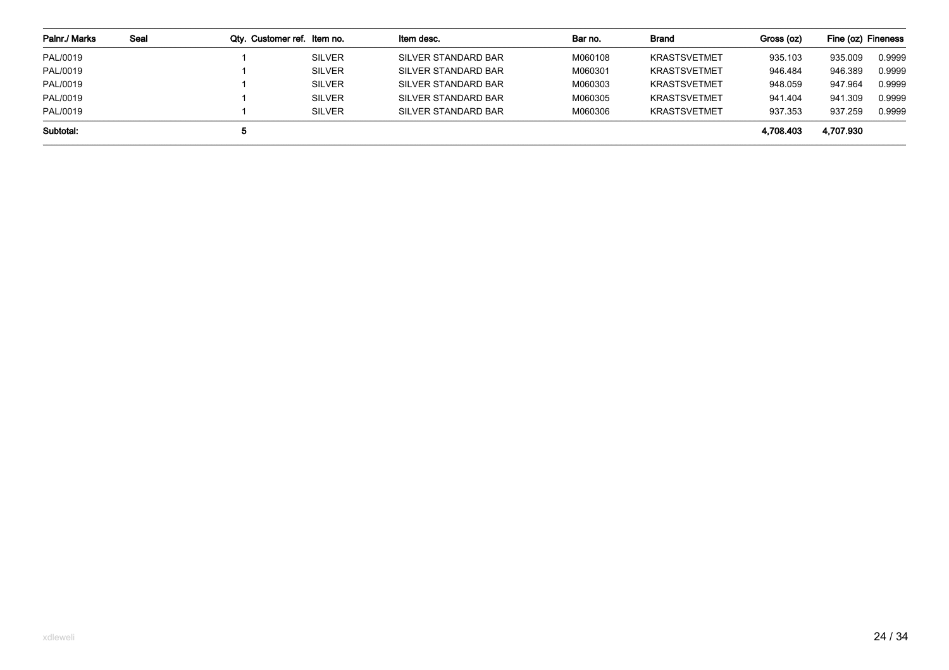| Palnr./ Marks | Seal | Qty. Customer ref. Item no. |               | Item desc.          | Bar no. | Brand               | Gross (oz) | Fine (oz) Fineness |        |
|---------------|------|-----------------------------|---------------|---------------------|---------|---------------------|------------|--------------------|--------|
| PAL/0019      |      |                             | <b>SILVER</b> | SILVER STANDARD BAR | M060108 | <b>KRASTSVETMET</b> | 935.103    | 935.009            | 0.9999 |
| PAL/0019      |      |                             | <b>SILVER</b> | SILVER STANDARD BAR | M060301 | <b>KRASTSVETMET</b> | 946.484    | 946.389            | 0.9999 |
| PAL/0019      |      |                             | <b>SILVER</b> | SILVER STANDARD BAR | M060303 | <b>KRASTSVETMET</b> | 948.059    | 947.964            | 0.9999 |
| PAL/0019      |      |                             | <b>SILVER</b> | SILVER STANDARD BAR | M060305 | <b>KRASTSVETMET</b> | 941.404    | 941.309            | 0.9999 |
| PAL/0019      |      |                             | <b>SILVER</b> | SILVER STANDARD BAR | M060306 | <b>KRASTSVETMET</b> | 937.353    | 937.259            | 0.9999 |
| Subtotal:     |      | ີ                           |               |                     |         |                     | 4.708.403  | 4,707.930          |        |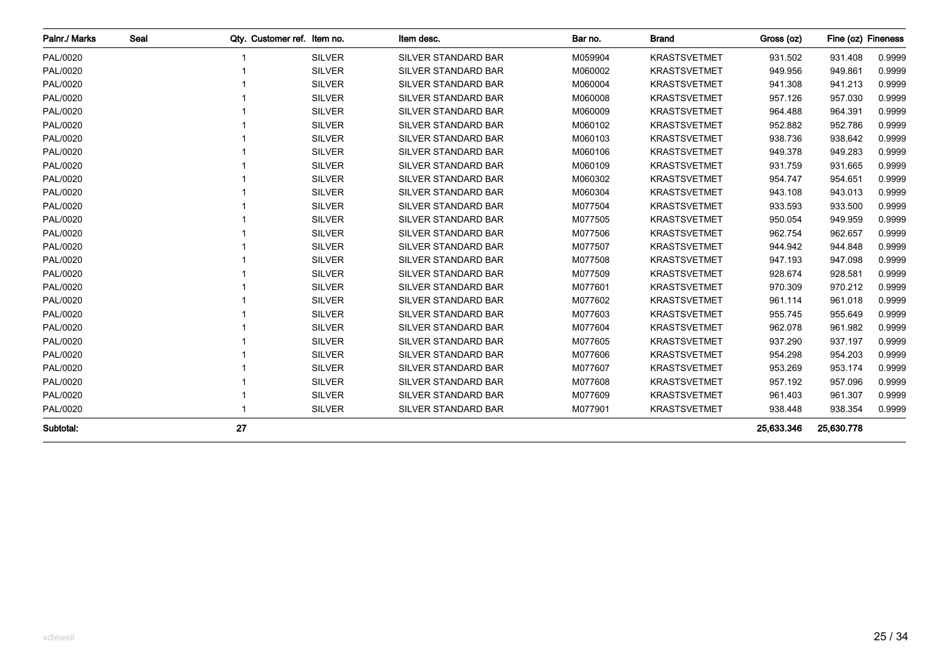| Palnr./ Marks | Seal |    | Qty. Customer ref. Item no. | Item desc.                 | Bar no. | <b>Brand</b>        | Gross (oz) | Fine (oz) Fineness |        |
|---------------|------|----|-----------------------------|----------------------------|---------|---------------------|------------|--------------------|--------|
| PAL/0020      |      |    | <b>SILVER</b>               | SILVER STANDARD BAR        | M059904 | <b>KRASTSVETMET</b> | 931.502    | 931.408            | 0.9999 |
| PAL/0020      |      |    | <b>SILVER</b>               | SILVER STANDARD BAR        | M060002 | <b>KRASTSVETMET</b> | 949.956    | 949.861            | 0.9999 |
| PAL/0020      |      |    | <b>SILVER</b>               | SILVER STANDARD BAR        | M060004 | <b>KRASTSVETMET</b> | 941.308    | 941.213            | 0.9999 |
| PAL/0020      |      |    | <b>SILVER</b>               | <b>SILVER STANDARD BAR</b> | M060008 | <b>KRASTSVETMET</b> | 957.126    | 957.030            | 0.9999 |
| PAL/0020      |      |    | <b>SILVER</b>               | <b>SILVER STANDARD BAR</b> | M060009 | <b>KRASTSVETMET</b> | 964.488    | 964.391            | 0.9999 |
| PAL/0020      |      |    | <b>SILVER</b>               | SILVER STANDARD BAR        | M060102 | <b>KRASTSVETMET</b> | 952.882    | 952.786            | 0.9999 |
| PAL/0020      |      |    | <b>SILVER</b>               | SILVER STANDARD BAR        | M060103 | <b>KRASTSVETMET</b> | 938.736    | 938.642            | 0.9999 |
| PAL/0020      |      |    | <b>SILVER</b>               | SILVER STANDARD BAR        | M060106 | <b>KRASTSVETMET</b> | 949.378    | 949.283            | 0.9999 |
| PAL/0020      |      |    | <b>SILVER</b>               | SILVER STANDARD BAR        | M060109 | <b>KRASTSVETMET</b> | 931.759    | 931.665            | 0.9999 |
| PAL/0020      |      |    | <b>SILVER</b>               | <b>SILVER STANDARD BAR</b> | M060302 | <b>KRASTSVETMET</b> | 954.747    | 954.651            | 0.9999 |
| PAL/0020      |      |    | <b>SILVER</b>               | SILVER STANDARD BAR        | M060304 | <b>KRASTSVETMET</b> | 943.108    | 943.013            | 0.9999 |
| PAL/0020      |      |    | <b>SILVER</b>               | SILVER STANDARD BAR        | M077504 | <b>KRASTSVETMET</b> | 933.593    | 933.500            | 0.9999 |
| PAL/0020      |      |    | <b>SILVER</b>               | <b>SILVER STANDARD BAR</b> | M077505 | <b>KRASTSVETMET</b> | 950.054    | 949.959            | 0.9999 |
| PAL/0020      |      |    | <b>SILVER</b>               | <b>SILVER STANDARD BAR</b> | M077506 | <b>KRASTSVETMET</b> | 962.754    | 962.657            | 0.9999 |
| PAL/0020      |      |    | <b>SILVER</b>               | <b>SILVER STANDARD BAR</b> | M077507 | <b>KRASTSVETMET</b> | 944.942    | 944.848            | 0.9999 |
| PAL/0020      |      |    | <b>SILVER</b>               | SILVER STANDARD BAR        | M077508 | <b>KRASTSVETMET</b> | 947.193    | 947.098            | 0.9999 |
| PAL/0020      |      |    | <b>SILVER</b>               | SILVER STANDARD BAR        | M077509 | <b>KRASTSVETMET</b> | 928.674    | 928.581            | 0.9999 |
| PAL/0020      |      |    | <b>SILVER</b>               | SILVER STANDARD BAR        | M077601 | <b>KRASTSVETMET</b> | 970.309    | 970.212            | 0.9999 |
| PAL/0020      |      |    | <b>SILVER</b>               | SILVER STANDARD BAR        | M077602 | <b>KRASTSVETMET</b> | 961.114    | 961.018            | 0.9999 |
| PAL/0020      |      |    | <b>SILVER</b>               | <b>SILVER STANDARD BAR</b> | M077603 | <b>KRASTSVETMET</b> | 955.745    | 955.649            | 0.9999 |
| PAL/0020      |      |    | <b>SILVER</b>               | SILVER STANDARD BAR        | M077604 | <b>KRASTSVETMET</b> | 962.078    | 961.982            | 0.9999 |
| PAL/0020      |      |    | <b>SILVER</b>               | SILVER STANDARD BAR        | M077605 | <b>KRASTSVETMET</b> | 937.290    | 937.197            | 0.9999 |
| PAL/0020      |      |    | <b>SILVER</b>               | <b>SILVER STANDARD BAR</b> | M077606 | <b>KRASTSVETMET</b> | 954.298    | 954.203            | 0.9999 |
| PAL/0020      |      |    | <b>SILVER</b>               | SILVER STANDARD BAR        | M077607 | <b>KRASTSVETMET</b> | 953.269    | 953.174            | 0.9999 |
| PAL/0020      |      |    | <b>SILVER</b>               | <b>SILVER STANDARD BAR</b> | M077608 | <b>KRASTSVETMET</b> | 957.192    | 957.096            | 0.9999 |
| PAL/0020      |      |    | <b>SILVER</b>               | SILVER STANDARD BAR        | M077609 | <b>KRASTSVETMET</b> | 961.403    | 961.307            | 0.9999 |
| PAL/0020      |      |    | <b>SILVER</b>               | SILVER STANDARD BAR        | M077901 | <b>KRASTSVETMET</b> | 938.448    | 938.354            | 0.9999 |
| Subtotal:     |      | 27 |                             |                            |         |                     | 25,633.346 | 25,630.778         |        |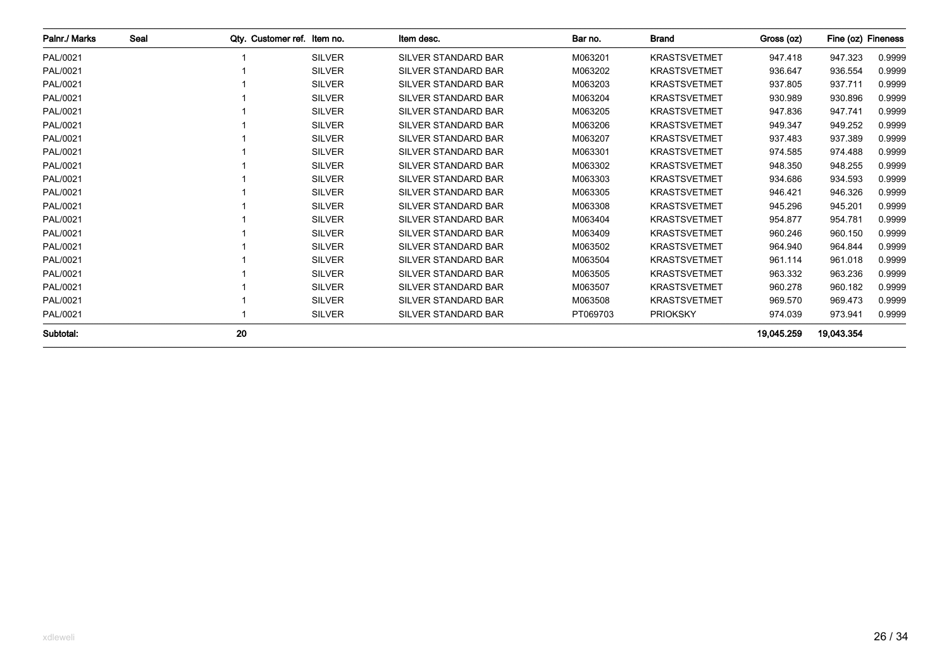| Palnr./ Marks | Seal | Otv. Customer ref. Item no. |               | Item desc.                 | Bar no.  | <b>Brand</b>        | Gross (oz) | Fine (oz) Fineness |        |
|---------------|------|-----------------------------|---------------|----------------------------|----------|---------------------|------------|--------------------|--------|
| PAL/0021      |      |                             | <b>SILVER</b> | <b>SILVER STANDARD BAR</b> | M063201  | <b>KRASTSVETMET</b> | 947.418    | 947.323            | 0.9999 |
| PAL/0021      |      |                             | <b>SILVER</b> | <b>SILVER STANDARD BAR</b> | M063202  | <b>KRASTSVETMET</b> | 936.647    | 936.554            | 0.9999 |
| PAL/0021      |      |                             | <b>SILVER</b> | <b>SILVER STANDARD BAR</b> | M063203  | <b>KRASTSVETMET</b> | 937.805    | 937.711            | 0.9999 |
| PAL/0021      |      |                             | <b>SILVER</b> | <b>SILVER STANDARD BAR</b> | M063204  | <b>KRASTSVETMET</b> | 930.989    | 930.896            | 0.9999 |
| PAL/0021      |      |                             | <b>SILVER</b> | <b>SILVER STANDARD BAR</b> | M063205  | <b>KRASTSVETMET</b> | 947.836    | 947.741            | 0.9999 |
| PAL/0021      |      |                             | <b>SILVER</b> | <b>SILVER STANDARD BAR</b> | M063206  | <b>KRASTSVETMET</b> | 949.347    | 949.252            | 0.9999 |
| PAL/0021      |      |                             | <b>SILVER</b> | <b>SILVER STANDARD BAR</b> | M063207  | <b>KRASTSVETMET</b> | 937.483    | 937.389            | 0.9999 |
| PAL/0021      |      |                             | <b>SILVER</b> | <b>SILVER STANDARD BAR</b> | M063301  | <b>KRASTSVETMET</b> | 974.585    | 974.488            | 0.9999 |
| PAL/0021      |      |                             | <b>SILVER</b> | <b>SILVER STANDARD BAR</b> | M063302  | <b>KRASTSVETMET</b> | 948.350    | 948.255            | 0.9999 |
| PAL/0021      |      |                             | <b>SILVER</b> | <b>SILVER STANDARD BAR</b> | M063303  | <b>KRASTSVETMET</b> | 934.686    | 934.593            | 0.9999 |
| PAL/0021      |      |                             | <b>SILVER</b> | <b>SILVER STANDARD BAR</b> | M063305  | <b>KRASTSVETMET</b> | 946.421    | 946.326            | 0.9999 |
| PAL/0021      |      |                             | <b>SILVER</b> | <b>SILVER STANDARD BAR</b> | M063308  | <b>KRASTSVETMET</b> | 945.296    | 945.201            | 0.9999 |
| PAL/0021      |      |                             | <b>SILVER</b> | <b>SILVER STANDARD BAR</b> | M063404  | <b>KRASTSVETMET</b> | 954.877    | 954.781            | 0.9999 |
| PAL/0021      |      |                             | <b>SILVER</b> | <b>SILVER STANDARD BAR</b> | M063409  | <b>KRASTSVETMET</b> | 960.246    | 960.150            | 0.9999 |
| PAL/0021      |      |                             | <b>SILVER</b> | <b>SILVER STANDARD BAR</b> | M063502  | <b>KRASTSVETMET</b> | 964.940    | 964.844            | 0.9999 |
| PAL/0021      |      |                             | <b>SILVER</b> | <b>SILVER STANDARD BAR</b> | M063504  | <b>KRASTSVETMET</b> | 961.114    | 961.018            | 0.9999 |
| PAL/0021      |      |                             | <b>SILVER</b> | SILVER STANDARD BAR        | M063505  | <b>KRASTSVETMET</b> | 963.332    | 963.236            | 0.9999 |
| PAL/0021      |      |                             | <b>SILVER</b> | <b>SILVER STANDARD BAR</b> | M063507  | <b>KRASTSVETMET</b> | 960.278    | 960.182            | 0.9999 |
| PAL/0021      |      |                             | <b>SILVER</b> | <b>SILVER STANDARD BAR</b> | M063508  | <b>KRASTSVETMET</b> | 969.570    | 969.473            | 0.9999 |
| PAL/0021      |      |                             | <b>SILVER</b> | SILVER STANDARD BAR        | PT069703 | <b>PRIOKSKY</b>     | 974.039    | 973.941            | 0.9999 |
| Subtotal:     |      | 20                          |               |                            |          |                     | 19.045.259 | 19,043.354         |        |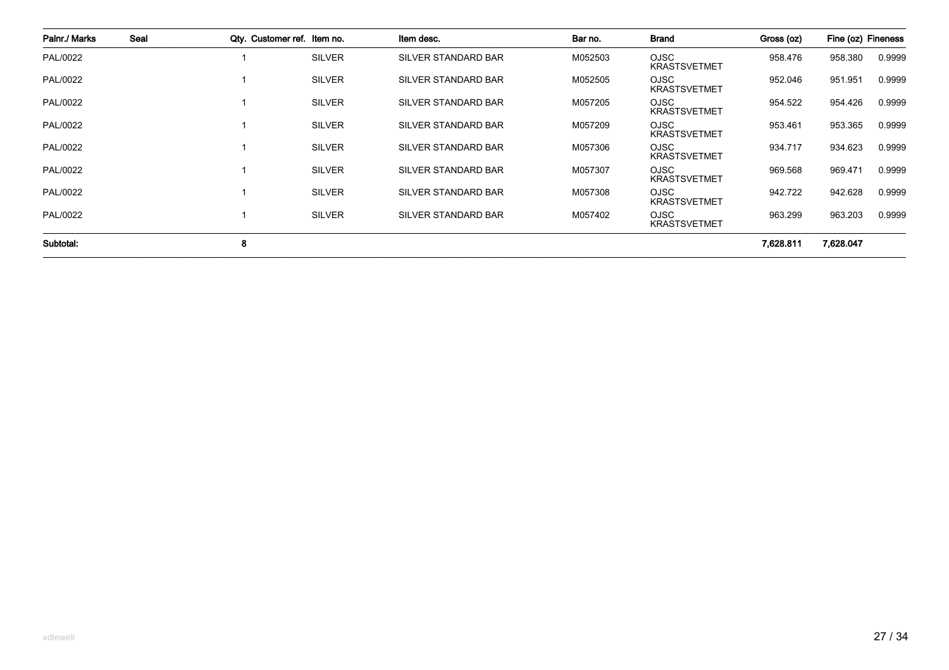| Palnr./ Marks | Seal | Qty. Customer ref. Item no. |               | Item desc.          | Bar no. | <b>Brand</b>                       | Gross (oz) | Fine (oz) Fineness |        |
|---------------|------|-----------------------------|---------------|---------------------|---------|------------------------------------|------------|--------------------|--------|
| PAL/0022      |      |                             | <b>SILVER</b> | SILVER STANDARD BAR | M052503 | <b>OJSC</b><br><b>KRASTSVETMET</b> | 958.476    | 958.380            | 0.9999 |
| PAL/0022      |      |                             | <b>SILVER</b> | SILVER STANDARD BAR | M052505 | <b>OJSC</b><br><b>KRASTSVETMET</b> | 952.046    | 951.951            | 0.9999 |
| PAL/0022      |      |                             | <b>SILVER</b> | SILVER STANDARD BAR | M057205 | <b>OJSC</b><br><b>KRASTSVETMET</b> | 954.522    | 954.426            | 0.9999 |
| PAL/0022      |      |                             | <b>SILVER</b> | SILVER STANDARD BAR | M057209 | <b>OJSC</b><br><b>KRASTSVETMET</b> | 953.461    | 953.365            | 0.9999 |
| PAL/0022      |      |                             | <b>SILVER</b> | SILVER STANDARD BAR | M057306 | <b>OJSC</b><br><b>KRASTSVETMET</b> | 934.717    | 934.623            | 0.9999 |
| PAL/0022      |      |                             | <b>SILVER</b> | SILVER STANDARD BAR | M057307 | <b>OJSC</b><br><b>KRASTSVETMET</b> | 969.568    | 969.471            | 0.9999 |
| PAL/0022      |      |                             | <b>SILVER</b> | SILVER STANDARD BAR | M057308 | <b>OJSC</b><br><b>KRASTSVETMET</b> | 942.722    | 942.628            | 0.9999 |
| PAL/0022      |      |                             | <b>SILVER</b> | SILVER STANDARD BAR | M057402 | <b>OJSC</b><br><b>KRASTSVETMET</b> | 963.299    | 963.203            | 0.9999 |
| Subtotal:     |      | 8                           |               |                     |         |                                    | 7.628.811  | 7,628.047          |        |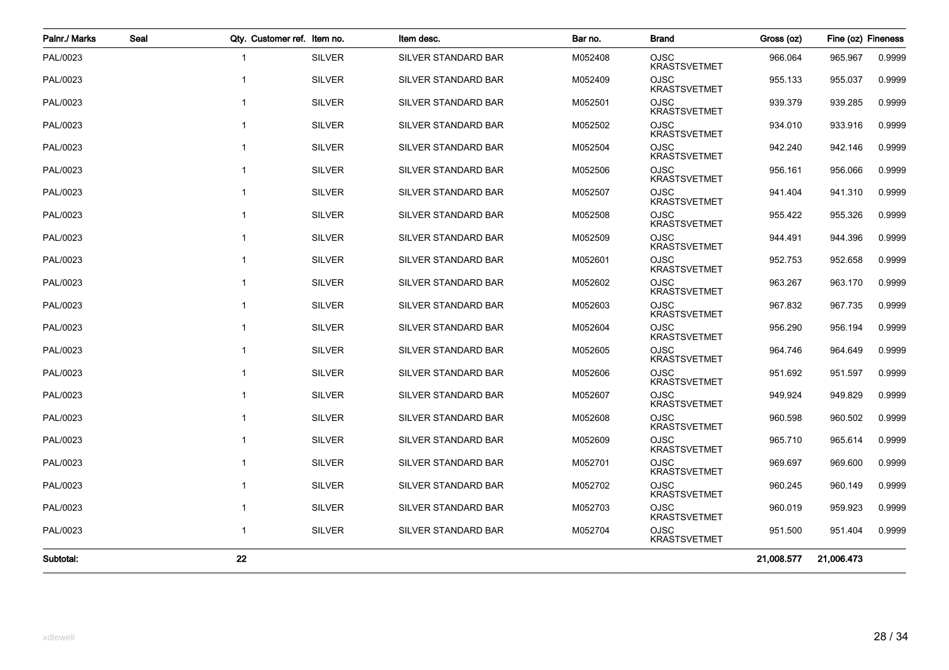| Palnr./ Marks | Seal | Qty. Customer ref. Item no. |               | Item desc.                 | Bar no. | <b>Brand</b>                       | Gross (oz) | Fine (oz) Fineness |        |
|---------------|------|-----------------------------|---------------|----------------------------|---------|------------------------------------|------------|--------------------|--------|
| PAL/0023      |      | $\mathbf{1}$                | <b>SILVER</b> | SILVER STANDARD BAR        | M052408 | <b>OJSC</b><br><b>KRASTSVETMET</b> | 966.064    | 965.967            | 0.9999 |
| PAL/0023      |      | 1                           | <b>SILVER</b> | SILVER STANDARD BAR        | M052409 | <b>OJSC</b><br><b>KRASTSVETMET</b> | 955.133    | 955.037            | 0.9999 |
| PAL/0023      |      | $\mathbf{1}$                | <b>SILVER</b> | SILVER STANDARD BAR        | M052501 | <b>OJSC</b><br><b>KRASTSVETMET</b> | 939.379    | 939.285            | 0.9999 |
| PAL/0023      |      | $\mathbf{1}$                | <b>SILVER</b> | <b>SILVER STANDARD BAR</b> | M052502 | <b>OJSC</b><br><b>KRASTSVETMET</b> | 934.010    | 933.916            | 0.9999 |
| PAL/0023      |      | $\mathbf{1}$                | <b>SILVER</b> | SILVER STANDARD BAR        | M052504 | <b>OJSC</b><br><b>KRASTSVETMET</b> | 942.240    | 942.146            | 0.9999 |
| PAL/0023      |      | $\overline{1}$              | <b>SILVER</b> | SILVER STANDARD BAR        | M052506 | <b>OJSC</b><br><b>KRASTSVETMET</b> | 956.161    | 956.066            | 0.9999 |
| PAL/0023      |      | $\mathbf{1}$                | <b>SILVER</b> | SILVER STANDARD BAR        | M052507 | <b>OJSC</b><br><b>KRASTSVETMET</b> | 941.404    | 941.310            | 0.9999 |
| PAL/0023      |      | $\mathbf{1}$                | <b>SILVER</b> | SILVER STANDARD BAR        | M052508 | <b>OJSC</b><br><b>KRASTSVETMET</b> | 955.422    | 955.326            | 0.9999 |
| PAL/0023      |      | $\overline{1}$              | <b>SILVER</b> | SILVER STANDARD BAR        | M052509 | OJSC<br><b>KRASTSVETMET</b>        | 944.491    | 944.396            | 0.9999 |
| PAL/0023      |      | $\overline{1}$              | <b>SILVER</b> | SILVER STANDARD BAR        | M052601 | <b>OJSC</b><br><b>KRASTSVETMET</b> | 952.753    | 952.658            | 0.9999 |
| PAL/0023      |      | $\mathbf{1}$                | <b>SILVER</b> | SILVER STANDARD BAR        | M052602 | <b>OJSC</b><br><b>KRASTSVETMET</b> | 963.267    | 963.170            | 0.9999 |
| PAL/0023      |      | $\overline{1}$              | <b>SILVER</b> | SILVER STANDARD BAR        | M052603 | <b>OJSC</b><br><b>KRASTSVETMET</b> | 967.832    | 967.735            | 0.9999 |
| PAL/0023      |      | $\mathbf{1}$                | <b>SILVER</b> | SILVER STANDARD BAR        | M052604 | <b>OJSC</b><br><b>KRASTSVETMET</b> | 956.290    | 956.194            | 0.9999 |
| PAL/0023      |      | $\mathbf{1}$                | <b>SILVER</b> | <b>SILVER STANDARD BAR</b> | M052605 | <b>OJSC</b><br><b>KRASTSVETMET</b> | 964.746    | 964.649            | 0.9999 |
| PAL/0023      |      | 1                           | <b>SILVER</b> | SILVER STANDARD BAR        | M052606 | OJSC<br><b>KRASTSVETMET</b>        | 951.692    | 951.597            | 0.9999 |
| PAL/0023      |      | $\mathbf{1}$                | <b>SILVER</b> | SILVER STANDARD BAR        | M052607 | <b>OJSC</b><br><b>KRASTSVETMET</b> | 949.924    | 949.829            | 0.9999 |
| PAL/0023      |      | $\mathbf{1}$                | <b>SILVER</b> | SILVER STANDARD BAR        | M052608 | <b>OJSC</b><br><b>KRASTSVETMET</b> | 960.598    | 960.502            | 0.9999 |
| PAL/0023      |      | $\mathbf{1}$                | <b>SILVER</b> | SILVER STANDARD BAR        | M052609 | <b>OJSC</b><br><b>KRASTSVETMET</b> | 965.710    | 965.614            | 0.9999 |
| PAL/0023      |      | $\mathbf{1}$                | <b>SILVER</b> | SILVER STANDARD BAR        | M052701 | <b>OJSC</b><br><b>KRASTSVETMET</b> | 969.697    | 969.600            | 0.9999 |
| PAL/0023      |      | $\mathbf{1}$                | <b>SILVER</b> | SILVER STANDARD BAR        | M052702 | <b>OJSC</b><br><b>KRASTSVETMET</b> | 960.245    | 960.149            | 0.9999 |
| PAL/0023      |      | $\mathbf{1}$                | <b>SILVER</b> | SILVER STANDARD BAR        | M052703 | OJSC<br><b>KRASTSVETMET</b>        | 960.019    | 959.923            | 0.9999 |
| PAL/0023      |      | $\mathbf{1}$                | <b>SILVER</b> | SILVER STANDARD BAR        | M052704 | <b>OJSC</b><br><b>KRASTSVETMET</b> | 951.500    | 951.404            | 0.9999 |
| Subtotal:     |      | 22                          |               |                            |         |                                    | 21,008.577 | 21,006.473         |        |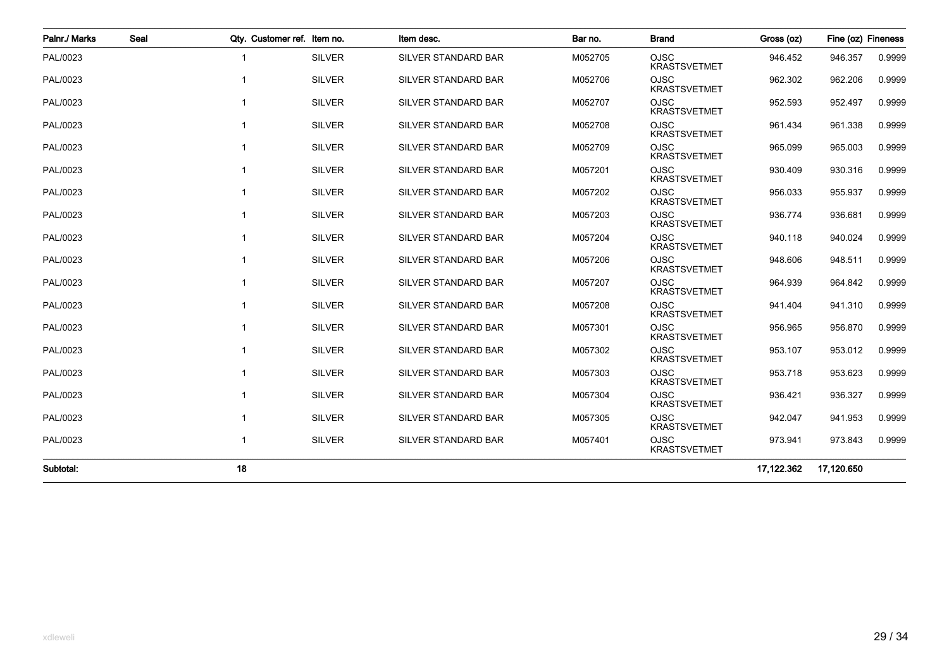| Palnr./ Marks | Seal |                         | Qty. Customer ref. Item no. | Item desc.                 | Bar no. | <b>Brand</b>                       | Gross (oz) | Fine (oz) Fineness |        |
|---------------|------|-------------------------|-----------------------------|----------------------------|---------|------------------------------------|------------|--------------------|--------|
| PAL/0023      |      | $\overline{\mathbf{1}}$ | <b>SILVER</b>               | SILVER STANDARD BAR        | M052705 | <b>OJSC</b><br><b>KRASTSVETMET</b> | 946.452    | 946.357            | 0.9999 |
| PAL/0023      |      | 1                       | <b>SILVER</b>               | SILVER STANDARD BAR        | M052706 | <b>OJSC</b><br><b>KRASTSVETMET</b> | 962.302    | 962.206            | 0.9999 |
| PAL/0023      |      | 1                       | <b>SILVER</b>               | <b>SILVER STANDARD BAR</b> | M052707 | <b>OJSC</b><br><b>KRASTSVETMET</b> | 952.593    | 952.497            | 0.9999 |
| PAL/0023      |      | 1                       | <b>SILVER</b>               | SILVER STANDARD BAR        | M052708 | <b>OJSC</b><br><b>KRASTSVETMET</b> | 961.434    | 961.338            | 0.9999 |
| PAL/0023      |      | 1                       | <b>SILVER</b>               | SILVER STANDARD BAR        | M052709 | <b>OJSC</b><br><b>KRASTSVETMET</b> | 965.099    | 965.003            | 0.9999 |
| PAL/0023      |      | 1                       | <b>SILVER</b>               | SILVER STANDARD BAR        | M057201 | <b>OJSC</b><br><b>KRASTSVETMET</b> | 930.409    | 930.316            | 0.9999 |
| PAL/0023      |      |                         | <b>SILVER</b>               | SILVER STANDARD BAR        | M057202 | <b>OJSC</b><br><b>KRASTSVETMET</b> | 956.033    | 955.937            | 0.9999 |
| PAL/0023      |      |                         | <b>SILVER</b>               | <b>SILVER STANDARD BAR</b> | M057203 | <b>OJSC</b><br><b>KRASTSVETMET</b> | 936.774    | 936.681            | 0.9999 |
| PAL/0023      |      | -1                      | <b>SILVER</b>               | SILVER STANDARD BAR        | M057204 | <b>OJSC</b><br><b>KRASTSVETMET</b> | 940.118    | 940.024            | 0.9999 |
| PAL/0023      |      |                         | <b>SILVER</b>               | SILVER STANDARD BAR        | M057206 | <b>OJSC</b><br><b>KRASTSVETMET</b> | 948.606    | 948.511            | 0.9999 |
| PAL/0023      |      | 1                       | <b>SILVER</b>               | <b>SILVER STANDARD BAR</b> | M057207 | <b>OJSC</b><br><b>KRASTSVETMET</b> | 964.939    | 964.842            | 0.9999 |
| PAL/0023      |      |                         | <b>SILVER</b>               | <b>SILVER STANDARD BAR</b> | M057208 | <b>OJSC</b><br><b>KRASTSVETMET</b> | 941.404    | 941.310            | 0.9999 |
| PAL/0023      |      | 1                       | <b>SILVER</b>               | SILVER STANDARD BAR        | M057301 | <b>OJSC</b><br><b>KRASTSVETMET</b> | 956.965    | 956.870            | 0.9999 |
| PAL/0023      |      |                         | <b>SILVER</b>               | <b>SILVER STANDARD BAR</b> | M057302 | <b>OJSC</b><br><b>KRASTSVETMET</b> | 953.107    | 953.012            | 0.9999 |
| PAL/0023      |      |                         | <b>SILVER</b>               | <b>SILVER STANDARD BAR</b> | M057303 | <b>OJSC</b><br><b>KRASTSVETMET</b> | 953.718    | 953.623            | 0.9999 |
| PAL/0023      |      | 1                       | <b>SILVER</b>               | SILVER STANDARD BAR        | M057304 | <b>OJSC</b><br><b>KRASTSVETMET</b> | 936.421    | 936.327            | 0.9999 |
| PAL/0023      |      | 1                       | <b>SILVER</b>               | SILVER STANDARD BAR        | M057305 | <b>OJSC</b><br><b>KRASTSVETMET</b> | 942.047    | 941.953            | 0.9999 |
| PAL/0023      |      | 1                       | <b>SILVER</b>               | SILVER STANDARD BAR        | M057401 | <b>OJSC</b><br><b>KRASTSVETMET</b> | 973.941    | 973.843            | 0.9999 |
| Subtotal:     |      | 18                      |                             |                            |         |                                    | 17,122.362 | 17,120.650         |        |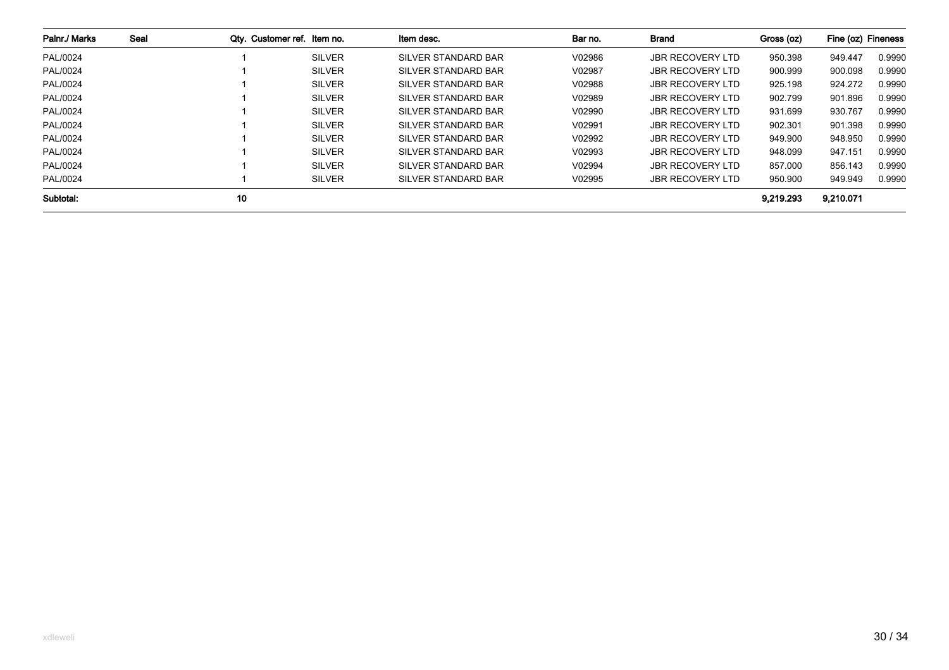| Palnr./ Marks | Seal | Qty. Customer ref. Item no. |               | Item desc.          | Bar no. | Brand                   | Gross (oz) | Fine (oz) Fineness |        |
|---------------|------|-----------------------------|---------------|---------------------|---------|-------------------------|------------|--------------------|--------|
| PAL/0024      |      |                             | <b>SILVER</b> | SILVER STANDARD BAR | V02986  | <b>JBR RECOVERY LTD</b> | 950.398    | 949.447            | 0.9990 |
| PAL/0024      |      |                             | <b>SILVER</b> | SILVER STANDARD BAR | V02987  | <b>JBR RECOVERY LTD</b> | 900.999    | 900.098            | 0.9990 |
| PAL/0024      |      |                             | <b>SILVER</b> | SILVER STANDARD BAR | V02988  | <b>JBR RECOVERY LTD</b> | 925.198    | 924.272            | 0.9990 |
| PAL/0024      |      |                             | <b>SILVER</b> | SILVER STANDARD BAR | V02989  | <b>JBR RECOVERY LTD</b> | 902.799    | 901.896            | 0.9990 |
| PAL/0024      |      |                             | <b>SILVER</b> | SILVER STANDARD BAR | V02990  | <b>JBR RECOVERY LTD</b> | 931.699    | 930.767            | 0.9990 |
| PAL/0024      |      |                             | <b>SILVER</b> | SILVER STANDARD BAR | V02991  | <b>JBR RECOVERY LTD</b> | 902.301    | 901.398            | 0.9990 |
| PAL/0024      |      |                             | <b>SILVER</b> | SILVER STANDARD BAR | V02992  | <b>JBR RECOVERY LTD</b> | 949.900    | 948.950            | 0.9990 |
| PAL/0024      |      |                             | <b>SILVER</b> | SILVER STANDARD BAR | V02993  | <b>JBR RECOVERY LTD</b> | 948.099    | 947.151            | 0.9990 |
| PAL/0024      |      |                             | <b>SILVER</b> | SILVER STANDARD BAR | V02994  | <b>JBR RECOVERY LTD</b> | 857.000    | 856.143            | 0.9990 |
| PAL/0024      |      |                             | <b>SILVER</b> | SILVER STANDARD BAR | V02995  | JBR RECOVERY LTD        | 950.900    | 949.949            | 0.9990 |
| Subtotal:     |      | 10                          |               |                     |         |                         | 9.219.293  | 9,210.071          |        |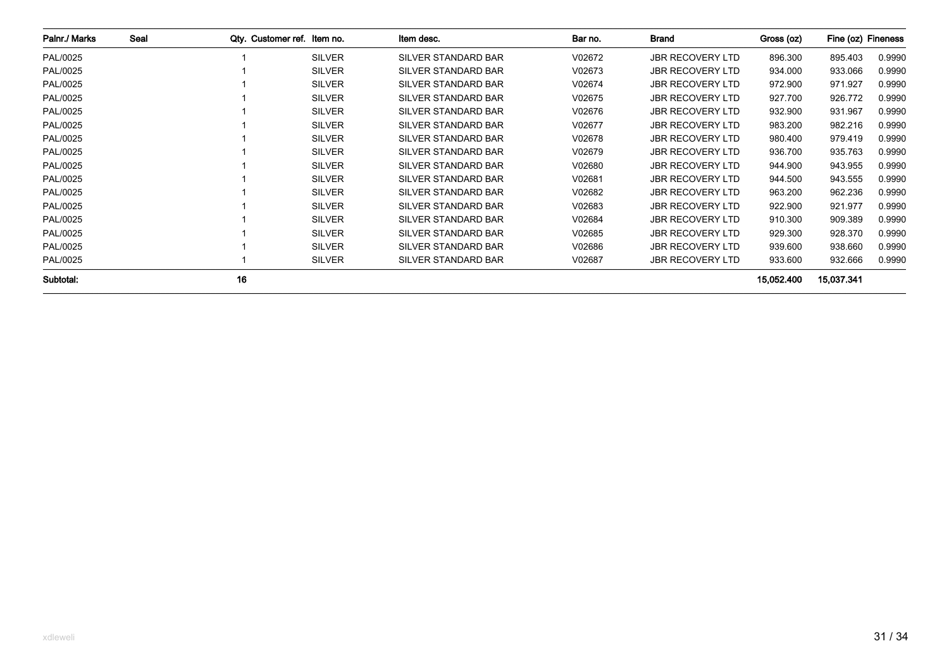| Palnr./ Marks | Seal | Qty. Customer ref. Item no. |               | Item desc.                 | Bar no. | <b>Brand</b>            | Gross (oz) | Fine (oz) Fineness |        |
|---------------|------|-----------------------------|---------------|----------------------------|---------|-------------------------|------------|--------------------|--------|
| PAL/0025      |      |                             | <b>SILVER</b> | <b>SILVER STANDARD BAR</b> | V02672  | <b>JBR RECOVERY LTD</b> | 896.300    | 895.403            | 0.9990 |
| PAL/0025      |      |                             | <b>SILVER</b> | SILVER STANDARD BAR        | V02673  | <b>JBR RECOVERY LTD</b> | 934.000    | 933.066            | 0.9990 |
| PAL/0025      |      |                             | <b>SILVER</b> | SILVER STANDARD BAR        | V02674  | <b>JBR RECOVERY LTD</b> | 972.900    | 971.927            | 0.9990 |
| PAL/0025      |      |                             | <b>SILVER</b> | SILVER STANDARD BAR        | V02675  | <b>JBR RECOVERY LTD</b> | 927.700    | 926.772            | 0.9990 |
| PAL/0025      |      |                             | <b>SILVER</b> | SILVER STANDARD BAR        | V02676  | <b>JBR RECOVERY LTD</b> | 932.900    | 931.967            | 0.9990 |
| PAL/0025      |      |                             | <b>SILVER</b> | SILVER STANDARD BAR        | V02677  | <b>JBR RECOVERY LTD</b> | 983.200    | 982.216            | 0.9990 |
| PAL/0025      |      |                             | <b>SILVER</b> | SILVER STANDARD BAR        | V02678  | <b>JBR RECOVERY LTD</b> | 980.400    | 979.419            | 0.9990 |
| PAL/0025      |      |                             | <b>SILVER</b> | SILVER STANDARD BAR        | V02679  | <b>JBR RECOVERY LTD</b> | 936.700    | 935.763            | 0.9990 |
| PAL/0025      |      |                             | <b>SILVER</b> | SILVER STANDARD BAR        | V02680  | <b>JBR RECOVERY LTD</b> | 944.900    | 943.955            | 0.9990 |
| PAL/0025      |      |                             | <b>SILVER</b> | SILVER STANDARD BAR        | V02681  | <b>JBR RECOVERY LTD</b> | 944.500    | 943.555            | 0.9990 |
| PAL/0025      |      |                             | <b>SILVER</b> | SILVER STANDARD BAR        | V02682  | <b>JBR RECOVERY LTD</b> | 963.200    | 962.236            | 0.9990 |
| PAL/0025      |      |                             | <b>SILVER</b> | SILVER STANDARD BAR        | V02683  | <b>JBR RECOVERY LTD</b> | 922.900    | 921.977            | 0.9990 |
| PAL/0025      |      |                             | <b>SILVER</b> | <b>SILVER STANDARD BAR</b> | V02684  | <b>JBR RECOVERY LTD</b> | 910.300    | 909.389            | 0.9990 |
| PAL/0025      |      |                             | <b>SILVER</b> | SILVER STANDARD BAR        | V02685  | <b>JBR RECOVERY LTD</b> | 929.300    | 928.370            | 0.9990 |
| PAL/0025      |      |                             | <b>SILVER</b> | SILVER STANDARD BAR        | V02686  | <b>JBR RECOVERY LTD</b> | 939.600    | 938.660            | 0.9990 |
| PAL/0025      |      |                             | <b>SILVER</b> | SILVER STANDARD BAR        | V02687  | <b>JBR RECOVERY LTD</b> | 933.600    | 932.666            | 0.9990 |
| Subtotal:     |      | 16                          |               |                            |         |                         | 15,052.400 | 15,037.341         |        |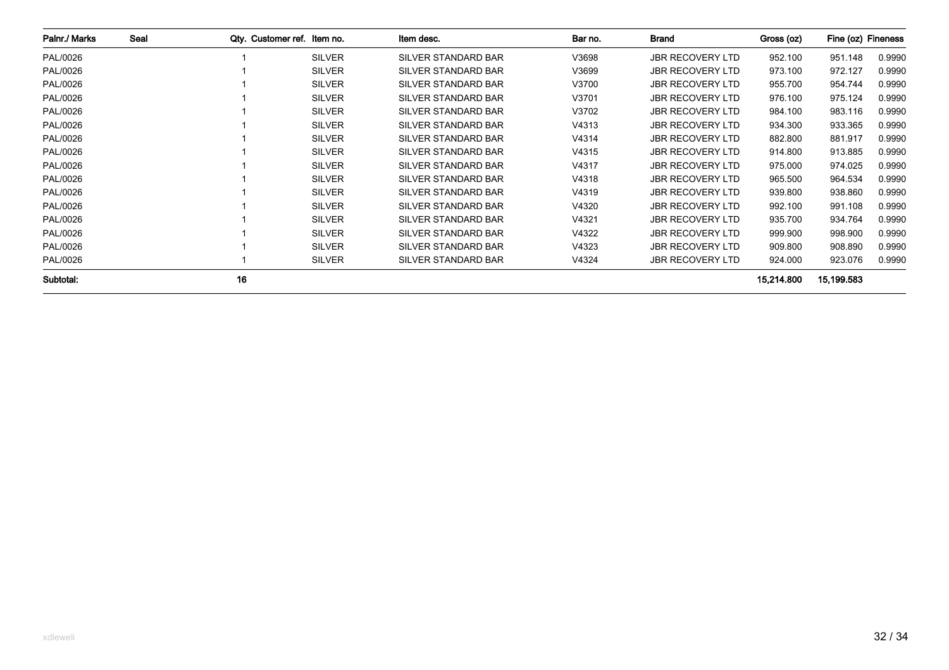| Palnr./ Marks | Seal | Qty. Customer ref. Item no. |               | Item desc.                 | Bar no. | Brand                   | Gross (oz) | Fine (oz) Fineness |        |
|---------------|------|-----------------------------|---------------|----------------------------|---------|-------------------------|------------|--------------------|--------|
| PAL/0026      |      |                             | <b>SILVER</b> | <b>SILVER STANDARD BAR</b> | V3698   | <b>JBR RECOVERY LTD</b> | 952.100    | 951.148            | 0.9990 |
| PAL/0026      |      |                             | <b>SILVER</b> | <b>SILVER STANDARD BAR</b> | V3699   | <b>JBR RECOVERY LTD</b> | 973.100    | 972.127            | 0.9990 |
| PAL/0026      |      |                             | <b>SILVER</b> | <b>SILVER STANDARD BAR</b> | V3700   | <b>JBR RECOVERY LTD</b> | 955.700    | 954.744            | 0.9990 |
| PAL/0026      |      |                             | <b>SILVER</b> | <b>SILVER STANDARD BAR</b> | V3701   | <b>JBR RECOVERY LTD</b> | 976.100    | 975.124            | 0.9990 |
| PAL/0026      |      |                             | <b>SILVER</b> | <b>SILVER STANDARD BAR</b> | V3702   | <b>JBR RECOVERY LTD</b> | 984.100    | 983.116            | 0.9990 |
| PAL/0026      |      |                             | <b>SILVER</b> | <b>SILVER STANDARD BAR</b> | V4313   | <b>JBR RECOVERY LTD</b> | 934.300    | 933.365            | 0.9990 |
| PAL/0026      |      |                             | <b>SILVER</b> | <b>SILVER STANDARD BAR</b> | V4314   | <b>JBR RECOVERY LTD</b> | 882.800    | 881.917            | 0.9990 |
| PAL/0026      |      |                             | <b>SILVER</b> | <b>SILVER STANDARD BAR</b> | V4315   | <b>JBR RECOVERY LTD</b> | 914.800    | 913.885            | 0.9990 |
| PAL/0026      |      |                             | <b>SILVER</b> | <b>SILVER STANDARD BAR</b> | V4317   | <b>JBR RECOVERY LTD</b> | 975.000    | 974.025            | 0.9990 |
| PAL/0026      |      |                             | <b>SILVER</b> | <b>SILVER STANDARD BAR</b> | V4318   | <b>JBR RECOVERY LTD</b> | 965.500    | 964.534            | 0.9990 |
| PAL/0026      |      |                             | <b>SILVER</b> | <b>SILVER STANDARD BAR</b> | V4319   | <b>JBR RECOVERY LTD</b> | 939.800    | 938.860            | 0.9990 |
| PAL/0026      |      |                             | <b>SILVER</b> | <b>SILVER STANDARD BAR</b> | V4320   | <b>JBR RECOVERY LTD</b> | 992.100    | 991.108            | 0.9990 |
| PAL/0026      |      |                             | <b>SILVER</b> | <b>SILVER STANDARD BAR</b> | V4321   | <b>JBR RECOVERY LTD</b> | 935.700    | 934.764            | 0.9990 |
| PAL/0026      |      |                             | <b>SILVER</b> | <b>SILVER STANDARD BAR</b> | V4322   | <b>JBR RECOVERY LTD</b> | 999.900    | 998.900            | 0.9990 |
| PAL/0026      |      |                             | <b>SILVER</b> | <b>SILVER STANDARD BAR</b> | V4323   | <b>JBR RECOVERY LTD</b> | 909.800    | 908.890            | 0.9990 |
| PAL/0026      |      |                             | <b>SILVER</b> | SILVER STANDARD BAR        | V4324   | <b>JBR RECOVERY LTD</b> | 924.000    | 923.076            | 0.9990 |
| Subtotal:     |      | 16                          |               |                            |         |                         | 15,214.800 | 15,199.583         |        |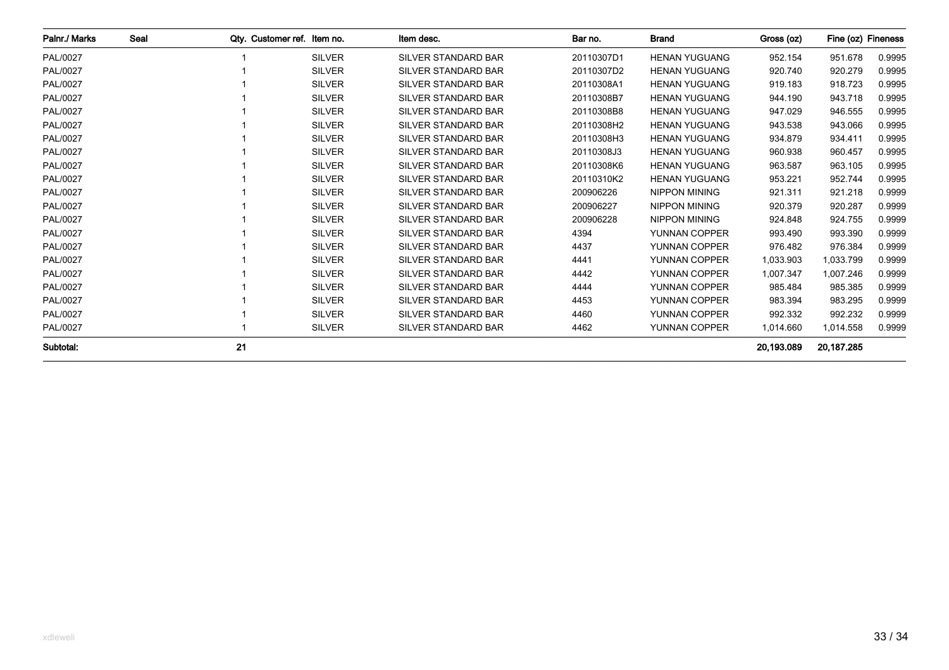| Palnr./ Marks   | Seal | Otv. Customer ref. Item no. |               | Item desc.                 | Bar no.    | <b>Brand</b>         | Gross (oz) | Fine (oz) Fineness |        |
|-----------------|------|-----------------------------|---------------|----------------------------|------------|----------------------|------------|--------------------|--------|
| <b>PAL/0027</b> |      |                             | <b>SILVER</b> | <b>SILVER STANDARD BAR</b> | 20110307D1 | <b>HENAN YUGUANG</b> | 952.154    | 951.678            | 0.9995 |
| <b>PAL/0027</b> |      |                             | <b>SILVER</b> | <b>SILVER STANDARD BAR</b> | 20110307D2 | <b>HENAN YUGUANG</b> | 920.740    | 920.279            | 0.9995 |
| <b>PAL/0027</b> |      |                             | <b>SILVER</b> | <b>SILVER STANDARD BAR</b> | 20110308A1 | <b>HENAN YUGUANG</b> | 919.183    | 918.723            | 0.9995 |
| <b>PAL/0027</b> |      |                             | <b>SILVER</b> | <b>SILVER STANDARD BAR</b> | 20110308B7 | <b>HENAN YUGUANG</b> | 944.190    | 943.718            | 0.9995 |
| <b>PAL/0027</b> |      |                             | <b>SILVER</b> | <b>SILVER STANDARD BAR</b> | 20110308B8 | <b>HENAN YUGUANG</b> | 947.029    | 946.555            | 0.9995 |
| <b>PAL/0027</b> |      |                             | <b>SILVER</b> | <b>SILVER STANDARD BAR</b> | 20110308H2 | <b>HENAN YUGUANG</b> | 943.538    | 943.066            | 0.9995 |
| <b>PAL/0027</b> |      |                             | <b>SILVER</b> | <b>SILVER STANDARD BAR</b> | 20110308H3 | <b>HENAN YUGUANG</b> | 934.879    | 934.411            | 0.9995 |
| <b>PAL/0027</b> |      |                             | <b>SILVER</b> | <b>SILVER STANDARD BAR</b> | 20110308J3 | <b>HENAN YUGUANG</b> | 960.938    | 960.457            | 0.9995 |
| PAL/0027        |      |                             | <b>SILVER</b> | <b>SILVER STANDARD BAR</b> | 20110308K6 | <b>HENAN YUGUANG</b> | 963.587    | 963.105            | 0.9995 |
| PAL/0027        |      |                             | <b>SILVER</b> | <b>SILVER STANDARD BAR</b> | 20110310K2 | <b>HENAN YUGUANG</b> | 953.221    | 952.744            | 0.9995 |
| <b>PAL/0027</b> |      |                             | <b>SILVER</b> | <b>SILVER STANDARD BAR</b> | 200906226  | <b>NIPPON MINING</b> | 921.311    | 921.218            | 0.9999 |
| <b>PAL/0027</b> |      |                             | <b>SILVER</b> | <b>SILVER STANDARD BAR</b> | 200906227  | <b>NIPPON MINING</b> | 920.379    | 920.287            | 0.9999 |
| <b>PAL/0027</b> |      |                             | <b>SILVER</b> | <b>SILVER STANDARD BAR</b> | 200906228  | <b>NIPPON MINING</b> | 924.848    | 924.755            | 0.9999 |
| <b>PAL/0027</b> |      |                             | <b>SILVER</b> | <b>SILVER STANDARD BAR</b> | 4394       | YUNNAN COPPER        | 993.490    | 993.390            | 0.9999 |
| <b>PAL/0027</b> |      |                             | <b>SILVER</b> | <b>SILVER STANDARD BAR</b> | 4437       | YUNNAN COPPER        | 976.482    | 976.384            | 0.9999 |
| PAL/0027        |      |                             | <b>SILVER</b> | <b>SILVER STANDARD BAR</b> | 4441       | YUNNAN COPPER        | 1,033.903  | 1,033.799          | 0.9999 |
| <b>PAL/0027</b> |      |                             | <b>SILVER</b> | <b>SILVER STANDARD BAR</b> | 4442       | YUNNAN COPPER        | 1.007.347  | 1,007.246          | 0.9999 |
| <b>PAL/0027</b> |      |                             | <b>SILVER</b> | <b>SILVER STANDARD BAR</b> | 4444       | YUNNAN COPPER        | 985.484    | 985.385            | 0.9999 |
| <b>PAL/0027</b> |      |                             | <b>SILVER</b> | <b>SILVER STANDARD BAR</b> | 4453       | YUNNAN COPPER        | 983.394    | 983.295            | 0.9999 |
| <b>PAL/0027</b> |      |                             | <b>SILVER</b> | <b>SILVER STANDARD BAR</b> | 4460       | YUNNAN COPPER        | 992.332    | 992.232            | 0.9999 |
| PAL/0027        |      |                             | <b>SILVER</b> | SILVER STANDARD BAR        | 4462       | YUNNAN COPPER        | 1,014.660  | 1,014.558          | 0.9999 |
| Subtotal:       |      | 21                          |               |                            |            |                      | 20.193.089 | 20,187.285         |        |